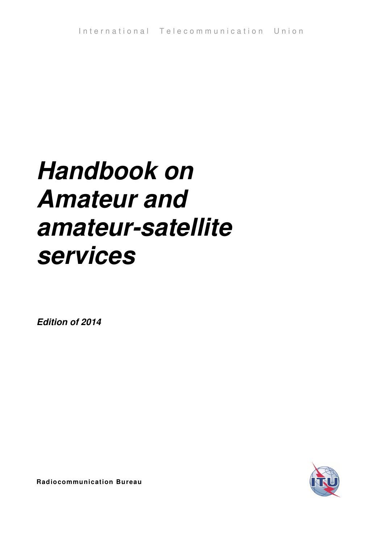# **Handbook on Amateur and amateur-satellite services**

**Edition of 2014** 



**Radiocommunication Bureau**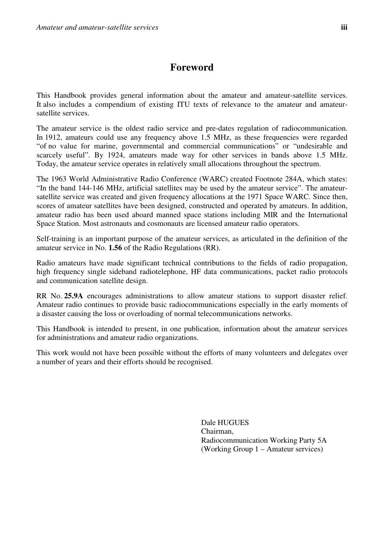# **Foreword**

This Handbook provides general information about the amateur and amateur-satellite services. It also includes a compendium of existing ITU texts of relevance to the amateur and amateursatellite services.

The amateur service is the oldest radio service and pre-dates regulation of radiocommunication. In 1912, amateurs could use any frequency above 1.5 MHz, as these frequencies were regarded "of no value for marine, governmental and commercial communications" or "undesirable and scarcely useful". By 1924, amateurs made way for other services in bands above 1.5 MHz. Today, the amateur service operates in relatively small allocations throughout the spectrum.

The 1963 World Administrative Radio Conference (WARC) created Footnote 284A, which states: "In the band 144-146 MHz, artificial satellites may be used by the amateur service". The amateursatellite service was created and given frequency allocations at the 1971 Space WARC. Since then, scores of amateur satellites have been designed, constructed and operated by amateurs. In addition, amateur radio has been used aboard manned space stations including MIR and the International Space Station. Most astronauts and cosmonauts are licensed amateur radio operators.

Self-training is an important purpose of the amateur services, as articulated in the definition of the amateur service in No. **1.56** of the Radio Regulations (RR).

Radio amateurs have made significant technical contributions to the fields of radio propagation, high frequency single sideband radiotelephone, HF data communications, packet radio protocols and communication satellite design.

RR No. **25.9A** encourages administrations to allow amateur stations to support disaster relief. Amateur radio continues to provide basic radiocommunications especially in the early moments of a disaster causing the loss or overloading of normal telecommunications networks.

This Handbook is intended to present, in one publication, information about the amateur services for administrations and amateur radio organizations.

This work would not have been possible without the efforts of many volunteers and delegates over a number of years and their efforts should be recognised.

> Dale HUGUES Chairman, Radiocommunication Working Party 5A (Working Group 1 – Amateur services)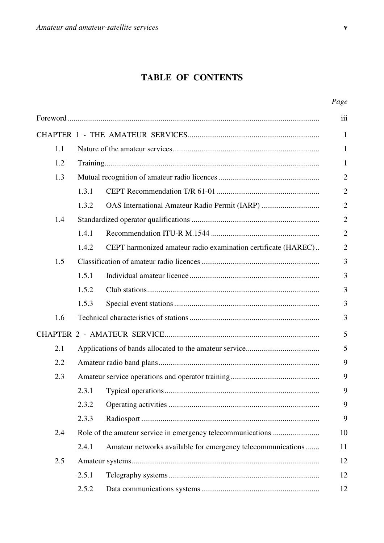*Page* 

# **TABLE OF CONTENTS**

|     |       |                                                                                                                                                                                                                                                                                                                   | iii            |
|-----|-------|-------------------------------------------------------------------------------------------------------------------------------------------------------------------------------------------------------------------------------------------------------------------------------------------------------------------|----------------|
|     |       |                                                                                                                                                                                                                                                                                                                   | 1              |
| 1.1 |       |                                                                                                                                                                                                                                                                                                                   | 1              |
| 1.2 |       |                                                                                                                                                                                                                                                                                                                   | 1              |
| 1.3 |       |                                                                                                                                                                                                                                                                                                                   | $\overline{2}$ |
|     | 1.3.1 |                                                                                                                                                                                                                                                                                                                   | $\overline{2}$ |
|     | 1.3.2 | OAS International Amateur Radio Permit (IARP)                                                                                                                                                                                                                                                                     | $\overline{2}$ |
| 1.4 |       |                                                                                                                                                                                                                                                                                                                   | $\overline{2}$ |
|     | 1.4.1 |                                                                                                                                                                                                                                                                                                                   | $\overline{2}$ |
|     | 1.4.2 | CEPT harmonized amateur radio examination certificate (HAREC)                                                                                                                                                                                                                                                     | $\overline{2}$ |
| 1.5 |       |                                                                                                                                                                                                                                                                                                                   | 3              |
|     | 1.5.1 |                                                                                                                                                                                                                                                                                                                   | 3              |
|     | 1.5.2 |                                                                                                                                                                                                                                                                                                                   | 3              |
|     | 1.5.3 |                                                                                                                                                                                                                                                                                                                   | 3              |
| 1.6 |       |                                                                                                                                                                                                                                                                                                                   | 3              |
|     |       |                                                                                                                                                                                                                                                                                                                   | 5              |
| 2.1 |       |                                                                                                                                                                                                                                                                                                                   | 5              |
| 2.2 |       |                                                                                                                                                                                                                                                                                                                   | 9              |
| 2.3 |       |                                                                                                                                                                                                                                                                                                                   | 9              |
|     |       | $\mathcal{L}$ and $\mathcal{L}$ and $\mathcal{L}$ and $\mathcal{L}$ and $\mathcal{L}$ and $\mathcal{L}$ and $\mathcal{L}$ and $\mathcal{L}$ and $\mathcal{L}$ and $\mathcal{L}$ and $\mathcal{L}$ and $\mathcal{L}$ and $\mathcal{L}$ and $\mathcal{L}$ and $\mathcal{L}$ and $\mathcal{L}$ and $\mathcal{L}$ and |                |

| 1.4 |       |                                                               |                |
|-----|-------|---------------------------------------------------------------|----------------|
|     | 1.4.1 |                                                               | $\overline{2}$ |
|     | 1.4.2 | CEPT harmonized amateur radio examination certificate (HAREC) | $\overline{2}$ |
| 1.5 |       |                                                               | 3              |
|     | 1.5.1 |                                                               | 3              |
|     | 1.5.2 |                                                               | 3              |
|     | 1.5.3 |                                                               | 3              |
| 1.6 |       |                                                               | 3              |
|     |       |                                                               | 5              |
| 2.1 |       |                                                               | 5              |
| 2.2 |       |                                                               |                |
| 2.3 |       |                                                               | 9              |
|     | 2.3.1 |                                                               | 9              |
|     | 2.3.2 |                                                               | 9              |
|     | 2.3.3 |                                                               | 9              |
| 2.4 |       |                                                               | 10             |
|     | 2.4.1 | Amateur networks available for emergency telecommunications   | 11             |
| 2.5 |       |                                                               | 12             |
|     | 2.5.1 |                                                               | 12             |
|     | 2.5.2 |                                                               | 12             |
|     |       |                                                               |                |
|     |       |                                                               |                |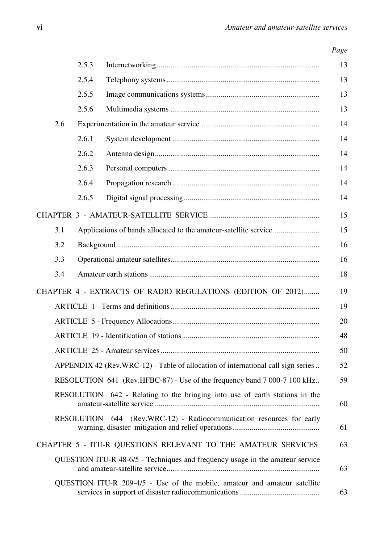# *Page*

|     | 2.5.3 |                                                                                  | 13 |
|-----|-------|----------------------------------------------------------------------------------|----|
|     | 2.5.4 |                                                                                  | 13 |
|     | 2.5.5 |                                                                                  | 13 |
|     | 2.5.6 |                                                                                  | 13 |
| 2.6 |       |                                                                                  | 14 |
|     | 2.6.1 |                                                                                  | 14 |
|     | 2.6.2 |                                                                                  | 14 |
|     | 2.6.3 |                                                                                  | 14 |
|     | 2.6.4 |                                                                                  | 14 |
|     | 2.6.5 |                                                                                  | 14 |
|     |       |                                                                                  | 15 |
| 3.1 |       |                                                                                  | 15 |
| 3.2 |       |                                                                                  | 16 |
| 3.3 |       |                                                                                  | 16 |
| 3.4 |       |                                                                                  | 18 |
|     |       | CHAPTER 4 - EXTRACTS OF RADIO REGULATIONS (EDITION OF 2012)                      | 19 |
|     |       |                                                                                  | 19 |
|     |       |                                                                                  | 20 |
|     |       |                                                                                  | 48 |
|     |       |                                                                                  | 50 |
|     |       | APPENDIX 42 (Rev.WRC-12) - Table of allocation of international call sign series | 52 |
|     |       | RESOLUTION 641 (Rev.HFBC-87) - Use of the frequency band 7 000-7 100 kHz         | 59 |
|     |       | RESOLUTION 642 - Relating to the bringing into use of earth stations in the      | 60 |
|     |       | RESOLUTION 644 (Rev.WRC-12) - Radiocommunication resources for early             | 61 |
|     |       | CHAPTER 5 - ITU-R QUESTIONS RELEVANT TO THE AMATEUR SERVICES                     | 63 |
|     |       | QUESTION ITU-R 48-6/5 - Techniques and frequency usage in the amateur service    | 63 |
|     |       | QUESTION ITU-R 209-4/5 - Use of the mobile, amateur and amateur satellite        | 63 |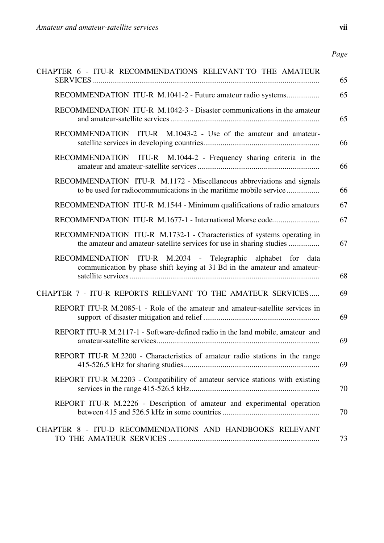## *Page*

| CHAPTER 6 - ITU-R RECOMMENDATIONS RELEVANT TO THE AMATEUR                                                                                        |
|--------------------------------------------------------------------------------------------------------------------------------------------------|
| RECOMMENDATION ITU-R M.1041-2 - Future amateur radio systems                                                                                     |
| RECOMMENDATION ITU-R M.1042-3 - Disaster communications in the amateur                                                                           |
| RECOMMENDATION ITU-R M.1043-2 - Use of the amateur and amateur-                                                                                  |
| RECOMMENDATION ITU-R M.1044-2 - Frequency sharing criteria in the                                                                                |
| RECOMMENDATION ITU-R M.1172 - Miscellaneous abbreviations and signals<br>to be used for radiocommunications in the maritime mobile service       |
| RECOMMENDATION ITU-R M.1544 - Minimum qualifications of radio amateurs                                                                           |
| RECOMMENDATION ITU-R M.1677-1 - International Morse code                                                                                         |
| RECOMMENDATION ITU-R M.1732-1 - Characteristics of systems operating in<br>the amateur and amateur-satellite services for use in sharing studies |
| RECOMMENDATION ITU-R M.2034 - Telegraphic alphabet for data<br>communication by phase shift keying at 31 Bd in the amateur and amateur-          |
| CHAPTER 7 - ITU-R REPORTS RELEVANT TO THE AMATEUR SERVICES                                                                                       |
| REPORT ITU-R M.2085-1 - Role of the amateur and amateur-satellite services in                                                                    |
| REPORT ITU-R M.2117-1 - Software-defined radio in the land mobile, amateur and                                                                   |
| REPORT ITU-R M.2200 - Characteristics of amateur radio stations in the range                                                                     |
| REPORT ITU-R M.2203 - Compatibility of amateur service stations with existing                                                                    |
| REPORT ITU-R M.2226 - Description of amateur and experimental operation                                                                          |
| CHAPTER 8 - ITU-D RECOMMENDATIONS AND HANDBOOKS RELEVANT                                                                                         |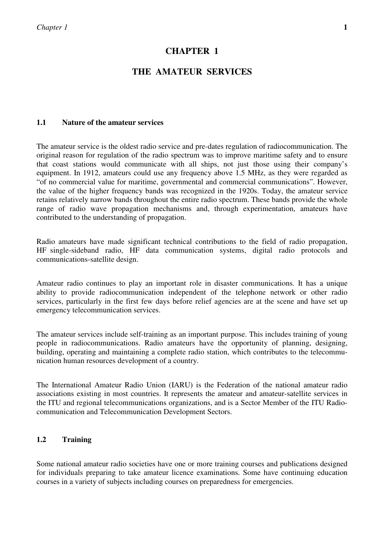## **CHAPTER 1**

## **THE AMATEUR SERVICES**

#### **1.1 Nature of the amateur services**

The amateur service is the oldest radio service and pre-dates regulation of radiocommunication. The original reason for regulation of the radio spectrum was to improve maritime safety and to ensure that coast stations would communicate with all ships, not just those using their company's equipment. In 1912, amateurs could use any frequency above 1.5 MHz, as they were regarded as "of no commercial value for maritime, governmental and commercial communications". However, the value of the higher frequency bands was recognized in the 1920s. Today, the amateur service retains relatively narrow bands throughout the entire radio spectrum. These bands provide the whole range of radio wave propagation mechanisms and, through experimentation, amateurs have contributed to the understanding of propagation.

Radio amateurs have made significant technical contributions to the field of radio propagation, HF single-sideband radio, HF data communication systems, digital radio protocols and communications-satellite design.

Amateur radio continues to play an important role in disaster communications. It has a unique ability to provide radiocommunication independent of the telephone network or other radio services, particularly in the first few days before relief agencies are at the scene and have set up emergency telecommunication services.

The amateur services include self-training as an important purpose. This includes training of young people in radiocommunications. Radio amateurs have the opportunity of planning, designing, building, operating and maintaining a complete radio station, which contributes to the telecommunication human resources development of a country.

The International Amateur Radio Union (IARU) is the Federation of the national amateur radio associations existing in most countries. It represents the amateur and amateur-satellite services in the ITU and regional telecommunications organizations, and is a Sector Member of the ITU Radiocommunication and Telecommunication Development Sectors.

#### **1.2 Training**

Some national amateur radio societies have one or more training courses and publications designed for individuals preparing to take amateur licence examinations. Some have continuing education courses in a variety of subjects including courses on preparedness for emergencies.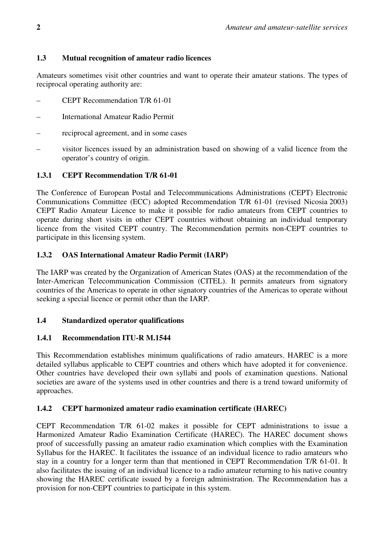## **1.3 Mutual recognition of amateur radio licences**

Amateurs sometimes visit other countries and want to operate their amateur stations. The types of reciprocal operating authority are:

- CEPT Recommendation T/R 61-01
- International Amateur Radio Permit
- reciprocal agreement, and in some cases
- visitor licences issued by an administration based on showing of a valid licence from the operator's country of origin.

## **1.3.1 CEPT Recommendation T/R 61-01**

The Conference of European Postal and Telecommunications Administrations (CEPT) Electronic Communications Committee (ECC) adopted Recommendation T/R 61-01 (revised Nicosia 2003) CEPT Radio Amateur Licence to make it possible for radio amateurs from CEPT countries to operate during short visits in other CEPT countries without obtaining an individual temporary licence from the visited CEPT country. The Recommendation permits non-CEPT countries to participate in this licensing system.

## **1.3.2 OAS International Amateur Radio Permit (IARP)**

The IARP was created by the Organization of American States (OAS) at the recommendation of the Inter-American Telecommunication Commission (CITEL). It permits amateurs from signatory countries of the Americas to operate in other signatory countries of the Americas to operate without seeking a special licence or permit other than the IARP.

## **1.4 Standardized operator qualifications**

## **1.4.1 Recommendation ITU-R M.1544**

This Recommendation establishes minimum qualifications of radio amateurs. HAREC is a more detailed syllabus applicable to CEPT countries and others which have adopted it for convenience. Other countries have developed their own syllabi and pools of examination questions. National societies are aware of the systems used in other countries and there is a trend toward uniformity of approaches.

## **1.4.2 CEPT harmonized amateur radio examination certificate (HAREC)**

CEPT Recommendation T/R 61-02 makes it possible for CEPT administrations to issue a Harmonized Amateur Radio Examination Certificate (HAREC). The HAREC document shows proof of successfully passing an amateur radio examination which complies with the Examination Syllabus for the HAREC. It facilitates the issuance of an individual licence to radio amateurs who stay in a country for a longer term than that mentioned in CEPT Recommendation T/R 61-01. It also facilitates the issuing of an individual licence to a radio amateur returning to his native country showing the HAREC certificate issued by a foreign administration. The Recommendation has a provision for non-CEPT countries to participate in this system.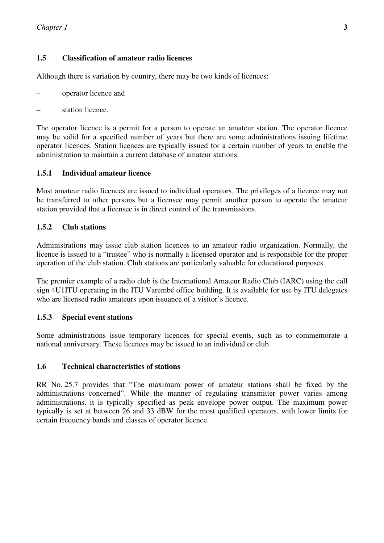## **1.5 Classification of amateur radio licences**

Although there is variation by country, there may be two kinds of licences:

- operator licence and
- station licence.

The operator licence is a permit for a person to operate an amateur station. The operator licence may be valid for a specified number of years but there are some administrations issuing lifetime operator licences. Station licences are typically issued for a certain number of years to enable the administration to maintain a current database of amateur stations.

## **1.5.1 Individual amateur licence**

Most amateur radio licences are issued to individual operators. The privileges of a licence may not be transferred to other persons but a licensee may permit another person to operate the amateur station provided that a licensee is in direct control of the transmissions.

## **1.5.2 Club stations**

Administrations may issue club station licences to an amateur radio organization. Normally, the licence is issued to a "trustee" who is normally a licensed operator and is responsible for the proper operation of the club station. Club stations are particularly valuable for educational purposes.

The premier example of a radio club is the International Amateur Radio Club (IARC) using the call sign 4U1ITU operating in the ITU Varembé office building. It is available for use by ITU delegates who are licensed radio amateurs upon issuance of a visitor's licence.

## **1.5.3 Special event stations**

Some administrations issue temporary licences for special events, such as to commemorate a national anniversary. These licences may be issued to an individual or club.

#### **1.6 Technical characteristics of stations**

RR No. 25.7 provides that "The maximum power of amateur stations shall be fixed by the administrations concerned". While the manner of regulating transmitter power varies among administrations, it is typically specified as peak envelope power output. The maximum power typically is set at between 26 and 33 dBW for the most qualified operators, with lower limits for certain frequency bands and classes of operator licence.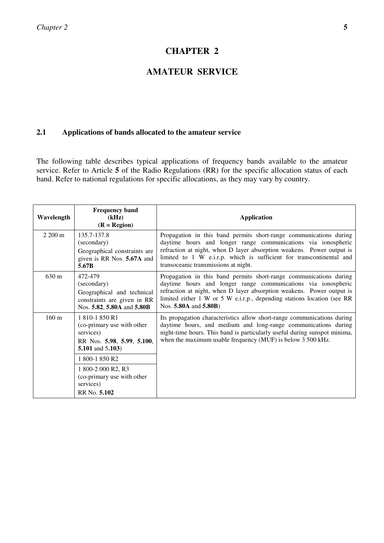## **CHAPTER 2**

## **AMATEUR SERVICE**

## **2.1 Applications of bands allocated to the amateur service**

The following table describes typical applications of frequency bands available to the amateur service. Refer to Article **5** of the Radio Regulations (RR) for the specific allocation status of each band. Refer to national regulations for specific allocations, as they may vary by country.

| Wavelength       | <b>Frequency band</b><br>(kHz)<br>$(R = Region)$                                                                   | <b>Application</b>                                                                                                                                                                                                                                                                                                           |
|------------------|--------------------------------------------------------------------------------------------------------------------|------------------------------------------------------------------------------------------------------------------------------------------------------------------------------------------------------------------------------------------------------------------------------------------------------------------------------|
| $2200 \text{ m}$ | 135.7-137.8<br>(secondary)<br>Geographical constraints are<br>given is RR Nos. 5.67A and<br>5.67B                  | Propagation in this band permits short-range communications during<br>daytime hours and longer range communications via ionospheric<br>refraction at night, when D layer absorption weakens. Power output is<br>limited to 1 W e.i.r.p. which is sufficient for transcontinental and<br>transoceanic transmissions at night. |
| 630 m            | 472-479<br>(secondary)<br>Geographical and technical<br>constraints are given in RR<br>Nos. 5.82, 5.80A and 5.80B  | Propagation in this band permits short-range communications during<br>daytime hours and longer range communications via ionospheric<br>refraction at night, when D layer absorption weakens. Power output is<br>limited either 1 W or 5 W e.i.r.p., depending stations location (see RR<br>Nos. 5.80A and 5.80B)             |
| 160 <sub>m</sub> | 1 810-1 850 R1<br>(co-primary use with other<br>services)<br>RR Nos. 5.98, 5.99, 5.100,<br><b>5.101</b> and 5.103) | Its propagation characteristics allow short-range communications during<br>daytime hours, and medium and long-range communications during<br>night-time hours. This band is particularly useful during sunspot minima,<br>when the maximum usable frequency (MUF) is below 3 500 kHz.                                        |
|                  | 1 800-1 850 R2                                                                                                     |                                                                                                                                                                                                                                                                                                                              |
|                  | 1 800-2 000 R2, R3<br>(co-primary use with other<br>services)<br>RR No. 5.102                                      |                                                                                                                                                                                                                                                                                                                              |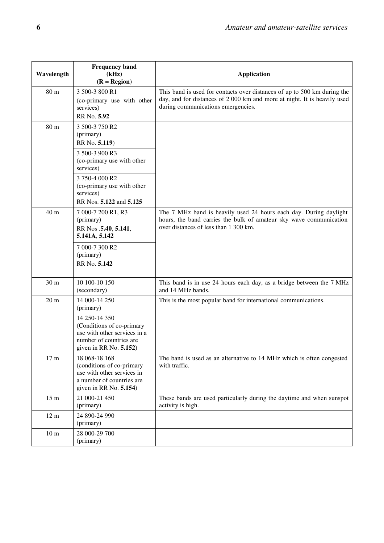| Wavelength      | <b>Frequency band</b><br>(kHz)<br>$(R = Region)$                                                                                   | <b>Application</b>                                                                                                                                                                         |
|-----------------|------------------------------------------------------------------------------------------------------------------------------------|--------------------------------------------------------------------------------------------------------------------------------------------------------------------------------------------|
| 80 <sub>m</sub> | 3 500-3 800 R1<br>(co-primary use with other<br>services)<br>RR No. 5.92                                                           | This band is used for contacts over distances of up to 500 km during the<br>day, and for distances of 2 000 km and more at night. It is heavily used<br>during communications emergencies. |
| 80 <sub>m</sub> | 3 500-3 750 R2<br>(primary)<br>RR No. 5.119)                                                                                       |                                                                                                                                                                                            |
|                 | 3 500-3 900 R3<br>(co-primary use with other<br>services)                                                                          |                                                                                                                                                                                            |
|                 | 3750-4000 R2<br>(co-primary use with other<br>services)<br>RR Nos. 5.122 and 5.125                                                 |                                                                                                                                                                                            |
| 40 m            | 7 000-7 200 R1, R3<br>(primary)<br>RR Nos .5.40, 5.141,<br>5.141A, 5.142                                                           | The 7 MHz band is heavily used 24 hours each day. During daylight<br>hours, the band carries the bulk of amateur sky wave communication<br>over distances of less than 1 300 km.           |
|                 | 7 000-7 300 R2<br>(primary)<br>RR No. 5.142                                                                                        |                                                                                                                                                                                            |
| 30 <sub>m</sub> | 10 100-10 150<br>(secondary)                                                                                                       | This band is in use 24 hours each day, as a bridge between the 7 MHz<br>and 14 MHz bands.                                                                                                  |
| 20 <sub>m</sub> | 14 000-14 250<br>(primary)                                                                                                         | This is the most popular band for international communications.                                                                                                                            |
|                 | 14 250-14 350<br>(Conditions of co-primary<br>use with other services in a<br>number of countries are<br>given in RR No. $5.152$ ) |                                                                                                                                                                                            |
| 17 <sub>m</sub> | 18 068-18 168<br>(conditions of co-primary<br>use with other services in<br>a number of countries are<br>given in RR No. 5.154)    | The band is used as an alternative to 14 MHz which is often congested<br>with traffic.                                                                                                     |
| 15 <sub>m</sub> | 21 000-21 450<br>(primary)                                                                                                         | These bands are used particularly during the daytime and when sunspot<br>activity is high.                                                                                                 |
| 12 <sub>m</sub> | 24 890-24 990<br>(primary)                                                                                                         |                                                                                                                                                                                            |
| 10 <sub>m</sub> | 28 000-29 700<br>(primary)                                                                                                         |                                                                                                                                                                                            |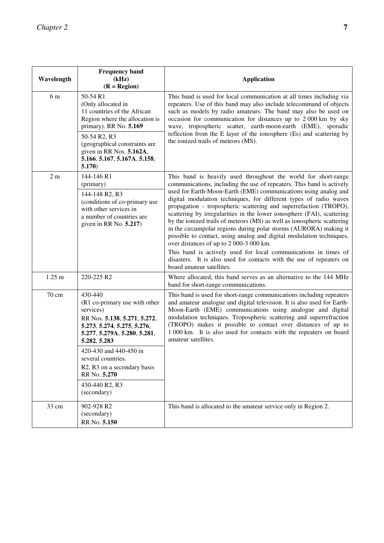| Wavelength       | <b>Frequency band</b><br>(kHz)<br>$(R = Region)$                                                                                                                                                                                                                                                     | <b>Application</b>                                                                                                                                                                                                                                                                                                                                                                                                                                                                                                                                                                                                                                                                                                                                                                                                                                                        |
|------------------|------------------------------------------------------------------------------------------------------------------------------------------------------------------------------------------------------------------------------------------------------------------------------------------------------|---------------------------------------------------------------------------------------------------------------------------------------------------------------------------------------------------------------------------------------------------------------------------------------------------------------------------------------------------------------------------------------------------------------------------------------------------------------------------------------------------------------------------------------------------------------------------------------------------------------------------------------------------------------------------------------------------------------------------------------------------------------------------------------------------------------------------------------------------------------------------|
| $6\ {\rm m}$     | 50-54 R1<br>(Only allocated in<br>11 countries of the African<br>Region where the allocation is<br>primary). RR No. 5.169<br>50-54 R2, R3<br>(geographical constraints are<br>given in RR Nos. 5.162A,<br>5.166, 5.167, 5.167A, 5.158,<br>5.170)                                                     | This band is used for local communication at all times including via<br>repeaters. Use of this band may also include telecommand of objects<br>such as models by radio amateurs. The band may also be used on<br>occasion for communication for distances up to 2 000 km by sky<br>wave, tropospheric scatter, earth-moon-earth (EME), sporadic<br>reflection from the E layer of the ionosphere (Es) and scattering by<br>the ionized trails of meteors (MS).                                                                                                                                                                                                                                                                                                                                                                                                            |
| 2m               | 144-146 R1<br>(primary)<br>144-148 R2, R3<br>(conditions of co-primary use<br>with other services in<br>a number of countries are<br>given in RR No. $5.217$ )                                                                                                                                       | This band is heavily used throughout the world for short-range<br>communications, including the use of repeaters. This band is actively<br>used for Earth-Moon-Earth (EME) communications using analog and<br>digital modulation techniques, for different types of radio waves<br>propagation - tropospheric scattering and superrefaction (TROPO),<br>scattering by irregularities in the lower ionosphere (FAI), scattering<br>by the ionized trails of meteors (MS) as well as ionospheric scattering<br>in the circumpolar regions during polar storms (AURORA) making it<br>possible to contact, using analog and digital modulation techniques,<br>over distances of up to 2 000-3 000 km.<br>This band is actively used for local communications in times of<br>disasters. It is also used for contacts with the use of repeaters on<br>board amateur satellites. |
| $1.25 \text{ m}$ | 220-225 R2                                                                                                                                                                                                                                                                                           | Where allocated, this band serves as an alternative to the 144 MHz<br>band for short-range communications.                                                                                                                                                                                                                                                                                                                                                                                                                                                                                                                                                                                                                                                                                                                                                                |
| 70 cm            | 430-440<br>(R1 co-primary use with other<br>services)<br>RR Nos. 5.138, 5.271, 5.272,<br>5.273, 5.274, 5.275, 5.276,<br>5.277, 5.279A, 5.280, 5.281,<br>5.282, 5.283<br>420-430 and 440-450 in<br>several countries.<br>R2, R3 on a secondary basis<br>RR No. 5.270<br>430-440 R2, R3<br>(secondary) | This band is used for short-range communications including repeaters<br>and amateur analogue and digital television. It is also used for Earth-<br>Moon-Earth (EME) communications using analogue and digital<br>modulation techniques. Tropospheric scattering and superrefraction<br>(TROPO) makes it possible to contact over distances of up to<br>1 000 km. It is also used for contacts with the repeaters on board<br>amateur satellites.                                                                                                                                                                                                                                                                                                                                                                                                                          |
| 33 cm            | 902-928 R2<br>(secondary)<br>RR No. 5.150                                                                                                                                                                                                                                                            | This band is allocated to the amateur service only in Region 2.                                                                                                                                                                                                                                                                                                                                                                                                                                                                                                                                                                                                                                                                                                                                                                                                           |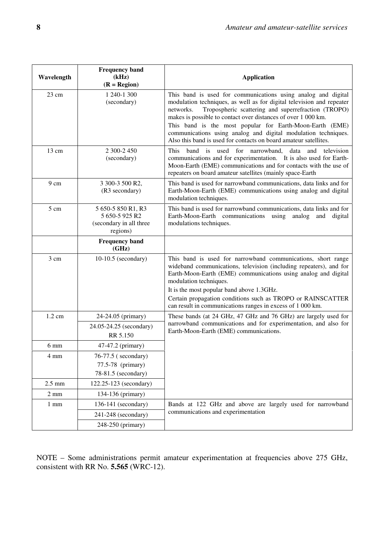| Wavelength       | <b>Frequency band</b><br>(kHz)<br>$(R = Region)$                            | <b>Application</b>                                                                                                                                                                                                                                                                                                                                                                                                                                                            |
|------------------|-----------------------------------------------------------------------------|-------------------------------------------------------------------------------------------------------------------------------------------------------------------------------------------------------------------------------------------------------------------------------------------------------------------------------------------------------------------------------------------------------------------------------------------------------------------------------|
| $23 \text{ cm}$  | 1 240-1 300<br>(secondary)                                                  | This band is used for communications using analog and digital<br>modulation techniques, as well as for digital television and repeater<br>Tropospheric scattering and superrefraction (TROPO)<br>networks.<br>makes is possible to contact over distances of over 1 000 km.<br>This band is the most popular for Earth-Moon-Earth (EME)<br>communications using analog and digital modulation techniques.<br>Also this band is used for contacts on board amateur satellites. |
| 13 cm            | 2 300-2 450<br>(secondary)                                                  | <b>This</b><br>band is used for narrowband,<br>data and<br>television<br>communications and for experimentation. It is also used for Earth-<br>Moon-Earth (EME) communications and for contacts with the use of<br>repeaters on board amateur satellites (mainly space-Earth                                                                                                                                                                                                  |
| 9 cm             | 3 300-3 500 R2,<br>(R3 secondary)                                           | This band is used for narrowband communications, data links and for<br>Earth-Moon-Earth (EME) communications using analog and digital<br>modulation techniques.                                                                                                                                                                                                                                                                                                               |
| 5 cm             | 5 650-5 850 R1, R3<br>5 650-5 925 R2<br>(secondary in all three<br>regions) | This band is used for narrowband communications, data links and for<br>Earth-Moon-Earth communications<br>analog<br>using<br>and<br>digital<br>modulations techniques.                                                                                                                                                                                                                                                                                                        |
|                  | <b>Frequency band</b><br>(GHz)                                              |                                                                                                                                                                                                                                                                                                                                                                                                                                                                               |
| 3 cm             | $10-10.5$ (secondary)                                                       | This band is used for narrowband communications, short range<br>wideband communications, television (including repeaters), and for<br>Earth-Moon-Earth (EME) communications using analog and digital<br>modulation techniques.<br>It is the most popular band above 1.3GHz.<br>Certain propagation conditions such as TROPO or RAINSCATTER<br>can result in communications ranges in excess of 1 000 km.                                                                      |
| $1.2 \text{ cm}$ | 24-24.05 (primary)<br>24.05-24.25 (secondary)                               | These bands (at 24 GHz, 47 GHz and 76 GHz) are largely used for<br>narrowband communications and for experimentation, and also for<br>Earth-Moon-Earth (EME) communications.                                                                                                                                                                                                                                                                                                  |
|                  | RR 5.150                                                                    |                                                                                                                                                                                                                                                                                                                                                                                                                                                                               |
| $6 \text{ mm}$   | 47-47.2 (primary)                                                           |                                                                                                                                                                                                                                                                                                                                                                                                                                                                               |
| 4 mm             | 76-77.5 (secondary)<br>77.5-78 (primary)                                    |                                                                                                                                                                                                                                                                                                                                                                                                                                                                               |
|                  | 78-81.5 (secondary)                                                         |                                                                                                                                                                                                                                                                                                                                                                                                                                                                               |
| $2.5 \text{ mm}$ | 122.25-123 (secondary)                                                      |                                                                                                                                                                                                                                                                                                                                                                                                                                                                               |
| $2 \text{ mm}$   | 134-136 (primary)                                                           |                                                                                                                                                                                                                                                                                                                                                                                                                                                                               |
| $1 \text{ mm}$   | 136-141 (secondary)                                                         | Bands at 122 GHz and above are largely used for narrowband                                                                                                                                                                                                                                                                                                                                                                                                                    |
|                  | 241-248 (secondary)                                                         | communications and experimentation                                                                                                                                                                                                                                                                                                                                                                                                                                            |
|                  | 248-250 (primary)                                                           |                                                                                                                                                                                                                                                                                                                                                                                                                                                                               |

NOTE – Some administrations permit amateur experimentation at frequencies above 275 GHz, consistent with RR No. **5.565** (WRC-12).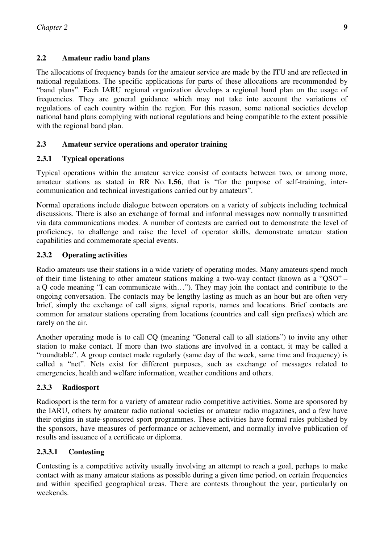## **2.2 Amateur radio band plans**

The allocations of frequency bands for the amateur service are made by the ITU and are reflected in national regulations. The specific applications for parts of these allocations are recommended by "band plans". Each IARU regional organization develops a regional band plan on the usage of frequencies. They are general guidance which may not take into account the variations of regulations of each country within the region. For this reason, some national societies develop national band plans complying with national regulations and being compatible to the extent possible with the regional band plan.

## **2.3 Amateur service operations and operator training**

## **2.3.1 Typical operations**

Typical operations within the amateur service consist of contacts between two, or among more, amateur stations as stated in RR No. **1.56**, that is "for the purpose of self-training, intercommunication and technical investigations carried out by amateurs".

Normal operations include dialogue between operators on a variety of subjects including technical discussions. There is also an exchange of formal and informal messages now normally transmitted via data communications modes. A number of contests are carried out to demonstrate the level of proficiency, to challenge and raise the level of operator skills, demonstrate amateur station capabilities and commemorate special events.

## **2.3.2 Operating activities**

Radio amateurs use their stations in a wide variety of operating modes. Many amateurs spend much of their time listening to other amateur stations making a two-way contact (known as a "QSO" – a Q code meaning "I can communicate with…"). They may join the contact and contribute to the ongoing conversation. The contacts may be lengthy lasting as much as an hour but are often very brief, simply the exchange of call signs, signal reports, names and locations. Brief contacts are common for amateur stations operating from locations (countries and call sign prefixes) which are rarely on the air.

Another operating mode is to call CQ (meaning "General call to all stations") to invite any other station to make contact. If more than two stations are involved in a contact, it may be called a "roundtable". A group contact made regularly (same day of the week, same time and frequency) is called a "net". Nets exist for different purposes, such as exchange of messages related to emergencies, health and welfare information, weather conditions and others.

## **2.3.3 Radiosport**

Radiosport is the term for a variety of amateur radio competitive activities. Some are sponsored by the IARU, others by amateur radio national societies or amateur radio magazines, and a few have their origins in state-sponsored sport programmes. These activities have formal rules published by the sponsors, have measures of performance or achievement, and normally involve publication of results and issuance of a certificate or diploma.

## **2.3.3.1 Contesting**

Contesting is a competitive activity usually involving an attempt to reach a goal, perhaps to make contact with as many amateur stations as possible during a given time period, on certain frequencies and within specified geographical areas. There are contests throughout the year, particularly on weekends.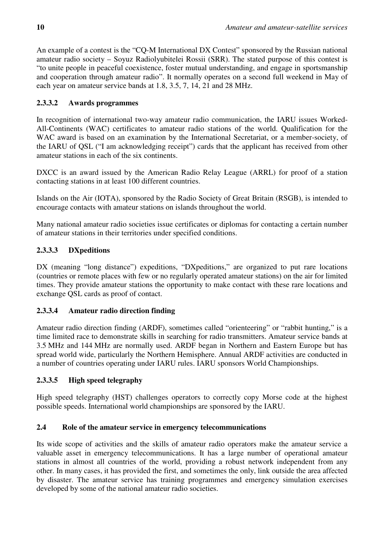An example of a contest is the "CQ-M International DX Contest" sponsored by the Russian national amateur radio society – Soyuz Radiolyubitelei Rossii (SRR). The stated purpose of this contest is "to unite people in peaceful coexistence, foster mutual understanding, and engage in sportsmanship and cooperation through amateur radio". It normally operates on a second full weekend in May of each year on amateur service bands at 1.8, 3.5, 7, 14, 21 and 28 MHz.

## **2.3.3.2 Awards programmes**

In recognition of international two-way amateur radio communication, the IARU issues Worked-All-Continents (WAC) certificates to amateur radio stations of the world. Qualification for the WAC award is based on an examination by the International Secretariat, or a member-society, of the IARU of QSL ("I am acknowledging receipt") cards that the applicant has received from other amateur stations in each of the six continents.

DXCC is an award issued by the American Radio Relay League (ARRL) for proof of a station contacting stations in at least 100 different countries.

Islands on the Air (IOTA), sponsored by the Radio Society of Great Britain (RSGB), is intended to encourage contacts with amateur stations on islands throughout the world.

Many national amateur radio societies issue certificates or diplomas for contacting a certain number of amateur stations in their territories under specified conditions.

## **2.3.3.3 DXpeditions**

DX (meaning "long distance") expeditions, "DXpeditions," are organized to put rare locations (countries or remote places with few or no regularly operated amateur stations) on the air for limited times. They provide amateur stations the opportunity to make contact with these rare locations and exchange QSL cards as proof of contact.

## **2.3.3.4 Amateur radio direction finding**

Amateur radio direction finding (ARDF), sometimes called "orienteering" or "rabbit hunting," is a time limited race to demonstrate skills in searching for radio transmitters. Amateur service bands at 3.5 MHz and 144 MHz are normally used. ARDF began in Northern and Eastern Europe but has spread world wide, particularly the Northern Hemisphere. Annual ARDF activities are conducted in a number of countries operating under IARU rules. IARU sponsors World Championships.

## **2.3.3.5 High speed telegraphy**

High speed telegraphy (HST) challenges operators to correctly copy Morse code at the highest possible speeds. International world championships are sponsored by the IARU.

#### **2.4 Role of the amateur service in emergency telecommunications**

Its wide scope of activities and the skills of amateur radio operators make the amateur service a valuable asset in emergency telecommunications. It has a large number of operational amateur stations in almost all countries of the world, providing a robust network independent from any other. In many cases, it has provided the first, and sometimes the only, link outside the area affected by disaster. The amateur service has training programmes and emergency simulation exercises developed by some of the national amateur radio societies.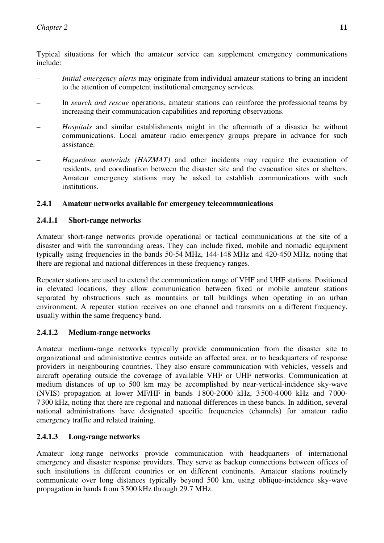Typical situations for which the amateur service can supplement emergency communications include:

- *Initial emergency alerts* may originate from individual amateur stations to bring an incident to the attention of competent institutional emergency services.
- In *search and rescue* operations, amateur stations can reinforce the professional teams by increasing their communication capabilities and reporting observations.
- *Hospitals* and similar establishments might in the aftermath of a disaster be without communications. Local amateur radio emergency groups prepare in advance for such assistance.
- *Hazardous materials (HAZMAT)* and other incidents may require the evacuation of residents, and coordination between the disaster site and the evacuation sites or shelters. Amateur emergency stations may be asked to establish communications with such institutions.

## **2.4.1 Amateur networks available for emergency telecommunications**

#### **2.4.1.1 Short-range networks**

Amateur short-range networks provide operational or tactical communications at the site of a disaster and with the surrounding areas. They can include fixed, mobile and nomadic equipment typically using frequencies in the bands 50-54 MHz, 144-148 MHz and 420-450 MHz, noting that there are regional and national differences in these frequency ranges.

Repeater stations are used to extend the communication range of VHF and UHF stations. Positioned in elevated locations, they allow communication between fixed or mobile amateur stations separated by obstructions such as mountains or tall buildings when operating in an urban environment. A repeater station receives on one channel and transmits on a different frequency, usually within the same frequency band.

## **2.4.1.2 Medium-range networks**

Amateur medium-range networks typically provide communication from the disaster site to organizational and administrative centres outside an affected area, or to headquarters of response providers in neighbouring countries. They also ensure communication with vehicles, vessels and aircraft operating outside the coverage of available VHF or UHF networks. Communication at medium distances of up to 500 km may be accomplished by near-vertical-incidence sky-wave (NVIS) propagation at lower MF/HF in bands 1 800-2 000 kHz, 3 500-4 000 kHz and 7 000- 7 300 kHz, noting that there are regional and national differences in these bands. In addition, several national administrations have designated specific frequencies (channels) for amateur radio emergency traffic and related training.

## **2.4.1.3 Long-range networks**

Amateur long-range networks provide communication with headquarters of international emergency and disaster response providers. They serve as backup connections between offices of such institutions in different countries or on different continents. Amateur stations routinely communicate over long distances typically beyond 500 km, using oblique-incidence sky-wave propagation in bands from 3 500 kHz through 29.7 MHz.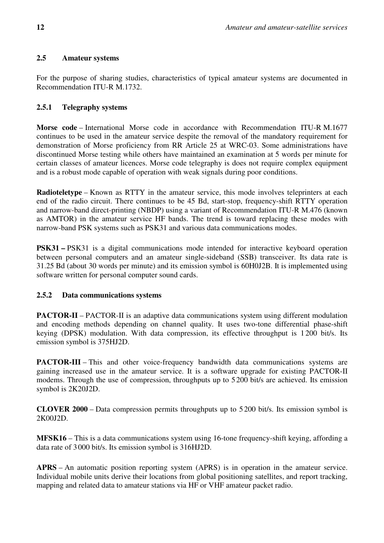## **2.5 Amateur systems**

For the purpose of sharing studies, characteristics of typical amateur systems are documented in Recommendation ITU-R M.1732.

#### **2.5.1 Telegraphy systems**

**Morse code** – International Morse code in accordance with Recommendation ITU-R M.1677 continues to be used in the amateur service despite the removal of the mandatory requirement for demonstration of Morse proficiency from RR Article 25 at WRC-03. Some administrations have discontinued Morse testing while others have maintained an examination at 5 words per minute for certain classes of amateur licences. Morse code telegraphy is does not require complex equipment and is a robust mode capable of operation with weak signals during poor conditions.

**Radioteletype** – Known as RTTY in the amateur service, this mode involves teleprinters at each end of the radio circuit. There continues to be 45 Bd, start-stop, frequency-shift RTTY operation and narrow-band direct-printing (NBDP) using a variant of Recommendation ITU-R M.476 (known as AMTOR) in the amateur service HF bands. The trend is toward replacing these modes with narrow-band PSK systems such as PSK31 and various data communications modes.

**PSK31 – PSK31** is a digital communications mode intended for interactive keyboard operation between personal computers and an amateur single-sideband (SSB) transceiver. Its data rate is 31.25 Bd (about 30 words per minute) and its emission symbol is 60H0J2B. It is implemented using software written for personal computer sound cards.

#### **2.5.2 Data communications systems**

**PACTOR-II** – PACTOR-II is an adaptive data communications system using different modulation and encoding methods depending on channel quality. It uses two-tone differential phase-shift keying (DPSK) modulation. With data compression, its effective throughput is 1 200 bit/s. Its emission symbol is 375HJ2D.

**PACTOR-III** – This and other voice-frequency bandwidth data communications systems are gaining increased use in the amateur service. It is a software upgrade for existing PACTOR-II modems. Through the use of compression, throughputs up to 5 200 bit/s are achieved. Its emission symbol is 2K20J2D.

**CLOVER 2000** – Data compression permits throughputs up to 5 200 bit/s. Its emission symbol is 2K00J2D.

**MFSK16** – This is a data communications system using 16-tone frequency-shift keying, affording a data rate of 3 000 bit/s. Its emission symbol is 316HJ2D.

**APRS** – An automatic position reporting system (APRS) is in operation in the amateur service. Individual mobile units derive their locations from global positioning satellites, and report tracking, mapping and related data to amateur stations via HF or VHF amateur packet radio.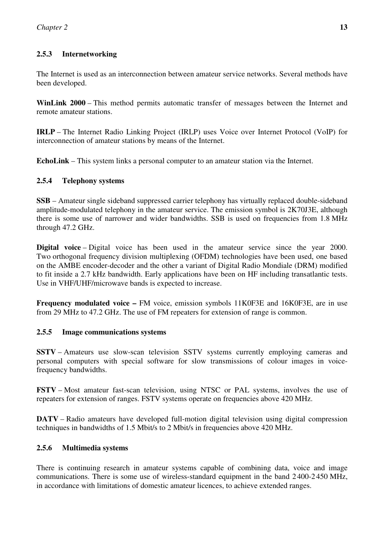## **2.5.3 Internetworking**

The Internet is used as an interconnection between amateur service networks. Several methods have been developed.

**WinLink 2000** – This method permits automatic transfer of messages between the Internet and remote amateur stations.

**IRLP** – The Internet Radio Linking Project (IRLP) uses Voice over Internet Protocol (VoIP) for interconnection of amateur stations by means of the Internet.

**EchoLink** – This system links a personal computer to an amateur station via the Internet.

## **2.5.4 Telephony systems**

**SSB** – Amateur single sideband suppressed carrier telephony has virtually replaced double-sideband amplitude-modulated telephony in the amateur service. The emission symbol is 2K70J3E, although there is some use of narrower and wider bandwidths. SSB is used on frequencies from 1.8 MHz through 47.2 GHz.

**Digital voice** – Digital voice has been used in the amateur service since the year 2000. Two orthogonal frequency division multiplexing (OFDM) technologies have been used, one based on the AMBE encoder-decoder and the other a variant of Digital Radio Mondiale (DRM) modified to fit inside a 2.7 kHz bandwidth. Early applications have been on HF including transatlantic tests. Use in VHF/UHF/microwave bands is expected to increase.

**Frequency modulated voice –** FM voice, emission symbols 11K0F3E and 16K0F3E, are in use from 29 MHz to 47.2 GHz. The use of FM repeaters for extension of range is common.

## **2.5.5 Image communications systems**

**SSTV** – Amateurs use slow-scan television SSTV systems currently employing cameras and personal computers with special software for slow transmissions of colour images in voicefrequency bandwidths.

**FSTV** – Most amateur fast-scan television, using NTSC or PAL systems, involves the use of repeaters for extension of ranges. FSTV systems operate on frequencies above 420 MHz.

**DATV** – Radio amateurs have developed full-motion digital television using digital compression techniques in bandwidths of 1.5 Mbit/s to 2 Mbit/s in frequencies above 420 MHz.

## **2.5.6 Multimedia systems**

There is continuing research in amateur systems capable of combining data, voice and image communications. There is some use of wireless-standard equipment in the band 2 400-2 450 MHz, in accordance with limitations of domestic amateur licences, to achieve extended ranges.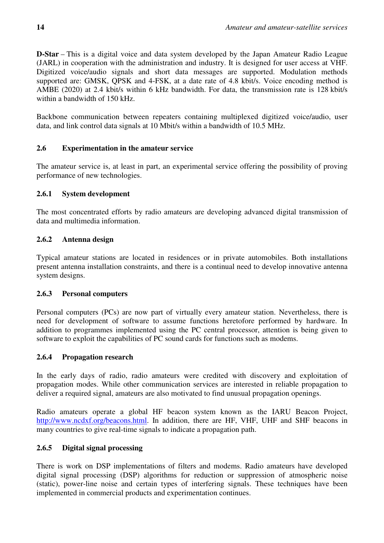**D-Star** – This is a digital voice and data system developed by the Japan Amateur Radio League (JARL) in cooperation with the administration and industry. It is designed for user access at VHF. Digitized voice/audio signals and short data messages are supported. Modulation methods supported are: GMSK, QPSK and 4-FSK, at a date rate of 4.8 kbit/s. Voice encoding method is AMBE (2020) at 2.4 kbit/s within 6 kHz bandwidth. For data, the transmission rate is 128 kbit/s within a bandwidth of 150 kHz.

Backbone communication between repeaters containing multiplexed digitized voice/audio, user data, and link control data signals at 10 Mbit/s within a bandwidth of 10.5 MHz.

## **2.6 Experimentation in the amateur service**

The amateur service is, at least in part, an experimental service offering the possibility of proving performance of new technologies.

## **2.6.1 System development**

The most concentrated efforts by radio amateurs are developing advanced digital transmission of data and multimedia information.

## **2.6.2 Antenna design**

Typical amateur stations are located in residences or in private automobiles. Both installations present antenna installation constraints, and there is a continual need to develop innovative antenna system designs.

## **2.6.3 Personal computers**

Personal computers (PCs) are now part of virtually every amateur station. Nevertheless, there is need for development of software to assume functions heretofore performed by hardware. In addition to programmes implemented using the PC central processor, attention is being given to software to exploit the capabilities of PC sound cards for functions such as modems.

## **2.6.4 Propagation research**

In the early days of radio, radio amateurs were credited with discovery and exploitation of propagation modes. While other communication services are interested in reliable propagation to deliver a required signal, amateurs are also motivated to find unusual propagation openings.

Radio amateurs operate a global HF beacon system known as the IARU Beacon Project, http://www.ncdxf.org/beacons.html. In addition, there are HF, VHF, UHF and SHF beacons in many countries to give real-time signals to indicate a propagation path.

## **2.6.5 Digital signal processing**

There is work on DSP implementations of filters and modems. Radio amateurs have developed digital signal processing (DSP) algorithms for reduction or suppression of atmospheric noise (static), power-line noise and certain types of interfering signals. These techniques have been implemented in commercial products and experimentation continues.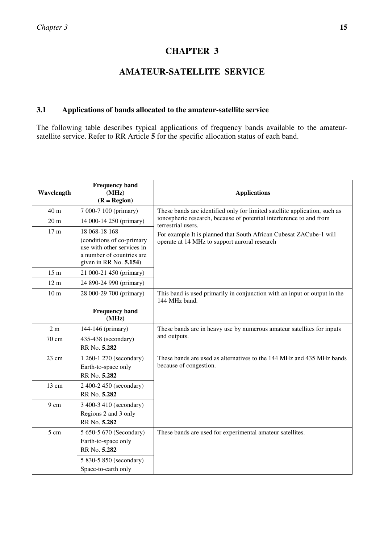## **CHAPTER 3**

## **AMATEUR-SATELLITE SERVICE**

#### **3.1 Applications of bands allocated to the amateur-satellite service**

The following table describes typical applications of frequency bands available to the amateursatellite service. Refer to RR Article **5** for the specific allocation status of each band.

| Wavelength      | <b>Frequency band</b><br>(MHz)<br>$(R = Region)$                                                                                | <b>Applications</b>                                                                                                 |
|-----------------|---------------------------------------------------------------------------------------------------------------------------------|---------------------------------------------------------------------------------------------------------------------|
| 40 m            | 7 000-7 100 (primary)                                                                                                           | These bands are identified only for limited satellite application, such as                                          |
| 20 <sub>m</sub> | 14 000-14 250 (primary)                                                                                                         | ionospheric research, because of potential interference to and from<br>terrestrial users.                           |
| 17 <sub>m</sub> | 18 068-18 168<br>(conditions of co-primary<br>use with other services in<br>a number of countries are<br>given in RR No. 5.154) | For example It is planned that South African Cubesat ZACube-1 will<br>operate at 14 MHz to support auroral research |
| 15 <sub>m</sub> | 21 000-21 450 (primary)                                                                                                         |                                                                                                                     |
| 12 <sub>m</sub> | 24 890-24 990 (primary)                                                                                                         |                                                                                                                     |
| 10 <sub>m</sub> | 28 000-29 700 (primary)                                                                                                         | This band is used primarily in conjunction with an input or output in the<br>144 MHz band.                          |
|                 | <b>Frequency band</b><br>(MHz)                                                                                                  |                                                                                                                     |
| 2m              | 144-146 (primary)                                                                                                               | These bands are in heavy use by numerous amateur satellites for inputs                                              |
| 70 cm           | 435-438 (secondary)<br>RR No. 5.282                                                                                             | and outputs.                                                                                                        |
| 23 cm           | 1 260-1 270 (secondary)<br>Earth-to-space only<br>RR No. 5.282                                                                  | These bands are used as alternatives to the 144 MHz and 435 MHz bands<br>because of congestion.                     |
| 13 cm           | 2 400-2 450 (secondary)<br>RR No. 5.282                                                                                         |                                                                                                                     |
| 9 cm            | 3 400-3 410 (secondary)<br>Regions 2 and 3 only<br>RR No. 5.282                                                                 |                                                                                                                     |
| 5 cm            | 5 650-5 670 (Secondary)<br>Earth-to-space only<br>RR No. 5.282                                                                  | These bands are used for experimental amateur satellites.                                                           |
|                 | 5 830-5 850 (secondary)<br>Space-to-earth only                                                                                  |                                                                                                                     |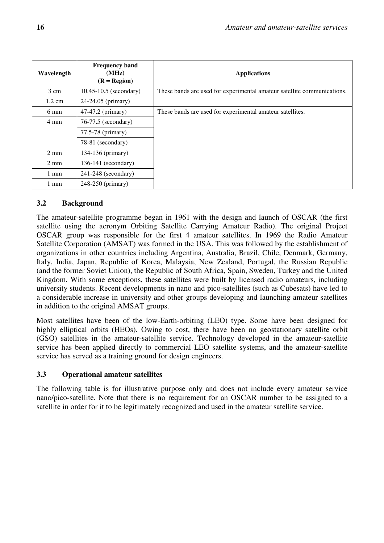| Wavelength       | <b>Frequency band</b><br>(MHz)<br>$(R = Region)$ | <b>Applications</b>                                                     |
|------------------|--------------------------------------------------|-------------------------------------------------------------------------|
| $3 \text{ cm}$   | $10.45 - 10.5$ (secondary)                       | These bands are used for experimental amateur satellite communications. |
| $1.2 \text{ cm}$ | 24-24.05 (primary)                               |                                                                         |
| $6 \text{ mm}$   | 47-47.2 (primary)                                | These bands are used for experimental amateur satellites.               |
| $4 \text{ mm}$   | 76-77.5 (secondary)                              |                                                                         |
|                  | 77.5-78 (primary)                                |                                                                         |
|                  | 78-81 (secondary)                                |                                                                         |
| $2 \text{ mm}$   | 134-136 (primary)                                |                                                                         |
| $2 \text{ mm}$   | $136-141$ (secondary)                            |                                                                         |
| 1 mm             | $241-248$ (secondary)                            |                                                                         |
| 1 mm             | 248-250 (primary)                                |                                                                         |

#### **3.2 Background**

The amateur-satellite programme began in 1961 with the design and launch of OSCAR (the first satellite using the acronym Orbiting Satellite Carrying Amateur Radio). The original Project OSCAR group was responsible for the first 4 amateur satellites. In 1969 the Radio Amateur Satellite Corporation (AMSAT) was formed in the USA. This was followed by the establishment of organizations in other countries including Argentina, Australia, Brazil, Chile, Denmark, Germany, Italy, India, Japan, Republic of Korea, Malaysia, New Zealand, Portugal, the Russian Republic (and the former Soviet Union), the Republic of South Africa, Spain, Sweden, Turkey and the United Kingdom. With some exceptions, these satellites were built by licensed radio amateurs, including university students. Recent developments in nano and pico-satellites (such as Cubesats) have led to a considerable increase in university and other groups developing and launching amateur satellites in addition to the original AMSAT groups.

Most satellites have been of the low-Earth-orbiting (LEO) type. Some have been designed for highly elliptical orbits (HEOs). Owing to cost, there have been no geostationary satellite orbit (GSO) satellites in the amateur-satellite service. Technology developed in the amateur-satellite service has been applied directly to commercial LEO satellite systems, and the amateur-satellite service has served as a training ground for design engineers.

#### **3.3 Operational amateur satellites**

The following table is for illustrative purpose only and does not include every amateur service nano/pico-satellite. Note that there is no requirement for an OSCAR number to be assigned to a satellite in order for it to be legitimately recognized and used in the amateur satellite service.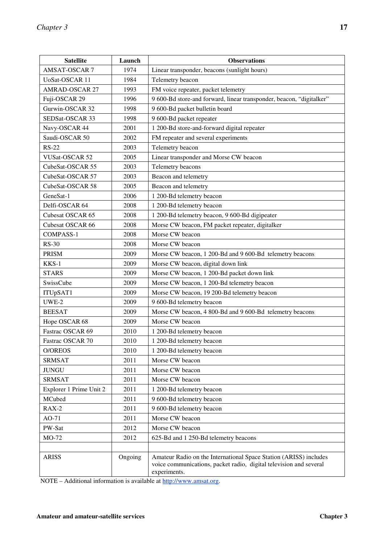| <b>Satellite</b>        | Launch  | <b>Observations</b>                                                                                                                                     |  |
|-------------------------|---------|---------------------------------------------------------------------------------------------------------------------------------------------------------|--|
| <b>AMSAT-OSCAR 7</b>    | 1974    | Linear transponder, beacons (sunlight hours)                                                                                                            |  |
| UoSat-OSCAR 11          | 1984    | Telemetry beacon                                                                                                                                        |  |
| <b>AMRAD-OSCAR 27</b>   | 1993    | FM voice repeater, packet telemetry                                                                                                                     |  |
| Fuji-OSCAR 29           | 1996    | 9 600-Bd store-and forward, linear transponder, beacon, "digitalker"                                                                                    |  |
| Gurwin-OSCAR 32         | 1998    | 9 600-Bd packet bulletin board                                                                                                                          |  |
| SEDSat-OSCAR 33         | 1998    | 9 600-Bd packet repeater                                                                                                                                |  |
| Navy-OSCAR 44           | 2001    | 1 200-Bd store-and-forward digital repeater                                                                                                             |  |
| Saudi-OSCAR 50          | 2002    | FM repeater and several experiments                                                                                                                     |  |
| <b>RS-22</b>            | 2003    | Telemetry beacon                                                                                                                                        |  |
| VUSat-OSCAR 52          | 2005    | Linear transponder and Morse CW beacon                                                                                                                  |  |
| CubeSat-OSCAR 55        | 2003    | Telemetry beacons                                                                                                                                       |  |
| CubeSat-OSCAR 57        | 2003    | Beacon and telemetry                                                                                                                                    |  |
| CubeSat-OSCAR 58        | 2005    | Beacon and telemetry                                                                                                                                    |  |
| GeneSat-1               | 2006    | 1 200-Bd telemetry beacon                                                                                                                               |  |
| Delfi-OSCAR 64          | 2008    | 1 200-Bd telemetry beacon                                                                                                                               |  |
| Cubesat OSCAR 65        | 2008    | 1 200-Bd telemetry beacon, 9 600-Bd digipeater                                                                                                          |  |
| Cubesat OSCAR 66        | 2008    | Morse CW beacon, FM packet repeater, digitalker                                                                                                         |  |
| <b>COMPASS-1</b>        | 2008    | Morse CW beacon                                                                                                                                         |  |
| $RS-30$                 | 2008    | Morse CW beacon                                                                                                                                         |  |
| <b>PRISM</b>            | 2009    | Morse CW beacon, 1 200-Bd and 9 600-Bd telemetry beacons                                                                                                |  |
| KKS-1                   | 2009    | Morse CW beacon, digital down link                                                                                                                      |  |
| <b>STARS</b>            | 2009    | Morse CW beacon, 1 200-Bd packet down link                                                                                                              |  |
| SwissCube               | 2009    | Morse CW beacon, 1 200-Bd telemetry beacon                                                                                                              |  |
| ITUpSAT1                | 2009    | Morse CW beacon, 19 200-Bd telemetry beacon                                                                                                             |  |
| UWE-2                   | 2009    | 9 600-Bd telemetry beacon                                                                                                                               |  |
| <b>BEESAT</b>           | 2009    | Morse CW beacon, 4 800-Bd and 9 600-Bd telemetry beacons                                                                                                |  |
| Hope OSCAR 68           | 2009    | Morse CW beacon                                                                                                                                         |  |
| Fastrac OSCAR 69        | 2010    | 1 200-Bd telemetry beacon                                                                                                                               |  |
| Fastrac OSCAR 70        | 2010    | 1 200-Bd telemetry beacon                                                                                                                               |  |
| O/OREOS                 | 2010    | 1 200-Bd telemetry beacon                                                                                                                               |  |
| <b>SRMSAT</b>           | 2011    | Morse CW beacon                                                                                                                                         |  |
| <b>JUNGU</b>            | 2011    | Morse CW beacon                                                                                                                                         |  |
| <b>SRMSAT</b>           | 2011    | Morse CW beacon                                                                                                                                         |  |
| Explorer 1 Prime Unit 2 | 2011    | 1 200-Bd telemetry beacon                                                                                                                               |  |
| MCubed                  | 2011    | 9 600-Bd telemetry beacon                                                                                                                               |  |
| $RAX-2$                 | 2011    | 9 600-Bd telemetry beacon                                                                                                                               |  |
| $AO-71$                 | 2011    | Morse CW beacon                                                                                                                                         |  |
| PW-Sat                  | 2012    | Morse CW beacon                                                                                                                                         |  |
| $MO-72$                 | 2012    | 625-Bd and 1 250-Bd telemetry beacons                                                                                                                   |  |
|                         |         |                                                                                                                                                         |  |
| <b>ARISS</b>            | Ongoing | Amateur Radio on the International Space Station (ARISS) includes<br>voice communications, packet radio, digital television and several<br>experiments. |  |

NOTE – Additional information is available at http://www.amsat.org.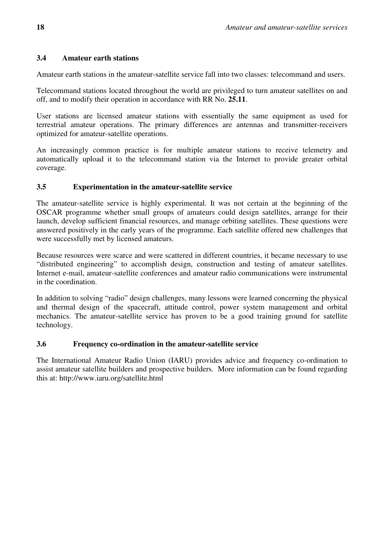## **3.4 Amateur earth stations**

Amateur earth stations in the amateur-satellite service fall into two classes: telecommand and users.

Telecommand stations located throughout the world are privileged to turn amateur satellites on and off, and to modify their operation in accordance with RR No. **25.11**.

User stations are licensed amateur stations with essentially the same equipment as used for terrestrial amateur operations. The primary differences are antennas and transmitter-receivers optimized for amateur-satellite operations.

An increasingly common practice is for multiple amateur stations to receive telemetry and automatically upload it to the telecommand station via the Internet to provide greater orbital coverage.

#### **3.5 Experimentation in the amateur-satellite service**

The amateur-satellite service is highly experimental. It was not certain at the beginning of the OSCAR programme whether small groups of amateurs could design satellites, arrange for their launch, develop sufficient financial resources, and manage orbiting satellites. These questions were answered positively in the early years of the programme. Each satellite offered new challenges that were successfully met by licensed amateurs.

Because resources were scarce and were scattered in different countries, it became necessary to use "distributed engineering" to accomplish design, construction and testing of amateur satellites. Internet e-mail, amateur-satellite conferences and amateur radio communications were instrumental in the coordination.

In addition to solving "radio" design challenges, many lessons were learned concerning the physical and thermal design of the spacecraft, attitude control, power system management and orbital mechanics. The amateur-satellite service has proven to be a good training ground for satellite technology.

#### **3.6 Frequency co-ordination in the amateur-satellite service**

The International Amateur Radio Union (IARU) provides advice and frequency co-ordination to assist amateur satellite builders and prospective builders. More information can be found regarding this at: http://www.iaru.org/satellite.html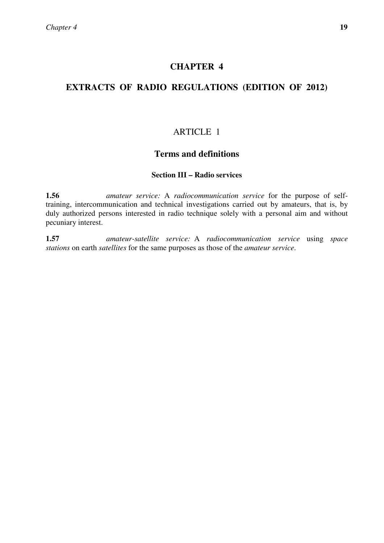## **CHAPTER 4**

## **EXTRACTS OF RADIO REGULATIONS (EDITION OF 2012)**

## ARTICLE 1

## **Terms and definitions**

## **Section III – Radio services**

**1.56** *amateur service:* A *radiocommunication service* for the purpose of selftraining, intercommunication and technical investigations carried out by amateurs, that is, by duly authorized persons interested in radio technique solely with a personal aim and without pecuniary interest.

**1.57** *amateur-satellite service:* A *radiocommunication service* using *space stations* on earth *satellites* for the same purposes as those of the *amateur service*.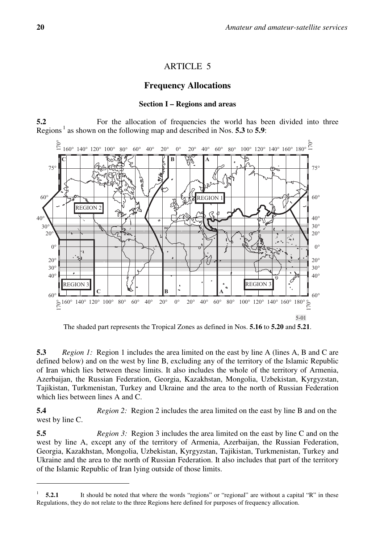## ARTICLE 5

#### **Frequency Allocations**

#### **Section I – Regions and areas**

**5.2** For the allocation of frequencies the world has been divided into three Regions<sup>1</sup> as shown on the following map and described in Nos. **5.3** to **5.9**:



The shaded part represents the Tropical Zones as defined in Nos. **5.16** to **5.20** and **5.21**.

**5.3** *Region 1:* Region 1 includes the area limited on the east by line A (lines A, B and C are defined below) and on the west by line B, excluding any of the territory of the Islamic Republic of Iran which lies between these limits. It also includes the whole of the territory of Armenia, Azerbaijan, the Russian Federation, Georgia, Kazakhstan, Mongolia, Uzbekistan, Kyrgyzstan, Tajikistan, Turkmenistan, Turkey and Ukraine and the area to the north of Russian Federation which lies between lines A and C.

**5.4** *Region 2:* Region 2 includes the area limited on the east by line B and on the west by line C.

**5.5** *Region 3:* Region 3 includes the area limited on the east by line C and on the west by line A, except any of the territory of Armenia, Azerbaijan, the Russian Federation, Georgia, Kazakhstan, Mongolia, Uzbekistan, Kyrgyzstan, Tajikistan, Turkmenistan, Turkey and Ukraine and the area to the north of Russian Federation. It also includes that part of the territory of the Islamic Republic of Iran lying outside of those limits.

ł

<sup>1</sup> **5.2.1** It should be noted that where the words "regions" or "regional" are without a capital "R" in these Regulations, they do not relate to the three Regions here defined for purposes of frequency allocation.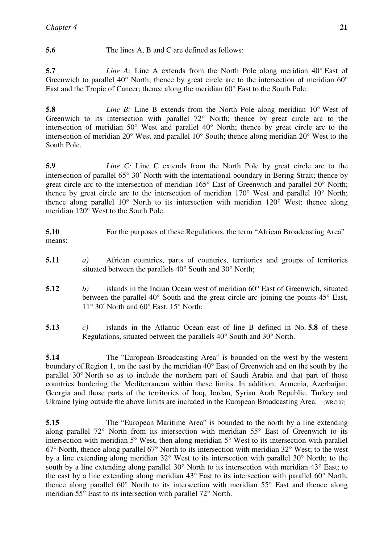## **5.6** The lines A, B and C are defined as follows:

**5.7** *Line A:* Line A extends from the North Pole along meridian 40° East of Greenwich to parallel 40° North; thence by great circle arc to the intersection of meridian 60° East and the Tropic of Cancer; thence along the meridian 60° East to the South Pole.

**5.8** *Line B:* Line B extends from the North Pole along meridian 10° West of Greenwich to its intersection with parallel 72° North; thence by great circle arc to the intersection of meridian 50° West and parallel 40° North; thence by great circle arc to the intersection of meridian 20° West and parallel 10° South; thence along meridian 20° West to the South Pole.

**5.9** *Line C:* Line C extends from the North Pole by great circle arc to the intersection of parallel 65° 30′ North with the international boundary in Bering Strait; thence by great circle arc to the intersection of meridian 165° East of Greenwich and parallel 50° North; thence by great circle arc to the intersection of meridian 170° West and parallel 10° North; thence along parallel 10° North to its intersection with meridian 120° West; thence along meridian 120° West to the South Pole.

**5.10** For the purposes of these Regulations, the term "African Broadcasting Area" means:

- **5.11** *a)* African countries, parts of countries, territories and groups of territories situated between the parallels 40° South and 30° North;
- **5.12** *b)* islands in the Indian Ocean west of meridian 60° East of Greenwich, situated between the parallel 40° South and the great circle arc joining the points 45° East, 11° 30′ North and 60° East, 15° North;
- **5.13** *c)* islands in the Atlantic Ocean east of line B defined in No. **5.8** of these Regulations, situated between the parallels 40° South and 30° North.

**5.14** The "European Broadcasting Area" is bounded on the west by the western boundary of Region 1, on the east by the meridian 40° East of Greenwich and on the south by the parallel 30° North so as to include the northern part of Saudi Arabia and that part of those countries bordering the Mediterranean within these limits. In addition, Armenia, Azerbaijan, Georgia and those parts of the territories of Iraq, Jordan, Syrian Arab Republic, Turkey and Ukraine lying outside the above limits are included in the European Broadcasting Area. (WRC-07)

**5.15** The "European Maritime Area" is bounded to the north by a line extending along parallel 72° North from its intersection with meridian 55° East of Greenwich to its intersection with meridian 5° West, then along meridian 5° West to its intersection with parallel 67° North, thence along parallel 67° North to its intersection with meridian 32° West; to the west by a line extending along meridian 32° West to its intersection with parallel 30° North; to the south by a line extending along parallel 30° North to its intersection with meridian 43° East; to the east by a line extending along meridian 43° East to its intersection with parallel 60° North, thence along parallel 60° North to its intersection with meridian 55° East and thence along meridian 55° East to its intersection with parallel 72° North.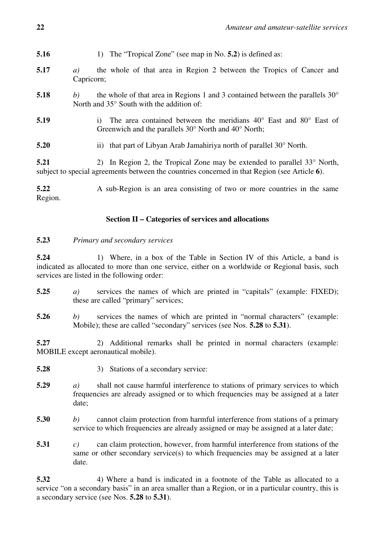# **5.16** 1) The "Tropical Zone" (see map in No. **5.2**) is defined as:

- **5.17** *a)* the whole of that area in Region 2 between the Tropics of Cancer and Capricorn;
- **5.18** *b)* the whole of that area in Regions 1 and 3 contained between the parallels 30° North and 35° South with the addition of:
- **5.19** i) The area contained between the meridians 40° East and 80° East of Greenwich and the parallels 30° North and 40° North;
- **5.20** ii) that part of Libyan Arab Jamahiriya north of parallel 30° North.

**5.21** 2) In Region 2, the Tropical Zone may be extended to parallel 33° North, subject to special agreements between the countries concerned in that Region (see Article **6**).

**5.22** A sub-Region is an area consisting of two or more countries in the same Region.

# **Section II – Categories of services and allocations**

**5.23** *Primary and secondary services*

**5.24** 1) Where, in a box of the Table in Section IV of this Article, a band is indicated as allocated to more than one service, either on a worldwide or Regional basis, such services are listed in the following order:

- **5.25** *a)* services the names of which are printed in "capitals" (example: FIXED); these are called "primary" services;
- **5.26** *b)* services the names of which are printed in "normal characters" (example: Mobile); these are called "secondary" services (see Nos. **5.28** to **5.31**).

**5.27** 2) Additional remarks shall be printed in normal characters (example: MOBILE except aeronautical mobile).

- **5.28** 3) Stations of a secondary service:
- **5.29** *a)* shall not cause harmful interference to stations of primary services to which frequencies are already assigned or to which frequencies may be assigned at a later date;
- **5.30** *b)* cannot claim protection from harmful interference from stations of a primary service to which frequencies are already assigned or may be assigned at a later date;
- **5.31** *c)* can claim protection, however, from harmful interference from stations of the same or other secondary service(s) to which frequencies may be assigned at a later date.

**5.32** 4) Where a band is indicated in a footnote of the Table as allocated to a service "on a secondary basis" in an area smaller than a Region, or in a particular country, this is a secondary service (see Nos. **5.28** to **5.31**).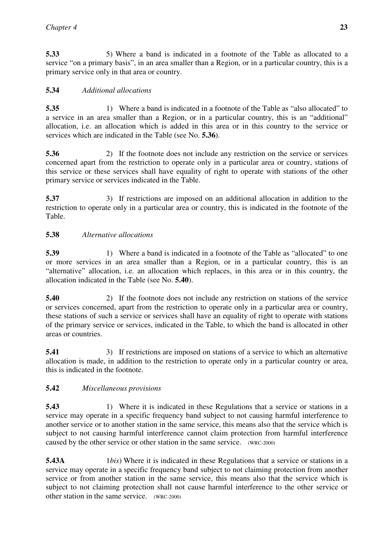**5.33** 5) Where a band is indicated in a footnote of the Table as allocated to a service "on a primary basis", in an area smaller than a Region, or in a particular country, this is a primary service only in that area or country.

## **5.34** *Additional allocations*

**5.35** 1) Where a band is indicated in a footnote of the Table as "also allocated" to a service in an area smaller than a Region, or in a particular country, this is an "additional" allocation, i.e. an allocation which is added in this area or in this country to the service or services which are indicated in the Table (see No. **5.36**).

**5.36** 2) If the footnote does not include any restriction on the service or services concerned apart from the restriction to operate only in a particular area or country, stations of this service or these services shall have equality of right to operate with stations of the other primary service or services indicated in the Table.

**5.37** 3) If restrictions are imposed on an additional allocation in addition to the restriction to operate only in a particular area or country, this is indicated in the footnote of the Table.

## **5.38** *Alternative allocations*

**5.39** 1) Where a band is indicated in a footnote of the Table as "allocated" to one or more services in an area smaller than a Region, or in a particular country, this is an "alternative" allocation, i.e. an allocation which replaces, in this area or in this country, the allocation indicated in the Table (see No. **5.40**).

**5.40** 2) If the footnote does not include any restriction on stations of the service or services concerned, apart from the restriction to operate only in a particular area or country, these stations of such a service or services shall have an equality of right to operate with stations of the primary service or services, indicated in the Table, to which the band is allocated in other areas or countries.

**5.41** 3) If restrictions are imposed on stations of a service to which an alternative allocation is made, in addition to the restriction to operate only in a particular country or area, this is indicated in the footnote.

## **5.42** *Miscellaneous provisions*

**5.43** 1) Where it is indicated in these Regulations that a service or stations in a service may operate in a specific frequency band subject to not causing harmful interference to another service or to another station in the same service, this means also that the service which is subject to not causing harmful interference cannot claim protection from harmful interference caused by the other service or other station in the same service. (WRC-2000)

**5.43A** 1*bis*) Where it is indicated in these Regulations that a service or stations in a service may operate in a specific frequency band subject to not claiming protection from another service or from another station in the same service, this means also that the service which is subject to not claiming protection shall not cause harmful interference to the other service or other station in the same service. (WRC-2000)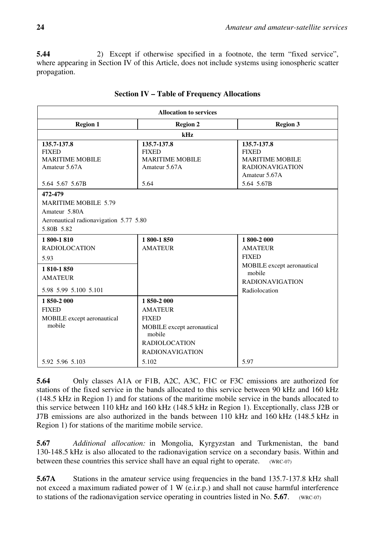**5.44** 2) Except if otherwise specified in a footnote, the term "fixed service", where appearing in Section IV of this Article, does not include systems using ionospheric scatter propagation.

| <b>Allocation to services</b>                                                                                   |                                                                                                                                       |                                                                                                  |  |  |  |
|-----------------------------------------------------------------------------------------------------------------|---------------------------------------------------------------------------------------------------------------------------------------|--------------------------------------------------------------------------------------------------|--|--|--|
| <b>Region 1</b>                                                                                                 | <b>Region 2</b>                                                                                                                       | <b>Region 3</b>                                                                                  |  |  |  |
| kHz                                                                                                             |                                                                                                                                       |                                                                                                  |  |  |  |
| 135.7-137.8<br><b>FIXED</b><br><b>MARITIME MOBILE</b><br>Amateur 5.67A                                          | 135.7-137.8<br><b>FIXED</b><br><b>MARITIME MOBILE</b><br>Amateur 5.67A                                                                | 135.7-137.8<br><b>FIXED</b><br><b>MARITIME MOBILE</b><br><b>RADIONAVIGATION</b><br>Amateur 5.67A |  |  |  |
| 5.64 5.67 5.67B                                                                                                 | 5.64                                                                                                                                  | 5.64 5.67B                                                                                       |  |  |  |
| 472-479<br><b>MARITIME MOBILE 5.79</b><br>Amateur 5.80A<br>Aeronautical radionavigation 5.77 5.80<br>5.80B 5.82 |                                                                                                                                       |                                                                                                  |  |  |  |
| 1800-1810<br><b>RADIOLOCATION</b><br>5.93                                                                       | 1800-1850<br><b>AMATEUR</b>                                                                                                           | 1 800-2 000<br><b>AMATEUR</b><br><b>FIXED</b>                                                    |  |  |  |
| 1810-1850<br><b>AMATEUR</b>                                                                                     |                                                                                                                                       | MOBILE except aeronautical<br>mobile<br><b>RADIONAVIGATION</b>                                   |  |  |  |
| 5.98 5.99 5.100 5.101                                                                                           |                                                                                                                                       | Radiolocation                                                                                    |  |  |  |
| 1850-2000<br><b>FIXED</b><br>MOBILE except aeronautical<br>mobile                                               | 1850-2000<br><b>AMATEUR</b><br><b>FIXED</b><br>MOBILE except aeronautical<br>mobile<br><b>RADIOLOCATION</b><br><b>RADIONAVIGATION</b> |                                                                                                  |  |  |  |
| 5.92 5.96 5.103                                                                                                 | 5.102                                                                                                                                 | 5.97                                                                                             |  |  |  |

#### **Section IV – Table of Frequency Allocations**

**5.64** Only classes A1A or F1B, A2C, A3C, F1C or F3C emissions are authorized for stations of the fixed service in the bands allocated to this service between 90 kHz and 160 kHz (148.5 kHz in Region 1) and for stations of the maritime mobile service in the bands allocated to this service between 110 kHz and 160 kHz (148.5 kHz in Region 1). Exceptionally, class J2B or J7B emissions are also authorized in the bands between 110 kHz and 160 kHz (148.5 kHz in Region 1) for stations of the maritime mobile service.

**5.67** *Additional allocation:* in Mongolia, Kyrgyzstan and Turkmenistan, the band 130-148.5 kHz is also allocated to the radionavigation service on a secondary basis. Within and between these countries this service shall have an equal right to operate. (WRC-07)

**5.67A** Stations in the amateur service using frequencies in the band 135.7-137.8 kHz shall not exceed a maximum radiated power of 1 W (e.i.r.p.) and shall not cause harmful interference to stations of the radionavigation service operating in countries listed in No. **5.67**. (WRC-07)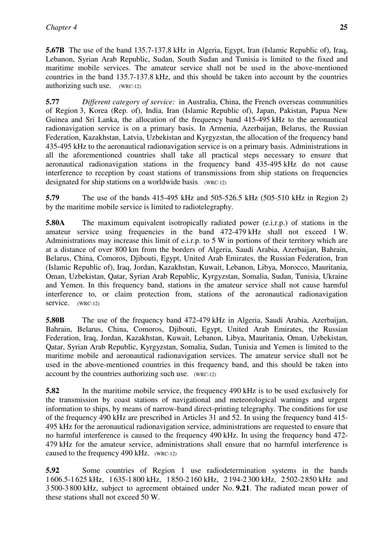**5.67B** The use of the band 135.7-137.8 kHz in Algeria, Egypt, Iran (Islamic Republic of), Iraq, Lebanon, Syrian Arab Republic, Sudan, South Sudan and Tunisia is limited to the fixed and maritime mobile services. The amateur service shall not be used in the above-mentioned countries in the band 135.7-137.8 kHz, and this should be taken into account by the countries authorizing such use. (WRC-12)

**5.77** *Different category of service:* in Australia, China, the French overseas communities of Region 3, Korea (Rep. of), India, Iran (Islamic Republic of), Japan, Pakistan, Papua New Guinea and Sri Lanka, the allocation of the frequency band 415-495 kHz to the aeronautical radionavigation service is on a primary basis. In Armenia, Azerbaijan, Belarus, the Russian Federation, Kazakhstan, Latvia, Uzbekistan and Kyrgyzstan, the allocation of the frequency band 435-495 kHz to the aeronautical radionavigation service is on a primary basis. Administrations in all the aforementioned countries shall take all practical steps necessary to ensure that aeronautical radionavigation stations in the frequency band 435-495 kHz do not cause interference to reception by coast stations of transmissions from ship stations on frequencies designated for ship stations on a worldwide basis. (WRC-12)

**5.79** The use of the bands 415-495 kHz and 505-526.5 kHz (505-510 kHz in Region 2) by the maritime mobile service is limited to radiotelegraphy.

**5.80A** The maximum equivalent isotropically radiated power (e.i.r.p.) of stations in the amateur service using frequencies in the band 472-479 kHz shall not exceed 1 W. Administrations may increase this limit of e.i.r.p. to 5 W in portions of their territory which are at a distance of over 800 km from the borders of Algeria, Saudi Arabia, Azerbaijan, Bahrain, Belarus, China, Comoros, Djibouti, Egypt, United Arab Emirates, the Russian Federation, Iran (Islamic Republic of), Iraq, Jordan, Kazakhstan, Kuwait, Lebanon, Libya, Morocco, Mauritania, Oman, Uzbekistan, Qatar, Syrian Arab Republic, Kyrgyzstan, Somalia, Sudan, Tunisia, Ukraine and Yemen. In this frequency band, stations in the amateur service shall not cause harmful interference to, or claim protection from, stations of the aeronautical radionavigation service. (WRC-12)

**5.80B** The use of the frequency band 472-479 kHz in Algeria, Saudi Arabia, Azerbaijan, Bahrain, Belarus, China, Comoros, Djibouti, Egypt, United Arab Emirates, the Russian Federation, Iraq, Jordan, Kazakhstan, Kuwait, Lebanon, Libya, Mauritania, Oman, Uzbekistan, Qatar, Syrian Arab Republic, Kyrgyzstan, Somalia, Sudan, Tunisia and Yemen is limited to the maritime mobile and aeronautical radionavigation services. The amateur service shall not be used in the above-mentioned countries in this frequency band, and this should be taken into account by the countries authorizing such use. (WRC-12)

**5.82** In the maritime mobile service, the frequency 490 kHz is to be used exclusively for the transmission by coast stations of navigational and meteorological warnings and urgent information to ships, by means of narrow-band direct-printing telegraphy. The conditions for use of the frequency 490 kHz are prescribed in Articles 31 and 52. In using the frequency band 415- 495 kHz for the aeronautical radionavigation service, administrations are requested to ensure that no harmful interference is caused to the frequency 490 kHz. In using the frequency band 472- 479 kHz for the amateur service, administrations shall ensure that no harmful interference is caused to the frequency 490 kHz. (WRC-12)

**5.92** Some countries of Region 1 use radiodetermination systems in the bands 1 606.5-1 625 kHz, 1 635-1 800 kHz, 1 850-2 160 kHz, 2 194-2 300 kHz, 2 502-2 850 kHz and 3 500-3 800 kHz, subject to agreement obtained under No. **9.21**. The radiated mean power of these stations shall not exceed 50 W.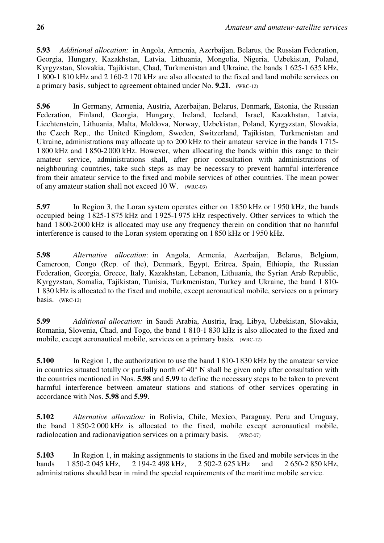**5.93** *Additional allocation:* in Angola, Armenia, Azerbaijan, Belarus, the Russian Federation, Georgia, Hungary, Kazakhstan, Latvia, Lithuania, Mongolia, Nigeria, Uzbekistan, Poland, Kyrgyzstan, Slovakia, Tajikistan, Chad, Turkmenistan and Ukraine, the bands 1 625-1 635 kHz, 1 800-1 810 kHz and 2 160-2 170 kHz are also allocated to the fixed and land mobile services on a primary basis, subject to agreement obtained under No. **9.21**. (WRC-12)

**5.96** In Germany, Armenia, Austria, Azerbaijan, Belarus, Denmark, Estonia, the Russian Federation, Finland, Georgia, Hungary, Ireland, Iceland, Israel, Kazakhstan, Latvia, Liechtenstein, Lithuania, Malta, Moldova, Norway, Uzbekistan, Poland, Kyrgyzstan, Slovakia, the Czech Rep., the United Kingdom, Sweden, Switzerland, Tajikistan, Turkmenistan and Ukraine, administrations may allocate up to 200 kHz to their amateur service in the bands 1 715- 1 800 kHz and 1 850-2 000 kHz. However, when allocating the bands within this range to their amateur service, administrations shall, after prior consultation with administrations of neighbouring countries, take such steps as may be necessary to prevent harmful interference from their amateur service to the fixed and mobile services of other countries. The mean power of any amateur station shall not exceed 10 W. (WRC-03)

**5.97** In Region 3, the Loran system operates either on 1 850 kHz or 1 950 kHz, the bands occupied being 1 825-1 875 kHz and 1 925-1 975 kHz respectively. Other services to which the band 1 800-2 000 kHz is allocated may use any frequency therein on condition that no harmful interference is caused to the Loran system operating on 1 850 kHz or 1 950 kHz.

**5.98** *Alternative allocation*: in Angola, Armenia, Azerbaijan, Belarus, Belgium, Cameroon, Congo (Rep. of the), Denmark, Egypt, Eritrea, Spain, Ethiopia, the Russian Federation, Georgia, Greece, Italy, Kazakhstan, Lebanon, Lithuania, the Syrian Arab Republic, Kyrgyzstan, Somalia, Tajikistan, Tunisia, Turkmenistan, Turkey and Ukraine, the band 1 810- 1 830 kHz is allocated to the fixed and mobile, except aeronautical mobile, services on a primary basis. (WRC-12)

**5.99** *Additional allocation:* in Saudi Arabia, Austria, Iraq, Libya, Uzbekistan, Slovakia, Romania, Slovenia, Chad, and Togo, the band 1 810-1 830 kHz is also allocated to the fixed and mobile, except aeronautical mobile, services on a primary basis. (WRC-12)

**5.100** In Region 1, the authorization to use the band 1 810-1 830 kHz by the amateur service in countries situated totally or partially north of 40° N shall be given only after consultation with the countries mentioned in Nos. **5.98** and **5.99** to define the necessary steps to be taken to prevent harmful interference between amateur stations and stations of other services operating in accordance with Nos. **5.98** and **5.99**.

**5.102** *Alternative allocation:* in Bolivia, Chile, Mexico, Paraguay, Peru and Uruguay, the band 1 850-2 000 kHz is allocated to the fixed, mobile except aeronautical mobile, radiolocation and radionavigation services on a primary basis. (WRC-07)

**5.103** In Region 1, in making assignments to stations in the fixed and mobile services in the bands 1 850-2 045 kHz, 2 194-2 498 kHz, 2 502-2 625 kHz and 2 650-2 850 kHz, administrations should bear in mind the special requirements of the maritime mobile service.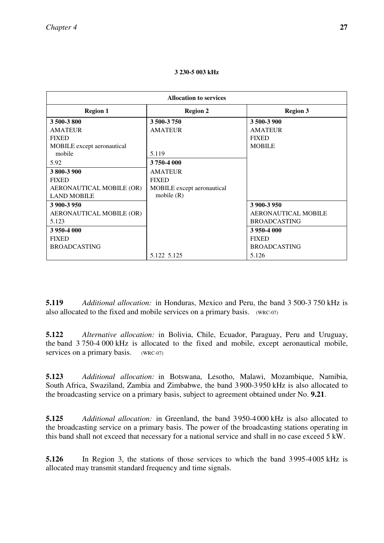#### **3 230-5 003 kHz**

| <b>Allocation to services</b> |                                   |                            |  |  |
|-------------------------------|-----------------------------------|----------------------------|--|--|
| <b>Region 1</b>               | <b>Region 2</b>                   | <b>Region 3</b>            |  |  |
| 3 500-3 800                   | 3 500-3 750                       | 3 500-3 900                |  |  |
| <b>AMATEUR</b>                | <b>AMATEUR</b>                    | <b>AMATEUR</b>             |  |  |
| <b>FIXED</b>                  |                                   | <b>FIXED</b>               |  |  |
| MOBILE except aeronautical    |                                   | <b>MOBILE</b>              |  |  |
| mobile                        | 5.119                             |                            |  |  |
| 5.92                          | 3750-4000                         |                            |  |  |
| 3 800-3 900                   | <b>AMATEUR</b>                    |                            |  |  |
| <b>FIXED</b>                  | <b>FIXED</b>                      |                            |  |  |
| AERONAUTICAL MOBILE (OR)      | <b>MOBILE</b> except aeronautical |                            |  |  |
| <b>LAND MOBILE</b>            | mobile $(R)$                      |                            |  |  |
| 3 900-3 950                   |                                   | 3 900-3 950                |  |  |
| AERONAUTICAL MOBILE (OR)      |                                   | <b>AERONAUTICAL MOBILE</b> |  |  |
| 5.123                         |                                   | <b>BROADCASTING</b>        |  |  |
| 3 950-4 000                   |                                   | 3 950-4 000                |  |  |
| <b>FIXED</b>                  |                                   | <b>FIXED</b>               |  |  |
| <b>BROADCASTING</b>           |                                   | <b>BROADCASTING</b>        |  |  |
|                               | 5.122 5.125                       | 5.126                      |  |  |

**5.119** *Additional allocation:* in Honduras, Mexico and Peru, the band 3 500-3 750 kHz is also allocated to the fixed and mobile services on a primary basis. (WRC-07)

**5.122** *Alternative allocation:* in Bolivia, Chile, Ecuador, Paraguay, Peru and Uruguay, the band 3 750-4 000 kHz is allocated to the fixed and mobile, except aeronautical mobile, services on a primary basis. (WRC-07)

**5.123** *Additional allocation:* in Botswana, Lesotho, Malawi, Mozambique, Namibia, South Africa, Swaziland, Zambia and Zimbabwe, the band 3 900-3 950 kHz is also allocated to the broadcasting service on a primary basis, subject to agreement obtained under No. **9.21**.

**5.125** *Additional allocation:* in Greenland, the band 3 950-4 000 kHz is also allocated to the broadcasting service on a primary basis. The power of the broadcasting stations operating in this band shall not exceed that necessary for a national service and shall in no case exceed 5 kW.

**5.126** In Region 3, the stations of those services to which the band 3 995-4005 kHz is allocated may transmit standard frequency and time signals.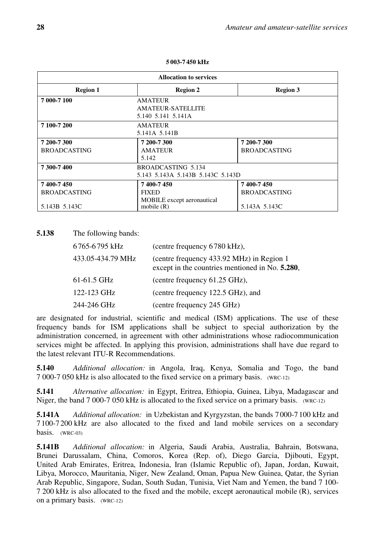| <b>Allocation to services</b>     |                                                                  |                     |  |  |
|-----------------------------------|------------------------------------------------------------------|---------------------|--|--|
| <b>Region 1</b>                   | <b>Region 2</b>                                                  | <b>Region 3</b>     |  |  |
| 7 000-7 100                       | <b>AMATEUR</b><br><b>AMATEUR-SATELLITE</b><br>5.140 5.141 5.141A |                     |  |  |
| 7 100-7 200                       | <b>AMATEUR</b><br>5.141A 5.141B                                  |                     |  |  |
| 7 200-7 300                       | 7 200-7 300                                                      | 7 200-7 300         |  |  |
| <b>BROADCASTING</b>               | <b>AMATEUR</b>                                                   | <b>BROADCASTING</b> |  |  |
|                                   | 5.142                                                            |                     |  |  |
| 7 300-7 400<br>BROADCASTING 5.134 |                                                                  |                     |  |  |
| 5.143 5.143A 5.143B 5.143C 5.143D |                                                                  |                     |  |  |
| 7 400-7 450                       | 7 400-7 450                                                      | 7 400-7 450         |  |  |
| <b>BROADCASTING</b>               | <b>FIXED</b>                                                     | <b>BROADCASTING</b> |  |  |
|                                   | MOBILE except aeronautical                                       |                     |  |  |
| 5.143B 5.143C                     | mobile $(R)$                                                     | 5.143A 5.143C       |  |  |

**5 003-7 450 kHz** 

**5.138** The following bands:

| 6765-6795 kHz     | (centre frequency 6780 kHz),                                                                 |
|-------------------|----------------------------------------------------------------------------------------------|
| 433.05-434.79 MHz | (centre frequency 433.92 MHz) in Region 1<br>except in the countries mentioned in No. 5.280, |
| 61-61.5 GHz       | (centre frequency 61.25 GHz),                                                                |
| 122-123 GHz       | (centre frequency 122.5 GHz), and                                                            |
| 244-246 GHz       | (centre frequency 245 GHz)                                                                   |

are designated for industrial, scientific and medical (ISM) applications. The use of these frequency bands for ISM applications shall be subject to special authorization by the administration concerned, in agreement with other administrations whose radiocommunication services might be affected. In applying this provision, administrations shall have due regard to the latest relevant ITU-R Recommendations.

**5.140** *Additional allocation:* in Angola, Iraq, Kenya, Somalia and Togo, the band 7 000-7 050 kHz is also allocated to the fixed service on a primary basis. (WRC-12)

**5.141** *Alternative allocation:* in Egypt, Eritrea, Ethiopia, Guinea, Libya, Madagascar and Niger, the band 7 000-7 050 kHz is allocated to the fixed service on a primary basis. (WRC-12)

**5.141A** *Additional allocation:* in Uzbekistan and Kyrgyzstan, the bands 7 000-7 100 kHz and 7 100-7 200 kHz are also allocated to the fixed and land mobile services on a secondary basis. (WRC-03)

**5.141B** *Additional allocation:* in Algeria, Saudi Arabia, Australia, Bahrain, Botswana, Brunei Darussalam, China, Comoros, Korea (Rep. of), Diego Garcia, Djibouti, Egypt, United Arab Emirates, Eritrea, Indonesia, Iran (Islamic Republic of), Japan, Jordan, Kuwait, Libya, Morocco, Mauritania, Niger, New Zealand, Oman, Papua New Guinea, Qatar, the Syrian Arab Republic, Singapore, Sudan, South Sudan, Tunisia, Viet Nam and Yemen, the band 7 100- 7 200 kHz is also allocated to the fixed and the mobile, except aeronautical mobile (R), services on a primary basis. (WRC-12)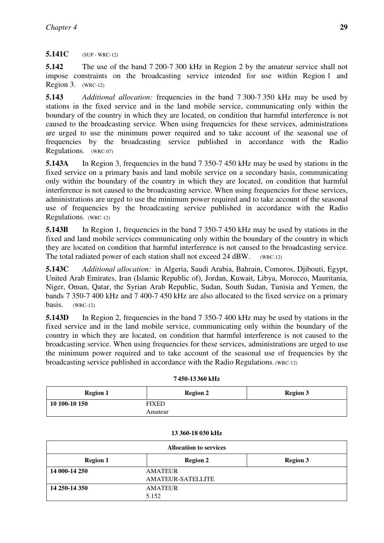## **5.141C** (SUP - WRC-12)

**5.142** The use of the band 7 200-7 300 kHz in Region 2 by the amateur service shall not impose constraints on the broadcasting service intended for use within Region 1 and Region 3. (WRC-12)

**5.143** *Additional allocation:* frequencies in the band 7 300-7 350 kHz may be used by stations in the fixed service and in the land mobile service, communicating only within the boundary of the country in which they are located, on condition that harmful interference is not caused to the broadcasting service. When using frequencies for these services, administrations are urged to use the minimum power required and to take account of the seasonal use of frequencies by the broadcasting service published in accordance with the Radio Regulations. (WRC-07)

**5.143A** In Region 3, frequencies in the band 7 350-7 450 kHz may be used by stations in the fixed service on a primary basis and land mobile service on a secondary basis, communicating only within the boundary of the country in which they are located, on condition that harmful interference is not caused to the broadcasting service. When using frequencies for these services, administrations are urged to use the minimum power required and to take account of the seasonal use of frequencies by the broadcasting service published in accordance with the Radio Regulations. (WRC-12)

**5.143B** In Region 1, frequencies in the band 7 350-7 450 kHz may be used by stations in the fixed and land mobile services communicating only within the boundary of the country in which they are located on condition that harmful interference is not caused to the broadcasting service. The total radiated power of each station shall not exceed 24 dBW. (WRC-12)

**5.143C** *Additional allocation:* in Algeria, Saudi Arabia, Bahrain, Comoros, Djibouti, Egypt, United Arab Emirates, Iran (Islamic Republic of), Jordan, Kuwait, Libya, Morocco, Mauritania, Niger, Oman, Qatar, the Syrian Arab Republic, Sudan, South Sudan, Tunisia and Yemen, the bands 7 350-7 400 kHz and 7 400-7 450 kHz are also allocated to the fixed service on a primary basis. (WRC-12)

**5.143D** In Region 2, frequencies in the band 7 350-7 400 kHz may be used by stations in the fixed service and in the land mobile service, communicating only within the boundary of the country in which they are located, on condition that harmful interference is not caused to the broadcasting service. When using frequencies for these services, administrations are urged to use the minimum power required and to take account of the seasonal use of frequencies by the broadcasting service published in accordance with the Radio Regulations. (WRC-12)

| <b>Region 1</b> | <b>Region 2</b> | <b>Region 3</b> |
|-----------------|-----------------|-----------------|
| 10 100-10 150   | <b>FIXED</b>    |                 |
|                 | Amateur         |                 |

**13 360-18 030 kHz** 

| <b>Allocation to services</b>                         |                          |  |  |
|-------------------------------------------------------|--------------------------|--|--|
| <b>Region 2</b><br><b>Region 1</b><br><b>Region 3</b> |                          |  |  |
| 14 000-14 250                                         | <b>AMATEUR</b>           |  |  |
|                                                       | <b>AMATEUR-SATELLITE</b> |  |  |
| 14 250-14 350                                         | <b>AMATEUR</b>           |  |  |
| 5.152                                                 |                          |  |  |

#### **7 450-13 360 kHz**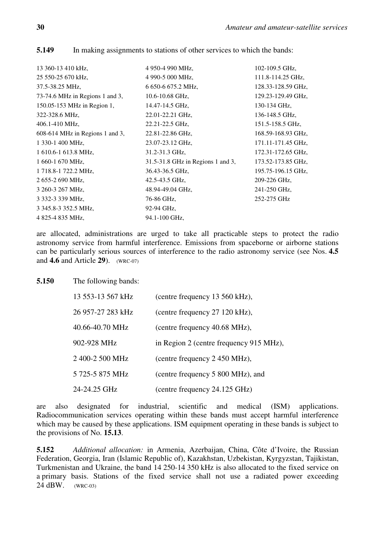| 13 360-13 410 kHz,              | 4 950-4 990 MHz,                  | 102-109.5 GHz,     |
|---------------------------------|-----------------------------------|--------------------|
| 25 550-25 670 kHz.              | 4 990-5 000 MHz,                  | 111.8-114.25 GHz,  |
| 37.5-38.25 MHz,                 | 6 650-6 675.2 MHz,                | 128.33-128.59 GHz, |
| 73-74.6 MHz in Regions 1 and 3, | 10.6-10.68 GHz,                   | 129.23-129.49 GHz, |
| 150.05-153 MHz in Region 1,     | 14.47-14.5 GHz,                   | 130-134 GHz,       |
| 322-328.6 MHz,                  | 22.01-22.21 GHz,                  | 136-148.5 GHz,     |
| 406.1-410 MHz,                  | 22.21-22.5 GHz,                   | 151.5-158.5 GHz,   |
| 608-614 MHz in Regions 1 and 3, | 22.81-22.86 GHz,                  | 168.59-168.93 GHz, |
| 1 330-1 400 MHz,                | 23.07-23.12 GHz,                  | 171.11-171.45 GHz, |
| 1 610.6-1 613.8 MHz,            | 31.2-31.3 GHz,                    | 172.31-172.65 GHz, |
| 1 660-1 670 MHz,                | 31.5-31.8 GHz in Regions 1 and 3, | 173.52-173.85 GHz, |
| 1 718.8-1 722.2 MHz.            | 36.43-36.5 GHz,                   | 195.75-196.15 GHz, |
| 2 655-2 690 MHz,                | 42.5-43.5 GHz,                    | 209-226 GHz.       |
| 3 260-3 267 MHz,                | 48.94-49.04 GHz,                  | 241-250 GHz,       |
| 3 332-3 339 MHz,                | 76-86 GHz,                        | 252-275 GHz        |
| 3 345.8-3 352.5 MHz,            | 92-94 GHz,                        |                    |
| 4 825-4 835 MHz,                | 94.1-100 GHz,                     |                    |

| 5.149 | In making assignments to stations of other services to which the bands: |
|-------|-------------------------------------------------------------------------|
|-------|-------------------------------------------------------------------------|

are allocated, administrations are urged to take all practicable steps to protect the radio astronomy service from harmful interference. Emissions from spaceborne or airborne stations can be particularly serious sources of interference to the radio astronomy service (see Nos. **4.5**  and **4.6** and Article **29**). (WRC-07)

**5.150** The following bands:

| 13 553-13 567 kHz | (centre frequency 13 560 kHz),          |
|-------------------|-----------------------------------------|
| 26 957-27 283 kHz | (centre frequency 27 120 kHz),          |
| 40.66-40.70 MHz   | (centre frequency 40.68 MHz),           |
| 902-928 MHz       | in Region 2 (centre frequency 915 MHz), |
| 2 400-2 500 MHz   | (centre frequency 2 450 MHz),           |
| 5 725-5 875 MHz   | (centre frequency 5 800 MHz), and       |
| 24-24.25 GHz      | (centre frequency 24.125 GHz)           |

are also designated for industrial, scientific and medical (ISM) applications. Radiocommunication services operating within these bands must accept harmful interference which may be caused by these applications. ISM equipment operating in these bands is subject to the provisions of No. **15.13**.

**5.152** *Additional allocation:* in Armenia, Azerbaijan, China, Côte d'Ivoire, the Russian Federation, Georgia, Iran (Islamic Republic of), Kazakhstan, Uzbekistan, Kyrgyzstan, Tajikistan, Turkmenistan and Ukraine, the band 14 250-14 350 kHz is also allocated to the fixed service on a primary basis. Stations of the fixed service shall not use a radiated power exceeding  $24$  dBW. (WRC-03)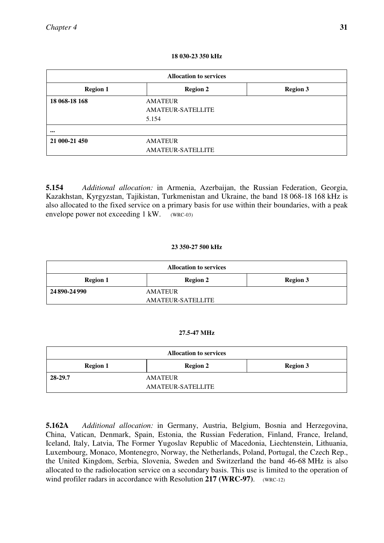### **18 030-23 350 kHz**

| <b>Allocation to services</b> |                                    |  |  |
|-------------------------------|------------------------------------|--|--|
| <b>Region 1</b>               | <b>Region 2</b><br><b>Region 3</b> |  |  |
| 18 068-18 168                 | <b>AMATEUR</b>                     |  |  |
|                               | <b>AMATEUR-SATELLITE</b>           |  |  |
|                               | 5.154                              |  |  |
|                               |                                    |  |  |
| 21 000-21 450                 | <b>AMATEUR</b>                     |  |  |
|                               | <b>AMATEUR-SATELLITE</b>           |  |  |

**5.154** *Additional allocation:* in Armenia, Azerbaijan, the Russian Federation, Georgia, Kazakhstan, Kyrgyzstan, Tajikistan, Turkmenistan and Ukraine, the band 18 068-18 168 kHz is also allocated to the fixed service on a primary basis for use within their boundaries, with a peak envelope power not exceeding 1 kW. (WRC-03)

### **23 350-27 500 kHz**

| <b>Allocation to services</b>                         |  |  |  |
|-------------------------------------------------------|--|--|--|
| <b>Region 3</b><br><b>Region 1</b><br><b>Region 2</b> |  |  |  |
| 24 890-24 990<br><b>AMATEUR</b>                       |  |  |  |
| <b>AMATEUR-SATELLITE</b>                              |  |  |  |

### **27.5-47 MHz**

| <b>Allocation to services</b>                         |  |  |  |
|-------------------------------------------------------|--|--|--|
| <b>Region 3</b><br><b>Region 1</b><br><b>Region 2</b> |  |  |  |
| 28-29.7<br><b>AMATEUR</b>                             |  |  |  |
| <b>AMATEUR-SATELLITE</b>                              |  |  |  |

**5.162A** *Additional allocation:* in Germany, Austria, Belgium, Bosnia and Herzegovina, China, Vatican, Denmark, Spain, Estonia, the Russian Federation, Finland, France, Ireland, Iceland, Italy, Latvia, The Former Yugoslav Republic of Macedonia, Liechtenstein, Lithuania, Luxembourg, Monaco, Montenegro, Norway, the Netherlands, Poland, Portugal, the Czech Rep., the United Kingdom, Serbia, Slovenia, Sweden and Switzerland the band 46-68 MHz is also allocated to the radiolocation service on a secondary basis. This use is limited to the operation of wind profiler radars in accordance with Resolution 217 (WRC-97). (WRC-12)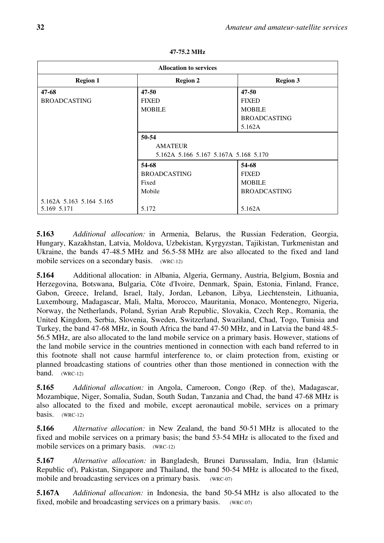| <b>Allocation to services</b> |                                       |                     |  |
|-------------------------------|---------------------------------------|---------------------|--|
| <b>Region 1</b>               | <b>Region 2</b>                       | <b>Region 3</b>     |  |
| $47 - 68$                     | $47 - 50$                             | $47 - 50$           |  |
| <b>BROADCASTING</b>           | <b>FIXED</b>                          | <b>FIXED</b>        |  |
|                               | <b>MOBILE</b>                         | <b>MOBILE</b>       |  |
|                               |                                       | <b>BROADCASTING</b> |  |
|                               |                                       | 5.162A              |  |
|                               | 50-54                                 |                     |  |
|                               | <b>AMATEUR</b>                        |                     |  |
|                               | 5.162A 5.166 5.167 5.167A 5.168 5.170 |                     |  |
|                               | 54-68                                 | 54-68               |  |
|                               | <b>BROADCASTING</b>                   | <b>FIXED</b>        |  |
|                               | Fixed                                 | <b>MOBILE</b>       |  |
|                               | Mobile                                | <b>BROADCASTING</b> |  |
| 5.162A 5.163 5.164 5.165      |                                       |                     |  |
| 5.169 5.171                   | 5.172                                 | 5.162A              |  |

**47-75.2 MHz** 

**5.163** *Additional allocation:* in Armenia, Belarus, the Russian Federation, Georgia, Hungary, Kazakhstan, Latvia, Moldova, Uzbekistan, Kyrgyzstan, Tajikistan, Turkmenistan and Ukraine, the bands 47-48.5 MHz and 56.5-58 MHz are also allocated to the fixed and land mobile services on a secondary basis. (WRC-12)

**5.164** Additional allocation: in Albania, Algeria, Germany, Austria, Belgium, Bosnia and Herzegovina, Botswana, Bulgaria, Côte d'Ivoire, Denmark, Spain, Estonia, Finland, France, Gabon, Greece, Ireland, Israel, Italy, Jordan, Lebanon, Libya, Liechtenstein, Lithuania, Luxembourg, Madagascar, Mali, Malta, Morocco, Mauritania, Monaco, Montenegro, Nigeria, Norway, the Netherlands, Poland, Syrian Arab Republic, Slovakia, Czech Rep., Romania, the United Kingdom, Serbia, Slovenia, Sweden, Switzerland, Swaziland, Chad, Togo, Tunisia and Turkey, the band 47-68 MHz, in South Africa the band 47-50 MHz, and in Latvia the band 48.5- 56.5 MHz, are also allocated to the land mobile service on a primary basis. However, stations of the land mobile service in the countries mentioned in connection with each band referred to in this footnote shall not cause harmful interference to, or claim protection from, existing or planned broadcasting stations of countries other than those mentioned in connection with the band. (WRC-12)

**5.165** *Additional allocation:* in Angola, Cameroon, Congo (Rep. of the), Madagascar, Mozambique, Niger, Somalia, Sudan, South Sudan, Tanzania and Chad, the band 47-68 MHz is also allocated to the fixed and mobile, except aeronautical mobile, services on a primary  $basis$  (WRC-12)

**5.166** *Alternative allocation:* in New Zealand, the band 50-51 MHz is allocated to the fixed and mobile services on a primary basis; the band 53-54 MHz is allocated to the fixed and mobile services on a primary basis. (WRC-12)

**5.167** *Alternative allocation:* in Bangladesh, Brunei Darussalam, India, Iran (Islamic Republic of), Pakistan, Singapore and Thailand, the band 50-54 MHz is allocated to the fixed, mobile and broadcasting services on a primary basis. (WRC-07)

**5.167A** *Additional allocation:* in Indonesia, the band 50-54 MHz is also allocated to the fixed, mobile and broadcasting services on a primary basis. (WRC-07)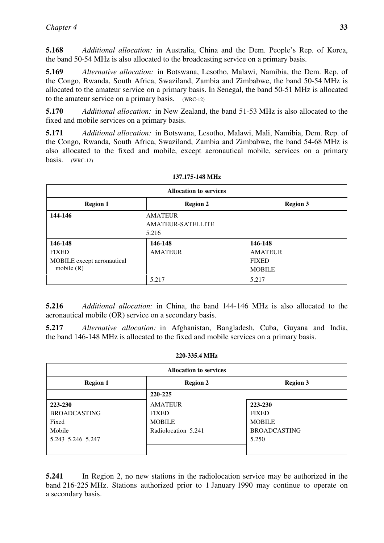**5.168** *Additional allocation:* in Australia, China and the Dem. People's Rep. of Korea, the band 50-54 MHz is also allocated to the broadcasting service on a primary basis.

**5.169** *Alternative allocation:* in Botswana, Lesotho, Malawi, Namibia, the Dem. Rep. of the Congo, Rwanda, South Africa, Swaziland, Zambia and Zimbabwe, the band 50-54 MHz is allocated to the amateur service on a primary basis. In Senegal, the band 50-51 MHz is allocated to the amateur service on a primary basis. (WRC-12)

**5.170** *Additional allocation:* in New Zealand, the band 51-53 MHz is also allocated to the fixed and mobile services on a primary basis.

**5.171** *Additional allocation:* in Botswana, Lesotho, Malawi, Mali, Namibia, Dem. Rep. of the Congo, Rwanda, South Africa, Swaziland, Zambia and Zimbabwe, the band 54-68 MHz is also allocated to the fixed and mobile, except aeronautical mobile, services on a primary basis. (WRC-12)

| <b>Allocation to services</b>                                         |                           |                                                            |  |
|-----------------------------------------------------------------------|---------------------------|------------------------------------------------------------|--|
| <b>Region 2</b><br><b>Region 3</b><br><b>Region 1</b>                 |                           |                                                            |  |
| 144-146<br><b>AMATEUR</b><br><b>AMATEUR-SATELLITE</b><br>5.216        |                           |                                                            |  |
| 146-148<br><b>FIXED</b><br>MOBILE except aeronautical<br>mobile $(R)$ | 146-148<br><b>AMATEUR</b> | 146-148<br><b>AMATEUR</b><br><b>FIXED</b><br><b>MOBILE</b> |  |
|                                                                       | 5.217                     | 5.217                                                      |  |

**5.216** *Additional allocation:* in China, the band 144-146 MHz is also allocated to the aeronautical mobile (OR) service on a secondary basis.

**5.217** *Alternative allocation:* in Afghanistan, Bangladesh, Cuba, Guyana and India, the band 146-148 MHz is allocated to the fixed and mobile services on a primary basis.

| <b>Allocation to services</b>                         |                     |                     |
|-------------------------------------------------------|---------------------|---------------------|
| <b>Region 1</b><br><b>Region 2</b><br><b>Region 3</b> |                     |                     |
|                                                       | 220-225             |                     |
| 223-230                                               | <b>AMATEUR</b>      | 223-230             |
| <b>BROADCASTING</b>                                   | <b>FIXED</b>        | <b>FIXED</b>        |
| Fixed                                                 | <b>MOBILE</b>       | <b>MOBILE</b>       |
| Mobile                                                | Radiolocation 5.241 | <b>BROADCASTING</b> |
| 5.243 5.246 5.247                                     |                     | 5.250               |
|                                                       |                     |                     |

#### **220-335.4 MHz**

**5.241** In Region 2, no new stations in the radiolocation service may be authorized in the band 216-225 MHz. Stations authorized prior to 1 January 1990 may continue to operate on a secondary basis.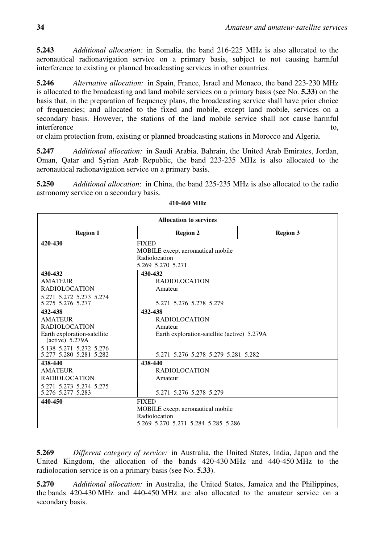**5.243** *Additional allocation:* in Somalia, the band 216-225 MHz is also allocated to the aeronautical radionavigation service on a primary basis, subject to not causing harmful interference to existing or planned broadcasting services in other countries.

**5.246** *Alternative allocation:* in Spain, France, Israel and Monaco, the band 223-230 MHz is allocated to the broadcasting and land mobile services on a primary basis (see No. **5.33**) on the basis that, in the preparation of frequency plans, the broadcasting service shall have prior choice of frequencies; and allocated to the fixed and mobile, except land mobile, services on a secondary basis. However, the stations of the land mobile service shall not cause harmful interference to,

or claim protection from, existing or planned broadcasting stations in Morocco and Algeria.

**5.247** *Additional allocation:* in Saudi Arabia, Bahrain, the United Arab Emirates, Jordan, Oman, Qatar and Syrian Arab Republic, the band 223-235 MHz is also allocated to the aeronautical radionavigation service on a primary basis.

**5.250** *Additional allocation*: in China, the band 225-235 MHz is also allocated to the radio astronomy service on a secondary basis.

| <b>Allocation to services</b>                                                                                                                               |                                                                                                                                  |                 |  |
|-------------------------------------------------------------------------------------------------------------------------------------------------------------|----------------------------------------------------------------------------------------------------------------------------------|-----------------|--|
| <b>Region 1</b>                                                                                                                                             | <b>Region 2</b>                                                                                                                  | <b>Region 3</b> |  |
| 420-430<br><b>FIXED</b><br>MOBILE except aeronautical mobile<br>Radiolocation<br>5.269 5.270 5.271                                                          |                                                                                                                                  |                 |  |
| 430-432<br><b>AMATEUR</b><br><b>RADIOLOCATION</b><br>5.271 5.272 5.273 5.274<br>5.275 5.276 5.277                                                           | 430-432<br><b>RADIOLOCATION</b><br>Amateur<br>5.271 5.276 5.278 5.279                                                            |                 |  |
| 432-438<br><b>AMATEUR</b><br><b>RADIOLOCATION</b><br>Earth exploration-satellite<br>$(active)$ 5.279A<br>5.138 5.271 5.272 5.276<br>5.277 5.280 5.281 5.282 | 432-438<br><b>RADIOLOCATION</b><br>Amateur<br>Earth exploration-satellite (active) 5.279A<br>5.271 5.276 5.278 5.279 5.281 5.282 |                 |  |
| 438-440<br><b>AMATEUR</b><br><b>RADIOLOCATION</b><br>5.271 5.273 5.274 5.275<br>5.276 5.277 5.283                                                           | 438-440<br><b>RADIOLOCATION</b><br>Amateur<br>5.271 5.276 5.278 5.279                                                            |                 |  |
| 440-450<br><b>FIXED</b><br>MOBILE except aeronautical mobile<br>Radiolocation<br>5.269 5.270 5.271 5.284 5.285 5.286                                        |                                                                                                                                  |                 |  |

**410-460 MHz** 

**5.269** *Different category of service:* in Australia, the United States, India, Japan and the United Kingdom, the allocation of the bands 420-430 MHz and 440-450 MHz to the radiolocation service is on a primary basis (see No. **5.33**).

**5.270** *Additional allocation:* in Australia, the United States, Jamaica and the Philippines, the bands 420-430 MHz and 440-450 MHz are also allocated to the amateur service on a secondary basis.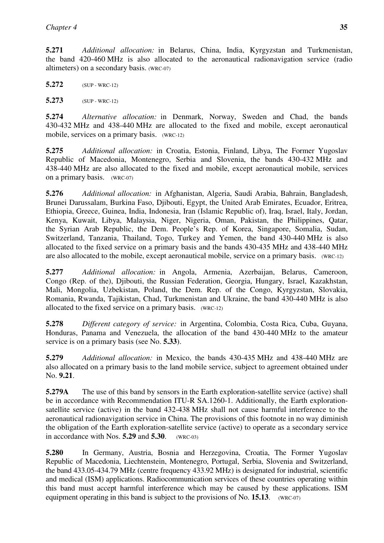**5.271** *Additional allocation:* in Belarus, China, India, Kyrgyzstan and Turkmenistan, the band 420-460 MHz is also allocated to the aeronautical radionavigation service (radio altimeters) on a secondary basis. (WRC-07)

**5.272** (SUP - WRC-12)

**5.273** (SUP - WRC-12)

**5.274** *Alternative allocation:* in Denmark, Norway, Sweden and Chad, the bands 430-432 MHz and 438-440 MHz are allocated to the fixed and mobile, except aeronautical mobile, services on a primary basis. (WRC-12)

**5.275** *Additional allocation:* in Croatia, Estonia, Finland, Libya, The Former Yugoslav Republic of Macedonia, Montenegro, Serbia and Slovenia, the bands 430-432 MHz and 438-440 MHz are also allocated to the fixed and mobile, except aeronautical mobile, services on a primary basis. (WRC-07)

**5.276** *Additional allocation:* in Afghanistan, Algeria, Saudi Arabia, Bahrain, Bangladesh, Brunei Darussalam, Burkina Faso, Djibouti, Egypt, the United Arab Emirates, Ecuador, Eritrea, Ethiopia, Greece, Guinea, India, Indonesia, Iran (Islamic Republic of), Iraq, Israel, Italy, Jordan, Kenya, Kuwait, Libya, Malaysia, Niger, Nigeria, Oman, Pakistan, the Philippines, Qatar, the Syrian Arab Republic, the Dem. People's Rep. of Korea, Singapore, Somalia, Sudan, Switzerland, Tanzania, Thailand, Togo, Turkey and Yemen, the band 430-440 MHz is also allocated to the fixed service on a primary basis and the bands 430-435 MHz and 438-440 MHz are also allocated to the mobile, except aeronautical mobile, service on a primary basis. (WRC-12)

**5.277** *Additional allocation:* in Angola, Armenia, Azerbaijan, Belarus, Cameroon, Congo (Rep. of the), Djibouti, the Russian Federation, Georgia, Hungary, Israel, Kazakhstan, Mali, Mongolia, Uzbekistan, Poland, the Dem. Rep. of the Congo, Kyrgyzstan, Slovakia, Romania, Rwanda, Tajikistan, Chad, Turkmenistan and Ukraine, the band 430-440 MHz is also allocated to the fixed service on a primary basis. (WRC-12)

**5.278** *Different category of service:* in Argentina, Colombia, Costa Rica, Cuba, Guyana, Honduras, Panama and Venezuela, the allocation of the band 430-440 MHz to the amateur service is on a primary basis (see No. **5.33**).

**5.279** *Additional allocation:* in Mexico, the bands 430-435 MHz and 438-440 MHz are also allocated on a primary basis to the land mobile service, subject to agreement obtained under No. **9.21**.

**5.279A** The use of this band by sensors in the Earth exploration-satellite service (active) shall be in accordance with Recommendation ITU-R SA.1260-1. Additionally, the Earth explorationsatellite service (active) in the band 432-438 MHz shall not cause harmful interference to the aeronautical radionavigation service in China. The provisions of this footnote in no way diminish the obligation of the Earth exploration-satellite service (active) to operate as a secondary service in accordance with Nos. **5.29** and **5.30**. (WRC-03)

**5.280** In Germany, Austria, Bosnia and Herzegovina, Croatia, The Former Yugoslav Republic of Macedonia, Liechtenstein, Montenegro, Portugal, Serbia, Slovenia and Switzerland, the band 433.05-434.79 MHz (centre frequency 433.92 MHz) is designated for industrial, scientific and medical (ISM) applications. Radiocommunication services of these countries operating within this band must accept harmful interference which may be caused by these applications. ISM equipment operating in this band is subject to the provisions of No. **15.13**. (WRC-07)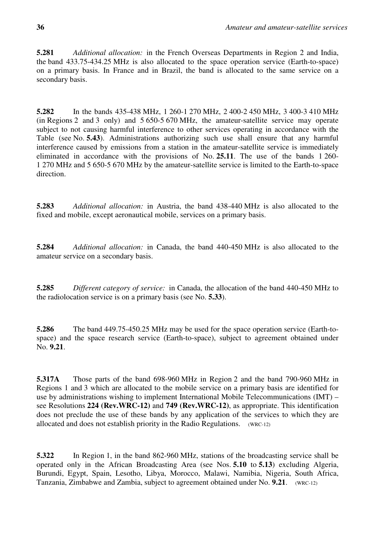**5.281** *Additional allocation:* in the French Overseas Departments in Region 2 and India, the band 433.75-434.25 MHz is also allocated to the space operation service (Earth-to-space) on a primary basis. In France and in Brazil, the band is allocated to the same service on a secondary basis.

**5.282** In the bands 435-438 MHz, 1 260-1 270 MHz, 2 400-2 450 MHz, 3 400-3 410 MHz (in Regions 2 and 3 only) and 5 650-5 670 MHz, the amateur-satellite service may operate subject to not causing harmful interference to other services operating in accordance with the Table (see No. **5.43**). Administrations authorizing such use shall ensure that any harmful interference caused by emissions from a station in the amateur-satellite service is immediately eliminated in accordance with the provisions of No. **25.11**. The use of the bands 1 260- 1 270 MHz and 5 650-5 670 MHz by the amateur-satellite service is limited to the Earth-to-space direction.

**5.283** *Additional allocation:* in Austria, the band 438-440 MHz is also allocated to the fixed and mobile, except aeronautical mobile, services on a primary basis.

**5.284** *Additional allocation:* in Canada, the band 440-450 MHz is also allocated to the amateur service on a secondary basis.

**5.285** *Different category of service:* in Canada, the allocation of the band 440-450 MHz to the radiolocation service is on a primary basis (see No. **5.33**).

**5.286** The band 449.75-450.25 MHz may be used for the space operation service (Earth-tospace) and the space research service (Earth-to-space), subject to agreement obtained under No. **9.21**.

**5.317A** Those parts of the band 698-960 MHz in Region 2 and the band 790-960 MHz in Regions 1 and 3 which are allocated to the mobile service on a primary basis are identified for use by administrations wishing to implement International Mobile Telecommunications (IMT) – see Resolutions **224 (Rev.WRC-12)** and **749 (Rev.WRC-12)**, as appropriate. This identification does not preclude the use of these bands by any application of the services to which they are allocated and does not establish priority in the Radio Regulations. (WRC-12)

**5.322** In Region 1, in the band 862-960 MHz, stations of the broadcasting service shall be operated only in the African Broadcasting Area (see Nos. **5.10** to **5.13**) excluding Algeria, Burundi, Egypt, Spain, Lesotho, Libya, Morocco, Malawi, Namibia, Nigeria, South Africa, Tanzania, Zimbabwe and Zambia, subject to agreement obtained under No. **9.21**. (WRC-12)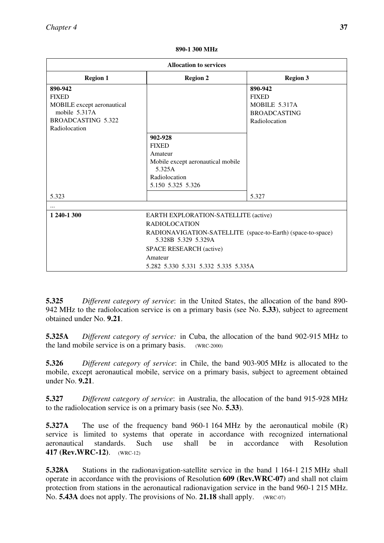| <b>Allocation to services</b>                                                                                        |                                                                                                                                                                               |                                                                                  |  |
|----------------------------------------------------------------------------------------------------------------------|-------------------------------------------------------------------------------------------------------------------------------------------------------------------------------|----------------------------------------------------------------------------------|--|
| <b>Region 1</b>                                                                                                      | <b>Region 2</b>                                                                                                                                                               | <b>Region 3</b>                                                                  |  |
| 890-942<br><b>FIXED</b><br>MOBILE except aeronautical<br>mobile 5.317A<br><b>BROADCASTING 5.322</b><br>Radiolocation | 902-928<br><b>FIXED</b><br>Amateur<br>Mobile except aeronautical mobile<br>5.325A<br>Radiolocation                                                                            | 890-942<br><b>FIXED</b><br>MOBILE 5.317A<br><b>BROADCASTING</b><br>Radiolocation |  |
|                                                                                                                      | 5.150 5.325 5.326                                                                                                                                                             |                                                                                  |  |
| 5.323                                                                                                                |                                                                                                                                                                               | 5.327                                                                            |  |
|                                                                                                                      |                                                                                                                                                                               |                                                                                  |  |
| 1 240-1 300                                                                                                          | EARTH EXPLORATION-SATELLITE (active)<br><b>RADIOLOCATION</b><br>RADIONAVIGATION-SATELLITE (space-to-Earth) (space-to-space)<br>5.328B 5.329 5.329A<br>SPACE RESEARCH (active) |                                                                                  |  |
|                                                                                                                      | Amateur                                                                                                                                                                       |                                                                                  |  |
|                                                                                                                      | 5.282 5.330 5.331 5.332 5.335 5.335A                                                                                                                                          |                                                                                  |  |

**5.325** *Different category of service*: in the United States, the allocation of the band 890- 942 MHz to the radiolocation service is on a primary basis (see No. **5.33**), subject to agreement obtained under No. **9.21**.

**5.325A** *Different category of service:* in Cuba, the allocation of the band 902-915 MHz to the land mobile service is on a primary basis. (WRC-2000)

**5.326** *Different category of service*: in Chile, the band 903-905 MHz is allocated to the mobile, except aeronautical mobile, service on a primary basis, subject to agreement obtained under No. **9.21**.

**5.327** *Different category of service*: in Australia, the allocation of the band 915-928 MHz to the radiolocation service is on a primary basis (see No. **5.33**).

**5.327A** The use of the frequency band 960-1 164 MHz by the aeronautical mobile (R) service is limited to systems that operate in accordance with recognized international aeronautical standards. Such use shall be in accordance with Resolution **417 (Rev.WRC-12)**. (WRC-12)

**5.328A** Stations in the radionavigation-satellite service in the band 1 164-1 215 MHz shall operate in accordance with the provisions of Resolution **609 (Rev.WRC-07)** and shall not claim protection from stations in the aeronautical radionavigation service in the band 960-1 215 MHz. No. **5.43A** does not apply. The provisions of No. **21.18** shall apply. (WRC-07)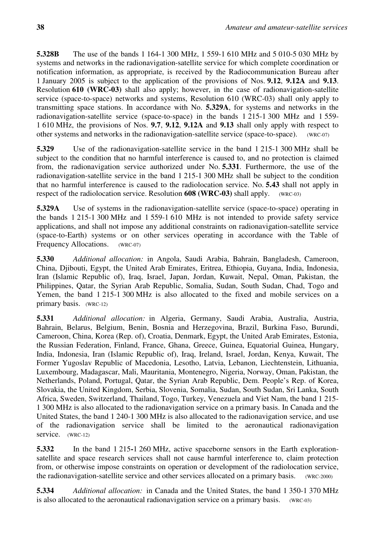**5.328B** The use of the bands 1 164-1 300 MHz, 1 559-1 610 MHz and 5 010-5 030 MHz by systems and networks in the radionavigation-satellite service for which complete coordination or notification information, as appropriate, is received by the Radiocommunication Bureau after 1 January 2005 is subject to the application of the provisions of Nos. **9.12**, **9.12A** and **9.13**. Resolution **610 (WRC-03)** shall also apply; however, in the case of radionavigation-satellite service (space-to-space) networks and systems, Resolution 610 (WRC-03) shall only apply to transmitting space stations. In accordance with No. **5.329A**, for systems and networks in the radionavigation-satellite service (space-to-space) in the bands 1 215-1 300 MHz and 1 559- 1 610 MHz, the provisions of Nos. **9.7**, **9.12**, **9.12A** and **9.13** shall only apply with respect to other systems and networks in the radionavigation-satellite service (space-to-space). (WRC-07)

**5.329** Use of the radionavigation-satellite service in the band 1 215-1 300 MHz shall be subject to the condition that no harmful interference is caused to, and no protection is claimed from, the radionavigation service authorized under No. **5.331**. Furthermore, the use of the radionavigation-satellite service in the band 1 215-1 300 MHz shall be subject to the condition that no harmful interference is caused to the radiolocation service. No. **5.43** shall not apply in respect of the radiolocation service. Resolution **608 (WRC-03)** shall apply. (WRC-03)

**5.329A** Use of systems in the radionavigation-satellite service (space-to-space) operating in the bands 1 215-1 300 MHz and 1 559-1 610 MHz is not intended to provide safety service applications, and shall not impose any additional constraints on radionavigation-satellite service (space-to-Earth) systems or on other services operating in accordance with the Table of Frequency Allocations. (WRC-07)

**5.330** *Additional allocation:* in Angola, Saudi Arabia, Bahrain, Bangladesh, Cameroon, China, Djibouti, Egypt, the United Arab Emirates, Eritrea, Ethiopia, Guyana, India, Indonesia, Iran (Islamic Republic of), Iraq, Israel, Japan, Jordan, Kuwait, Nepal, Oman, Pakistan, the Philippines, Qatar, the Syrian Arab Republic, Somalia, Sudan, South Sudan, Chad, Togo and Yemen, the band 1 215-1 300 MHz is also allocated to the fixed and mobile services on a primary basis. (WRC-12)

**5.331** *Additional allocation:* in Algeria, Germany, Saudi Arabia, Australia, Austria, Bahrain, Belarus, Belgium, Benin, Bosnia and Herzegovina, Brazil, Burkina Faso, Burundi, Cameroon, China, Korea (Rep. of), Croatia, Denmark, Egypt, the United Arab Emirates, Estonia, the Russian Federation, Finland, France, Ghana, Greece, Guinea, Equatorial Guinea, Hungary, India, Indonesia, Iran (Islamic Republic of), Iraq, Ireland, Israel, Jordan, Kenya, Kuwait, The Former Yugoslav Republic of Macedonia, Lesotho, Latvia, Lebanon, Liechtenstein, Lithuania, Luxembourg, Madagascar, Mali, Mauritania, Montenegro, Nigeria, Norway, Oman, Pakistan, the Netherlands, Poland, Portugal, Qatar, the Syrian Arab Republic, Dem. People's Rep. of Korea, Slovakia, the United Kingdom, Serbia, Slovenia, Somalia, Sudan, South Sudan, Sri Lanka, South Africa, Sweden, Switzerland, Thailand, Togo, Turkey, Venezuela and Viet Nam, the band 1 215- 1 300 MHz is also allocated to the radionavigation service on a primary basis. In Canada and the United States, the band 1 240-1 300 MHz is also allocated to the radionavigation service, and use of the radionavigation service shall be limited to the aeronautical radionavigation service. (WRC-12)

**5.332** In the band 1 215**-**1 260 MHz, active spaceborne sensors in the Earth explorationsatellite and space research services shall not cause harmful interference to, claim protection from, or otherwise impose constraints on operation or development of the radiolocation service, the radionavigation-satellite service and other services allocated on a primary basis. (WRC-2000)

**5.334** *Additional allocation:* in Canada and the United States, the band 1 350-1 370 MHz is also allocated to the aeronautical radionavigation service on a primary basis. (WRC-03)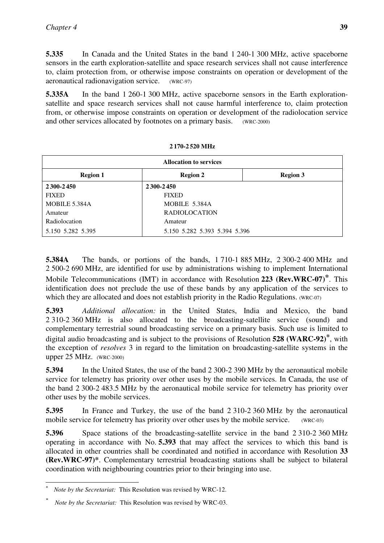**5.335** In Canada and the United States in the band 1 240-1 300 MHz, active spaceborne sensors in the earth exploration-satellite and space research services shall not cause interference to, claim protection from, or otherwise impose constraints on operation or development of the aeronautical radionavigation service. (WRC-97)

**5.335A** In the band 1 260-1 300 MHz, active spaceborne sensors in the Earth explorationsatellite and space research services shall not cause harmful interference to, claim protection from, or otherwise impose constraints on operation or development of the radiolocation service and other services allocated by footnotes on a primary basis. (WRC-2000)

| <b>Allocation to services</b> |                               |                 |  |
|-------------------------------|-------------------------------|-----------------|--|
| <b>Region 1</b>               | <b>Region 2</b>               | <b>Region 3</b> |  |
| 2 300-2 450                   | 2 300-2 450                   |                 |  |
| <b>FIXED</b>                  | <b>FIXED</b>                  |                 |  |
| MOBILE 5.384A                 | MOBILE 5.384A                 |                 |  |
| Amateur                       | <b>RADIOLOCATION</b>          |                 |  |
| Radiolocation                 | Amateur                       |                 |  |
| 5.150 5.282 5.395             | 5.150 5.282 5.393 5.394 5.396 |                 |  |

**2 170-2 520 MHz** 

**5.384A** The bands, or portions of the bands, 1 710-1 885 MHz, 2 300-2 400 MHz and 2 500-2 690 MHz, are identified for use by administrations wishing to implement International Mobile Telecommunications (IMT) in accordance with Resolution **223 (Rev.WRC-07)\***. This identification does not preclude the use of these bands by any application of the services to which they are allocated and does not establish priority in the Radio Regulations. (WRC-07)

**5.393** *Additional allocation:* in the United States, India and Mexico, the band 2 310-2 360 MHz is also allocated to the broadcasting-satellite service (sound) and complementary terrestrial sound broadcasting service on a primary basis. Such use is limited to digital audio broadcasting and is subject to the provisions of Resolution **528 (WARC-92)\***, with the exception of *resolves* 3 in regard to the limitation on broadcasting-satellite systems in the upper 25 MHz. (WRC-2000)

**5.394** In the United States, the use of the band 2 300-2 390 MHz by the aeronautical mobile service for telemetry has priority over other uses by the mobile services. In Canada, the use of the band 2 300-2 483.5 MHz by the aeronautical mobile service for telemetry has priority over other uses by the mobile services.

**5.395** In France and Turkey, the use of the band 2 310-2 360 MHz by the aeronautical mobile service for telemetry has priority over other uses by the mobile service. (WRC-03)

**5.396** Space stations of the broadcasting-satellite service in the band 2 310-2 360 MHz operating in accordance with No. **5.393** that may affect the services to which this band is allocated in other countries shall be coordinated and notified in accordance with Resolution **33 (Rev.WRC-97)\***. Complementary terrestrial broadcasting stations shall be subject to bilateral coordination with neighbouring countries prior to their bringing into use.

ł

<sup>\*</sup> *Note by the Secretariat:* This Resolution was revised by WRC-12.

<sup>\*</sup> *Note by the Secretariat:* This Resolution was revised by WRC-03.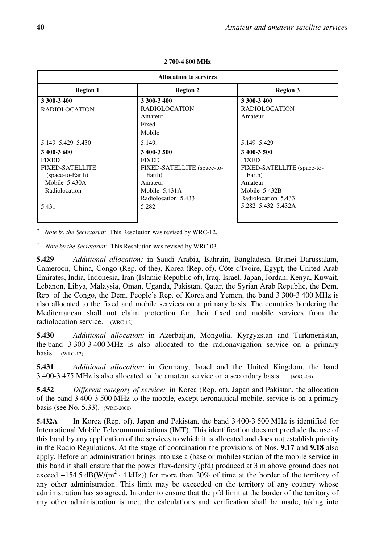| <b>Allocation to services</b> |                            |                            |
|-------------------------------|----------------------------|----------------------------|
| <b>Region 1</b>               | <b>Region 2</b>            | <b>Region 3</b>            |
| 3 300-3 400                   | 3 300-3 400                | 3 300-3 400                |
| <b>RADIOLOCATION</b>          | <b>RADIOLOCATION</b>       | <b>RADIOLOCATION</b>       |
|                               | Amateur                    | Amateur                    |
|                               | Fixed                      |                            |
|                               | Mobile                     |                            |
| 5.149 5.429 5.430             | 5.149,                     | 5.149 5.429                |
| 3 400-3 600                   | 3 400-3 500                | 3 400-3 500                |
| <b>FIXED</b>                  | <b>FIXED</b>               | <b>FIXED</b>               |
| <b>FIXED-SATELLITE</b>        | FIXED-SATELLITE (space-to- | FIXED-SATELLITE (space-to- |
| (space-to-Earth)              | Earth)                     | Earth)                     |
| Mobile 5.430A                 | Amateur                    | Amateur                    |
| Radiolocation                 | Mobile $5.431A$            | Mobile $5.432B$            |
|                               | Radiolocation 5.433        | Radiolocation 5.433        |
| 5.431                         | 5.282                      | 5.282 5.432 5.432A         |
|                               |                            |                            |

#### **2 700-4 800 MHz**

*Note by the Secretariat:* This Resolution was revised by WRC-12.

*Note by the Secretariat:* This Resolution was revised by WRC-03.

**5.429** *Additional allocation:* in Saudi Arabia, Bahrain, Bangladesh, Brunei Darussalam, Cameroon, China, Congo (Rep. of the), Korea (Rep. of), Côte d'Ivoire, Egypt, the United Arab Emirates, India, Indonesia, Iran (Islamic Republic of), Iraq, Israel, Japan, Jordan, Kenya, Kuwait, Lebanon, Libya, Malaysia, Oman, Uganda, Pakistan, Qatar, the Syrian Arab Republic, the Dem. Rep. of the Congo, the Dem. People's Rep. of Korea and Yemen, the band 3 300-3 400 MHz is also allocated to the fixed and mobile services on a primary basis. The countries bordering the Mediterranean shall not claim protection for their fixed and mobile services from the radiolocation service. (WRC-12)

**5.430** *Additional allocation:* in Azerbaijan, Mongolia, Kyrgyzstan and Turkmenistan, the band 3 300-3 400 MHz is also allocated to the radionavigation service on a primary basis. (WRC-12)

**5.431** *Additional allocation:* in Germany, Israel and the United Kingdom, the band 3 400-3 475 MHz is also allocated to the amateur service on a secondary basis. (WRC-03)

**5.432** *Different category of service:* in Korea (Rep. of), Japan and Pakistan, the allocation of the band 3 400-3 500 MHz to the mobile, except aeronautical mobile, service is on a primary basis (see No. 5.33). (WRC-2000)

**5.432A** In Korea (Rep. of), Japan and Pakistan, the band 3 400-3 500 MHz is identified for International Mobile Telecommunications (IMT). This identification does not preclude the use of this band by any application of the services to which it is allocated and does not establish priority in the Radio Regulations. At the stage of coordination the provisions of Nos. **9.17** and **9.18** also apply. Before an administration brings into use a (base or mobile) station of the mobile service in this band it shall ensure that the power flux-density (pfd) produced at 3 m above ground does not exceed  $-154.5$  dB(W/(m<sup>2</sup> · 4 kHz)) for more than 20% of time at the border of the territory of any other administration. This limit may be exceeded on the territory of any country whose administration has so agreed. In order to ensure that the pfd limit at the border of the territory of any other administration is met, the calculations and verification shall be made, taking into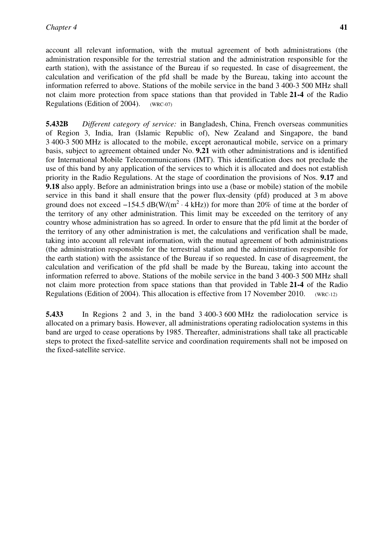account all relevant information, with the mutual agreement of both administrations (the administration responsible for the terrestrial station and the administration responsible for the earth station), with the assistance of the Bureau if so requested. In case of disagreement, the calculation and verification of the pfd shall be made by the Bureau, taking into account the information referred to above. Stations of the mobile service in the band 3 400-3 500 MHz shall not claim more protection from space stations than that provided in Table **21-4** of the Radio Regulations (Edition of 2004). (WRC-07)

**5.432B** *Different category of service:* in Bangladesh, China, French overseas communities of Region 3, India, Iran (Islamic Republic of), New Zealand and Singapore, the band 3 400-3 500 MHz is allocated to the mobile, except aeronautical mobile, service on a primary basis, subject to agreement obtained under No. **9.21** with other administrations and is identified for International Mobile Telecommunications (IMT). This identification does not preclude the use of this band by any application of the services to which it is allocated and does not establish priority in the Radio Regulations. At the stage of coordination the provisions of Nos. **9.17** and **9.18** also apply. Before an administration brings into use a (base or mobile) station of the mobile service in this band it shall ensure that the power flux-density (pfd) produced at 3 m above ground does not exceed  $-154.5$  dB(W/(m<sup>2</sup> · 4 kHz)) for more than 20% of time at the border of the territory of any other administration. This limit may be exceeded on the territory of any country whose administration has so agreed. In order to ensure that the pfd limit at the border of the territory of any other administration is met, the calculations and verification shall be made, taking into account all relevant information, with the mutual agreement of both administrations (the administration responsible for the terrestrial station and the administration responsible for the earth station) with the assistance of the Bureau if so requested. In case of disagreement, the calculation and verification of the pfd shall be made by the Bureau, taking into account the information referred to above. Stations of the mobile service in the band 3 400-3 500 MHz shall not claim more protection from space stations than that provided in Table **21-4** of the Radio Regulations (Edition of 2004). This allocation is effective from 17 November 2010. (WRC-12)

**5.433** In Regions 2 and 3, in the band 3 400-3 600 MHz the radiolocation service is allocated on a primary basis. However, all administrations operating radiolocation systems in this band are urged to cease operations by 1985. Thereafter, administrations shall take all practicable steps to protect the fixed-satellite service and coordination requirements shall not be imposed on the fixed-satellite service.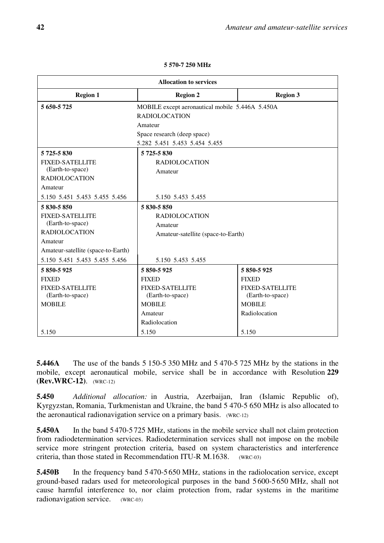| <b>Allocation to services</b>      |                                                                         |                        |  |
|------------------------------------|-------------------------------------------------------------------------|------------------------|--|
| <b>Region 1</b>                    | <b>Region 3</b><br><b>Region 2</b>                                      |                        |  |
| 5 650-5 725                        | MOBILE except aeronautical mobile 5.446A 5.450A<br><b>RADIOLOCATION</b> |                        |  |
|                                    | Amateur                                                                 |                        |  |
|                                    | Space research (deep space)                                             |                        |  |
|                                    | 5.282 5.451 5.453 5.454 5.455                                           |                        |  |
| 5725-5830                          | 5 725-5 830                                                             |                        |  |
| <b>FIXED-SATELLITE</b>             | <b>RADIOLOCATION</b>                                                    |                        |  |
| (Earth-to-space)                   | Amateur                                                                 |                        |  |
| <b>RADIOLOCATION</b>               |                                                                         |                        |  |
| Amateur                            |                                                                         |                        |  |
| 5.150 5.451 5.453 5.455 5.456      | 5.150 5.453 5.455                                                       |                        |  |
| 5 830-5 850                        | 5 830-5 850                                                             |                        |  |
| <b>FIXED-SATELLITE</b>             | <b>RADIOLOCATION</b>                                                    |                        |  |
| (Earth-to-space)                   | Amateur                                                                 |                        |  |
| <b>RADIOLOCATION</b>               | Amateur-satellite (space-to-Earth)                                      |                        |  |
| Amateur                            |                                                                         |                        |  |
| Amateur-satellite (space-to-Earth) |                                                                         |                        |  |
| 5.150 5.451 5.453 5.455 5.456      | 5.150 5.453 5.455                                                       |                        |  |
| 5 850-5 925                        | 5 850-5 925                                                             | 5 850-5 925            |  |
| <b>FIXED</b>                       | <b>FIXED</b>                                                            | <b>FIXED</b>           |  |
| <b>FIXED-SATELLITE</b>             | <b>FIXED-SATELLITE</b>                                                  | <b>FIXED-SATELLITE</b> |  |
| (Earth-to-space)                   | (Earth-to-space)                                                        | (Earth-to-space)       |  |
| <b>MOBILE</b>                      | <b>MOBILE</b>                                                           | <b>MOBILE</b>          |  |
|                                    | Amateur                                                                 | Radiolocation          |  |
|                                    | Radiolocation                                                           |                        |  |
| 5.150                              | 5.150                                                                   | 5.150                  |  |

**5 570-7 250 MHz** 

**5.446A** The use of the bands 5 150-5 350 MHz and 5 470-5 725 MHz by the stations in the mobile, except aeronautical mobile, service shall be in accordance with Resolution **229 (Rev.WRC-12)**. (WRC-12)

**5.450** *Additional allocation:* in Austria, Azerbaijan, Iran (Islamic Republic of), Kyrgyzstan, Romania, Turkmenistan and Ukraine, the band 5 470-5 650 MHz is also allocated to the aeronautical radionavigation service on a primary basis. (WRC-12)

**5.450A** In the band 5 470-5 725 MHz, stations in the mobile service shall not claim protection from radiodetermination services. Radiodetermination services shall not impose on the mobile service more stringent protection criteria, based on system characteristics and interference criteria, than those stated in Recommendation ITU-R M.1638. (WRC-03)

**5.450B** In the frequency band 5 470-5 650 MHz, stations in the radiolocation service, except ground-based radars used for meteorological purposes in the band 5 600-5 650 MHz, shall not cause harmful interference to, nor claim protection from, radar systems in the maritime radionavigation service. (WRC-03)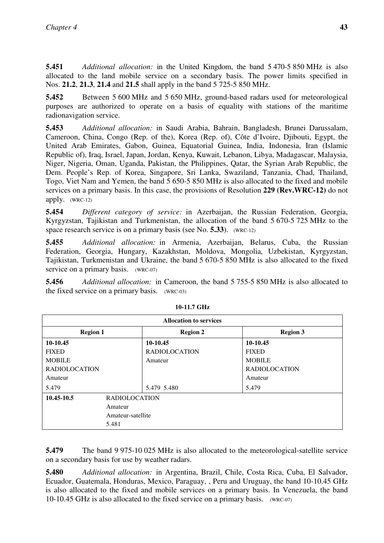**5.451** *Additional allocation:* in the United Kingdom, the band 5 470-5 850 MHz is also allocated to the land mobile service on a secondary basis. The power limits specified in Nos. **21.2**, **21.3**, **21.4** and **21.5** shall apply in the band 5 725-5 850 MHz.

**5.452** Between 5 600 MHz and 5 650 MHz, ground-based radars used for meteorological purposes are authorized to operate on a basis of equality with stations of the maritime radionavigation service.

**5.453** *Additional allocation:* in Saudi Arabia, Bahrain, Bangladesh, Brunei Darussalam, Cameroon, China, Congo (Rep. of the), Korea (Rep. of), Côte d'Ivoire, Djibouti, Egypt, the United Arab Emirates, Gabon, Guinea, Equatorial Guinea, India, Indonesia, Iran (Islamic Republic of), Iraq, Israel, Japan, Jordan, Kenya, Kuwait, Lebanon, Libya, Madagascar, Malaysia, Niger, Nigeria, Oman, Uganda, Pakistan, the Philippines, Qatar, the Syrian Arab Republic, the Dem. People's Rep. of Korea, Singapore, Sri Lanka, Swaziland, Tanzania, Chad, Thailand, Togo, Viet Nam and Yemen, the band 5 650-5 850 MHz is also allocated to the fixed and mobile services on a primary basis. In this case, the provisions of Resolution **229 (Rev.WRC-12)** do not apply. (WRC-12)

**5.454** *Different category of service:* in Azerbaijan, the Russian Federation, Georgia, Kyrgyzstan, Tajikistan and Turkmenistan, the allocation of the band 5 670-5 725 MHz to the space research service is on a primary basis (see No. **5.33**). (WRC-12)

**5.455** *Additional allocation:* in Armenia, Azerbaijan, Belarus, Cuba, the Russian Federation, Georgia, Hungary, Kazakhstan, Moldova, Mongolia, Uzbekistan, Kyrgyzstan, Tajikistan, Turkmenistan and Ukraine, the band 5 670-5 850 MHz is also allocated to the fixed service on a primary basis. (WRC-07)

**5.456** *Additional allocation:* in Cameroon, the band 5 755-5 850 MHz is also allocated to the fixed service on a primary basis. (WRC-03)

| <b>Allocation to services</b> |                      |                      |                      |
|-------------------------------|----------------------|----------------------|----------------------|
| <b>Region 1</b>               |                      | <b>Region 2</b>      | <b>Region 3</b>      |
| 10-10.45                      |                      | 10-10.45             | 10-10.45             |
| <b>FIXED</b>                  |                      | <b>RADIOLOCATION</b> | <b>FIXED</b>         |
| <b>MOBILE</b>                 |                      | Amateur              | <b>MOBILE</b>        |
| <b>RADIOLOCATION</b>          |                      |                      | <b>RADIOLOCATION</b> |
| Amateur                       |                      |                      | Amateur              |
| 5.479                         |                      | 5.479 5.480          | 5.479                |
| 10.45-10.5                    | <b>RADIOLOCATION</b> |                      |                      |
|                               | Amateur              |                      |                      |
|                               | Amateur-satellite    |                      |                      |
|                               | 5.481                |                      |                      |

**10-11.7 GHz** 

**5.479** The band 9 975-10 025 MHz is also allocated to the meteorological-satellite service on a secondary basis for use by weather radars.

**5.480** *Additional allocation:* in Argentina, Brazil, Chile, Costa Rica, Cuba, El Salvador, Ecuador, Guatemala, Honduras, Mexico, Paraguay, , Peru and Uruguay, the band 10-10.45 GHz is also allocated to the fixed and mobile services on a primary basis. In Venezuela, the band 10-10.45 GHz is also allocated to the fixed service on a primary basis. (WRC-07)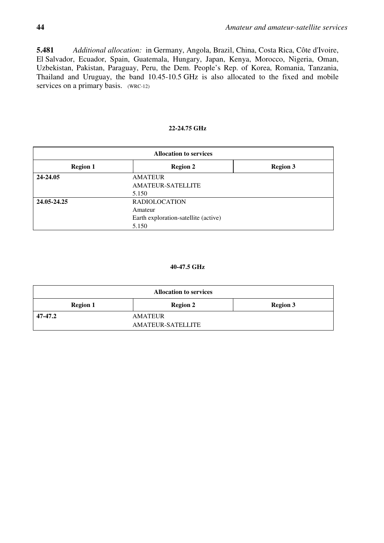**5.481** *Additional allocation:* in Germany, Angola, Brazil, China, Costa Rica, Côte d'Ivoire, El Salvador, Ecuador, Spain, Guatemala, Hungary, Japan, Kenya, Morocco, Nigeria, Oman, Uzbekistan, Pakistan, Paraguay, Peru, the Dem. People's Rep. of Korea, Romania, Tanzania, Thailand and Uruguay, the band 10.45-10.5 GHz is also allocated to the fixed and mobile services on a primary basis. (WRC-12)

### **22-24.75 GHz**

| <b>Allocation to services</b> |                                      |                 |
|-------------------------------|--------------------------------------|-----------------|
| <b>Region 1</b>               | <b>Region 2</b>                      | <b>Region 3</b> |
| 24-24.05                      | <b>AMATEUR</b>                       |                 |
|                               | <b>AMATEUR-SATELLITE</b>             |                 |
|                               | 5.150                                |                 |
| 24,05-24,25                   | <b>RADIOLOCATION</b>                 |                 |
|                               | Amateur                              |                 |
|                               | Earth exploration-satellite (active) |                 |
|                               | 5.150                                |                 |

### **40-47.5 GHz**

| <b>Allocation to services</b> |                          |                 |
|-------------------------------|--------------------------|-----------------|
| <b>Region 1</b>               | <b>Region 2</b>          | <b>Region 3</b> |
| 47-47.2                       | <b>AMATEUR</b>           |                 |
|                               | <b>AMATEUR-SATELLITE</b> |                 |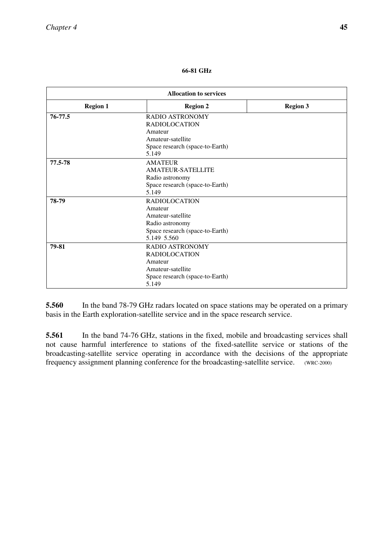### **66-81 GHz**

| <b>Allocation to services</b> |                                                                                                                            |                 |
|-------------------------------|----------------------------------------------------------------------------------------------------------------------------|-----------------|
| <b>Region 1</b>               | <b>Region 2</b>                                                                                                            | <b>Region 3</b> |
| 76-77.5                       | RADIO ASTRONOMY<br><b>RADIOLOCATION</b><br>Amateur<br>Amateur-satellite<br>Space research (space-to-Earth)<br>5.149        |                 |
| 77.5-78                       | <b>AMATEUR</b><br><b>AMATEUR-SATELLITE</b><br>Radio astronomy<br>Space research (space-to-Earth)<br>5.149                  |                 |
| 78-79                         | <b>RADIOLOCATION</b><br>Amateur<br>Amateur-satellite<br>Radio astronomy<br>Space research (space-to-Earth)<br>5.149 5.560  |                 |
| 79-81                         | <b>RADIO ASTRONOMY</b><br><b>RADIOLOCATION</b><br>Amateur<br>Amateur-satellite<br>Space research (space-to-Earth)<br>5.149 |                 |

**5.560** In the band 78-79 GHz radars located on space stations may be operated on a primary basis in the Earth exploration-satellite service and in the space research service.

**5.561** In the band 74-76 GHz, stations in the fixed, mobile and broadcasting services shall not cause harmful interference to stations of the fixed-satellite service or stations of the broadcasting-satellite service operating in accordance with the decisions of the appropriate frequency assignment planning conference for the broadcasting-satellite service. (WRC-2000)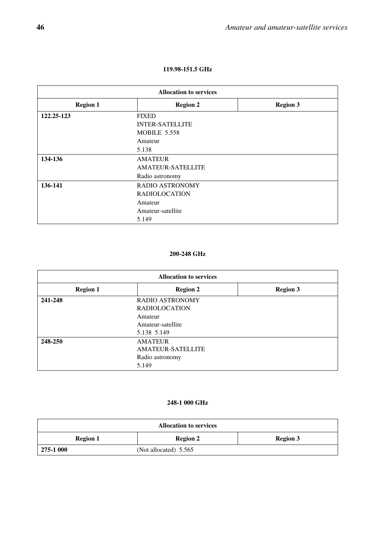### **119.98-151.5 GHz**

| <b>Allocation to services</b> |                          |                 |
|-------------------------------|--------------------------|-----------------|
| <b>Region 1</b>               | <b>Region 2</b>          | <b>Region 3</b> |
| 122.25-123                    | <b>FIXED</b>             |                 |
|                               | <b>INTER-SATELLITE</b>   |                 |
|                               | <b>MOBILE 5.558</b>      |                 |
|                               | Amateur                  |                 |
|                               | 5.138                    |                 |
| 134-136                       | <b>AMATEUR</b>           |                 |
|                               | <b>AMATEUR-SATELLITE</b> |                 |
|                               | Radio astronomy          |                 |
| 136-141                       | <b>RADIO ASTRONOMY</b>   |                 |
|                               | <b>RADIOLOCATION</b>     |                 |
|                               | Amateur                  |                 |
|                               | Amateur-satellite        |                 |
|                               | 5.149                    |                 |

#### **200-248 GHz**

| <b>Allocation to services</b> |                        |                 |
|-------------------------------|------------------------|-----------------|
| <b>Region 1</b>               | <b>Region 2</b>        | <b>Region 3</b> |
| 241-248                       | <b>RADIO ASTRONOMY</b> |                 |
|                               | <b>RADIOLOCATION</b>   |                 |
|                               | Amateur                |                 |
|                               | Amateur-satellite      |                 |
|                               | 5.138 5.149            |                 |
| 248-250                       | <b>AMATEUR</b>         |                 |
|                               | AMATEUR-SATELLITE      |                 |
|                               | Radio astronomy        |                 |
|                               | 5.149                  |                 |

### **248-1 000 GHz**

| <b>Allocation to services</b>      |                 |                 |
|------------------------------------|-----------------|-----------------|
| <b>Region 1</b>                    | <b>Region 2</b> | <b>Region 3</b> |
| 275-1 000<br>(Not allocated) 5.565 |                 |                 |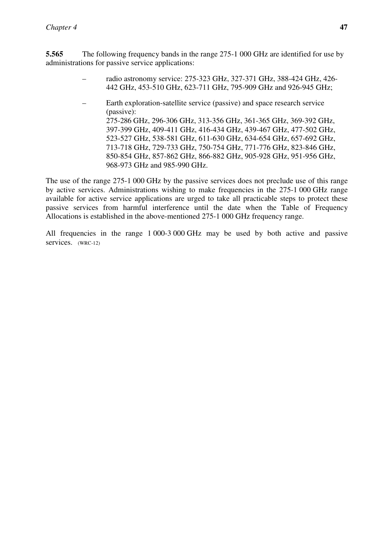**5.565** The following frequency bands in the range 275-1 000 GHz are identified for use by administrations for passive service applications:

- radio astronomy service: 275-323 GHz, 327-371 GHz, 388-424 GHz, 426- 442 GHz, 453-510 GHz, 623-711 GHz, 795-909 GHz and 926-945 GHz;
- Earth exploration-satellite service (passive) and space research service (passive): 275-286 GHz, 296-306 GHz, 313-356 GHz, 361-365 GHz, 369-392 GHz, 397-399 GHz, 409-411 GHz, 416-434 GHz, 439-467 GHz, 477-502 GHz, 523-527 GHz, 538-581 GHz, 611-630 GHz, 634-654 GHz, 657-692 GHz, 713-718 GHz, 729-733 GHz, 750-754 GHz, 771-776 GHz, 823-846 GHz, 850-854 GHz, 857-862 GHz, 866-882 GHz, 905-928 GHz, 951-956 GHz, 968-973 GHz and 985-990 GHz.

The use of the range 275-1 000 GHz by the passive services does not preclude use of this range by active services. Administrations wishing to make frequencies in the 275-1 000 GHz range available for active service applications are urged to take all practicable steps to protect these passive services from harmful interference until the date when the Table of Frequency Allocations is established in the above-mentioned 275-1 000 GHz frequency range.

All frequencies in the range 1 000-3 000 GHz may be used by both active and passive services. (WRC-12)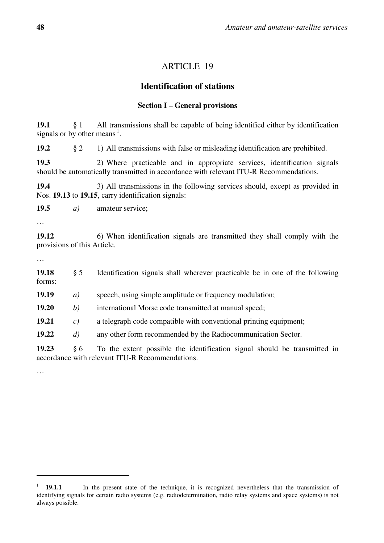## ARTICLE 19

## **Identification of stations**

## **Section I – General provisions**

**19.1** § 1 All transmissions shall be capable of being identified either by identification signals or by other means<sup>1</sup>.

19.2 § 2 1) All transmissions with false or misleading identification are prohibited.

**19.3** 2) Where practicable and in appropriate services, identification signals should be automatically transmitted in accordance with relevant ITU-R Recommendations.

**19.4** 3) All transmissions in the following services should, except as provided in Nos. **19.13** to **19.15**, carry identification signals:

**19.5** *a)* amateur service;

…

**19.12** 6) When identification signals are transmitted they shall comply with the provisions of this Article.

…

**19.18** § 5 Identification signals shall wherever practicable be in one of the following forms:

**19.19** *a)* speech, using simple amplitude or frequency modulation;

**19.20** *b)* international Morse code transmitted at manual speed;

**19.21** *c)* a telegraph code compatible with conventional printing equipment;

**19.22** *d)* any other form recommended by the Radiocommunication Sector.

**19.23** § 6 To the extent possible the identification signal should be transmitted in accordance with relevant ITU-R Recommendations.

…

ł

 $1$  19.1.1 **19.1.1** In the present state of the technique, it is recognized nevertheless that the transmission of identifying signals for certain radio systems (e.g. radiodetermination, radio relay systems and space systems) is not always possible.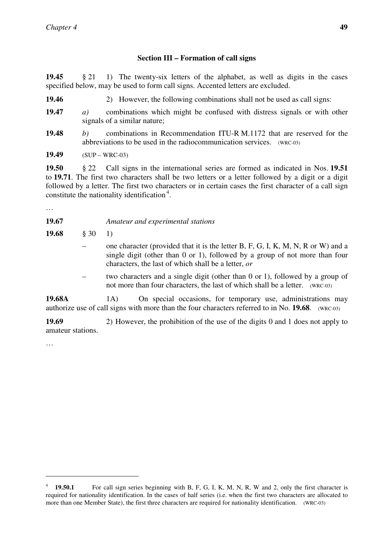## **Section III – Formation of call signs**

**19.45** § 21 1) The twenty-six letters of the alphabet, as well as digits in the cases specified below, may be used to form call signs. Accented letters are excluded.

- **19.46** 2) However, the following combinations shall not be used as call signs:
- **19.47** *a)* combinations which might be confused with distress signals or with other signals of a similar nature;
- **19.48** *b)* combinations in Recommendation ITU-R M.1172 that are reserved for the abbreviations to be used in the radiocommunication services. (WRC-03)

**19.49** (SUP – WRC-03)

**19.50** § 22 Call signs in the international series are formed as indicated in Nos. **19.51** to **19.71**. The first two characters shall be two letters or a letter followed by a digit or a digit followed by a letter. The first two characters or in certain cases the first character of a call sign constitute the nationality identification<sup>4</sup>.

…

**19.67** *Amateur and experimental stations*

**19.68** § 30 1)

- one character (provided that it is the letter B, F, G, I, K, M, N, R or W) and a single digit (other than 0 or 1), followed by a group of not more than four characters, the last of which shall be a letter, *or*
- two characters and a single digit (other than 0 or 1), followed by a group of not more than four characters, the last of which shall be a letter. (WRC-03)

19.68A 1A) On special occasions, for temporary use, administrations may authorize use of call signs with more than the four characters referred to in No. **19.68**. (WRC-03)

**19.69** 2) However, the prohibition of the use of the digits 0 and 1 does not apply to amateur stations.

…

ł

<sup>4</sup> **19.50.1** For call sign series beginning with B, F, G, I, K, M, N, R, W and 2, only the first character is required for nationality identification. In the cases of half series (i.e. when the first two characters are allocated to more than one Member State), the first three characters are required for nationality identification. (WRC-03)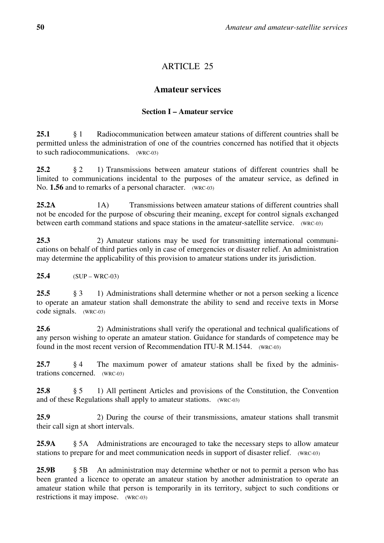# ARTICLE 25

## **Amateur services**

### **Section I – Amateur service**

**25.1** § 1 Radiocommunication between amateur stations of different countries shall be permitted unless the administration of one of the countries concerned has notified that it objects to such radiocommunications. (WRC-03)

**25.2** § 2 1) Transmissions between amateur stations of different countries shall be limited to communications incidental to the purposes of the amateur service, as defined in No. **1.56** and to remarks of a personal character. (WRC-03)

**25.2A** 1A) Transmissions between amateur stations of different countries shall not be encoded for the purpose of obscuring their meaning, except for control signals exchanged between earth command stations and space stations in the amateur-satellite service. (WRC-03)

**25.3** 2) Amateur stations may be used for transmitting international communications on behalf of third parties only in case of emergencies or disaster relief. An administration may determine the applicability of this provision to amateur stations under its jurisdiction.

**25.4** (SUP – WRC-03)

25.5 § 3 1) Administrations shall determine whether or not a person seeking a licence to operate an amateur station shall demonstrate the ability to send and receive texts in Morse code signals. (WRC-03)

**25.6** 2) Administrations shall verify the operational and technical qualifications of any person wishing to operate an amateur station. Guidance for standards of competence may be found in the most recent version of Recommendation ITU-R M.1544. (WRC-03)

**25.7** § 4 The maximum power of amateur stations shall be fixed by the administrations concerned. (WRC-03)

25.8 **§ 5 b**  $\{5\}$  **1**) All pertinent Articles and provisions of the Constitution, the Convention and of these Regulations shall apply to amateur stations. (WRC-03)

**25.9** 2) During the course of their transmissions, amateur stations shall transmit their call sign at short intervals.

**25.9A** § 5A Administrations are encouraged to take the necessary steps to allow amateur stations to prepare for and meet communication needs in support of disaster relief. (WRC-03)

**25.9B** § 5B An administration may determine whether or not to permit a person who has been granted a licence to operate an amateur station by another administration to operate an amateur station while that person is temporarily in its territory, subject to such conditions or restrictions it may impose. (WRC-03)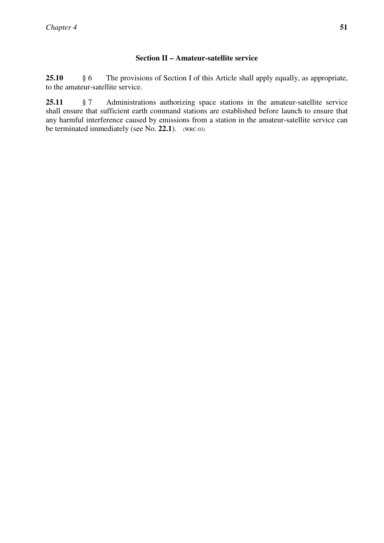### **Section II – Amateur-satellite service**

25.10 § 6 The provisions of Section I of this Article shall apply equally, as appropriate, to the amateur-satellite service.

25.11 § 7 Administrations authorizing space stations in the amateur-satellite service shall ensure that sufficient earth command stations are established before launch to ensure that any harmful interference caused by emissions from a station in the amateur-satellite service can be terminated immediately (see No. **22.1**). (WRC-03)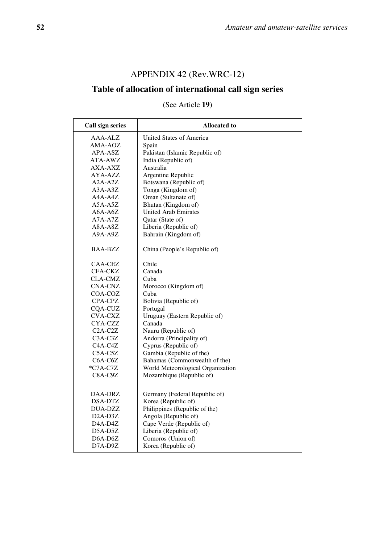# APPENDIX 42 (Rev.WRC-12)

# **Table of allocation of international call sign series**

# (See Article **19**)

| Call sign series                            | <b>Allocated to</b>               |
|---------------------------------------------|-----------------------------------|
| AAA-ALZ                                     | United States of America          |
| AMA-AOZ                                     | Spain                             |
| APA-ASZ                                     | Pakistan (Islamic Republic of)    |
| ATA-AWZ                                     | India (Republic of)               |
| AXA-AXZ                                     | Australia                         |
| AYA-AZZ                                     | Argentine Republic                |
| $A2A- A2Z$                                  | Botswana (Republic of)            |
| A3A-A3Z                                     | Tonga (Kingdom of)                |
| A4A-A4Z                                     | Oman (Sultanate of)               |
| A5A-A5Z                                     | Bhutan (Kingdom of)               |
| A6A-A6Z                                     | <b>United Arab Emirates</b>       |
| A7A-A7Z                                     | Qatar (State of)                  |
| A8A-A8Z                                     | Liberia (Republic of)             |
| A9A-A9Z                                     | Bahrain (Kingdom of)              |
| BAA-BZZ                                     | China (People's Republic of)      |
| CAA-CEZ                                     | Chile                             |
| CFA-CKZ                                     | Canada                            |
| <b>CLA-CMZ</b>                              | Cuba                              |
| CNA-CNZ                                     | Morocco (Kingdom of)              |
| COA-COZ                                     | Cuba                              |
| CPA-CPZ                                     | Bolivia (Republic of)             |
| <b>CQA-CUZ</b>                              | Portugal                          |
| <b>CVA-CXZ</b>                              | Uruguay (Eastern Republic of)     |
| CYA-CZZ                                     | Canada                            |
| C <sub>2</sub> A-C <sub>2</sub> Z           | Nauru (Republic of)               |
| C <sub>3</sub> A <sub>-C<sub>3</sub>Z</sub> | Andorra (Principality of)         |
| C4A-C4Z                                     | Cyprus (Republic of)              |
| $C5A-C5Z$                                   | Gambia (Republic of the)          |
| C <sub>6</sub> A-C <sub>6</sub> Z           | Bahamas (Commonwealth of the)     |
| $*C7A-C7Z$                                  | World Meteorological Organization |
| C8A-C9Z                                     | Mozambique (Republic of)          |
| DAA-DRZ                                     | Germany (Federal Republic of)     |
| DSA-DTZ                                     | Korea (Republic of)               |
| DUA-DZZ                                     | Philippines (Republic of the)     |
| D <sub>2</sub> A-D <sub>3</sub> Z           | Angola (Republic of)              |
| D4A-D4Z                                     | Cape Verde (Republic of)          |
| $D5A-D5Z$                                   | Liberia (Republic of)             |
| $D6A-D6Z$                                   | Comoros (Union of)                |
| $D7A-D9Z$                                   | Korea (Republic of)               |
|                                             |                                   |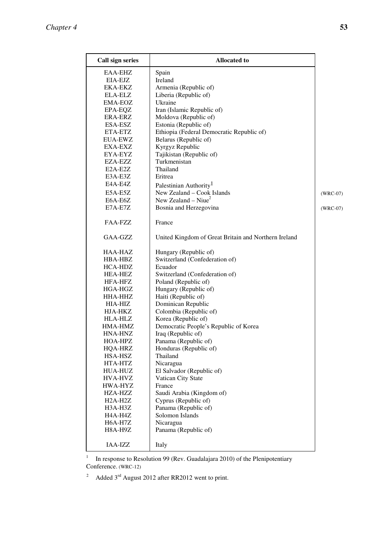| Call sign series | <b>Allocated to</b>                                  |            |
|------------------|------------------------------------------------------|------------|
| EAA-EHZ          | Spain                                                |            |
| EIA-EJZ          | Ireland                                              |            |
| EKA-EKZ          | Armenia (Republic of)                                |            |
| <b>ELA-ELZ</b>   | Liberia (Republic of)                                |            |
| EMA-EOZ          | Ukraine                                              |            |
| EPA-EQZ          | Iran (Islamic Republic of)                           |            |
| ERA-ERZ          | Moldova (Republic of)                                |            |
| ESA-ESZ          | Estonia (Republic of)                                |            |
| ETA-ETZ          | Ethiopia (Federal Democratic Republic of)            |            |
| EUA-EWZ          | Belarus (Republic of)                                |            |
| EXA-EXZ          | Kyrgyz Republic                                      |            |
| EYA-EYZ          | Tajikistan (Republic of)                             |            |
| EZA-EZZ          | Turkmenistan                                         |            |
| E2A-E2Z          | Thailand                                             |            |
| E3A-E3Z          | Eritrea                                              |            |
| E4A-E4Z          | Palestinian Authority <sup>1</sup>                   |            |
| E5A-E5Z          | New Zealand - Cook Islands                           | $(WRC-07)$ |
| $E6A-E6Z$        | New Zealand – Niue <sup>2</sup>                      |            |
| E7A-E7Z          | Bosnia and Herzegovina                               | $(WRC-07)$ |
| <b>FAA-FZZ</b>   | France                                               |            |
| GAA-GZZ          | United Kingdom of Great Britain and Northern Ireland |            |
| HAA-HAZ          | Hungary (Republic of)                                |            |
| HBA-HBZ          | Switzerland (Confederation of)                       |            |
| HCA-HDZ          | Ecuador                                              |            |
| <b>HEA-HEZ</b>   | Switzerland (Confederation of)                       |            |
| <b>HFA-HFZ</b>   | Poland (Republic of)                                 |            |
| HGA-HGZ          | Hungary (Republic of)                                |            |
| HHA-HHZ          | Haiti (Republic of)                                  |            |
| HIA-HIZ          | Dominican Republic                                   |            |
| HJA-HKZ          | Colombia (Republic of)                               |            |
| <b>HLA-HLZ</b>   | Korea (Republic of)                                  |            |
| HMA-HMZ          | Democratic People's Republic of Korea                |            |
| HNA-HNZ          | Iraq (Republic of)                                   |            |
| HOA-HPZ          | Panama (Republic of)                                 |            |
| HQA-HRZ          | Honduras (Republic of)                               |            |
| HSA-HSZ          | Thailand                                             |            |
| HTA-HTZ          | Nicaragua                                            |            |
| HUA-HUZ          | El Salvador (Republic of)                            |            |
| HVA-HVZ          | Vatican City State                                   |            |
| HWA-HYZ          | France                                               |            |
| HZA-HZZ          | Saudi Arabia (Kingdom of)                            |            |
| $H2A-H2Z$        | Cyprus (Republic of)                                 |            |
| H3A-H3Z          | Panama (Republic of)                                 |            |
| H4A-H4Z          | Solomon Islands                                      |            |
| H6A-H7Z          | Nicaragua                                            |            |
| H8A-H9Z          | Panama (Republic of)                                 |            |
| IAA-IZZ          | Italy                                                |            |

<sup>1</sup> In response to Resolution 99 (Rev. Guadalajara 2010) of the Plenipotentiary Conference. (WRC-12)

2 Added  $3<sup>rd</sup>$  August 2012 after RR2012 went to print.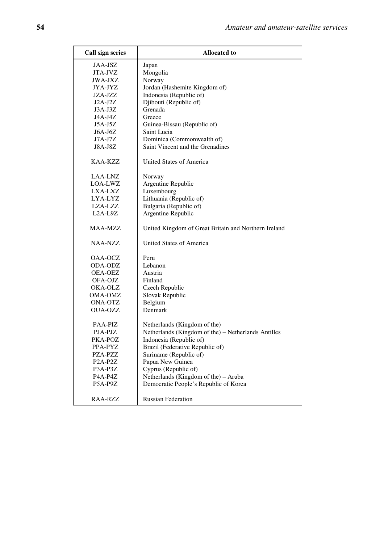| Call sign series                  | <b>Allocated to</b>                                  |
|-----------------------------------|------------------------------------------------------|
| JAA-JSZ                           | Japan                                                |
| <b>JTA-JVZ</b>                    | Mongolia                                             |
| <b>JWA-JXZ</b>                    | Norway                                               |
| JYA-JYZ                           | Jordan (Hashemite Kingdom of)                        |
| JZA-JZZ                           | Indonesia (Republic of)                              |
| $J2A-J2Z$                         | Djibouti (Republic of)                               |
| J3A-J3Z                           | Grenada                                              |
| J4A-J4Z                           | Greece                                               |
| $J5A-J5Z$                         | Guinea-Bissau (Republic of)                          |
| $J6A-J6Z$                         | Saint Lucia                                          |
| $J7A-J7Z$                         | Dominica (Commonwealth of)                           |
| <b>J8A-J8Z</b>                    | Saint Vincent and the Grenadines                     |
| KAA-KZZ                           | United States of America                             |
| LAA-LNZ                           | Norway                                               |
| LOA-LWZ                           | Argentine Republic                                   |
| LXA-LXZ                           | Luxembourg                                           |
| LYA-LYZ                           | Lithuania (Republic of)                              |
| LZA-LZZ                           | Bulgaria (Republic of)                               |
| L <sub>2</sub> A-L <sub>9</sub> Z | Argentine Republic                                   |
| MAA-MZZ                           | United Kingdom of Great Britain and Northern Ireland |
| NAA-NZZ                           | United States of America                             |
| OAA-OCZ                           | Peru                                                 |
| <b>ODA-ODZ</b>                    | Lebanon                                              |
| <b>OEA-OEZ</b>                    | Austria                                              |
| OFA-OJZ                           | Finland                                              |
| OKA-OLZ                           | Czech Republic                                       |
| OMA-OMZ                           | Slovak Republic                                      |
| <b>ONA-OTZ</b>                    | Belgium                                              |
| <b>OUA-OZZ</b>                    | Denmark                                              |
| PAA-PIZ                           | Netherlands (Kingdom of the)                         |
| PJA-PJZ                           | Netherlands (Kingdom of the) – Netherlands Antilles  |
| PKA-POZ                           | Indonesia (Republic of)                              |
| PPA-PYZ                           | Brazil (Federative Republic of)                      |
| PZA-PZZ                           | Suriname (Republic of)                               |
| P <sub>2</sub> A-P <sub>2</sub> Z | Papua New Guinea                                     |
| P3A-P3Z                           | Cyprus (Republic of)                                 |
| P <sub>4</sub> A-P <sub>4</sub> Z | Netherlands (Kingdom of the) - Aruba                 |
| P5A-P9Z                           | Democratic People's Republic of Korea                |
| RAA-RZZ                           | <b>Russian Federation</b>                            |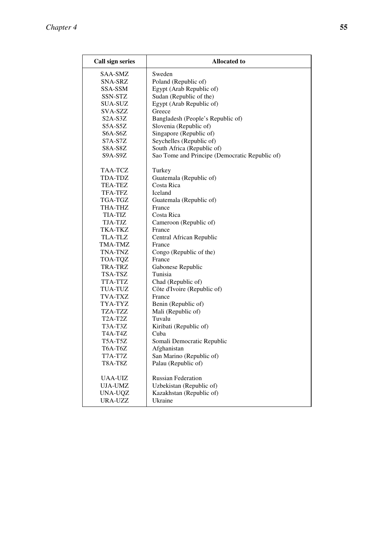| Call sign series                  | <b>Allocated to</b>                            |
|-----------------------------------|------------------------------------------------|
| SAA-SMZ                           | Sweden                                         |
| SNA-SRZ                           | Poland (Republic of)                           |
| <b>SSA-SSM</b>                    | Egypt (Arab Republic of)                       |
| SSN-STZ                           | Sudan (Republic of the)                        |
| <b>SUA-SUZ</b>                    | Egypt (Arab Republic of)                       |
| SVA-SZZ                           | Greece                                         |
| $S2A-S3Z$                         | Bangladesh (People's Republic of)              |
| S5A-S5Z                           | Slovenia (Republic of)                         |
| S6A-S6Z                           | Singapore (Republic of)                        |
| S7A-S7Z                           | Seychelles (Republic of)                       |
| S8A-S8Z                           | South Africa (Republic of)                     |
| $S9A-S9Z$                         | Sao Tome and Principe (Democratic Republic of) |
| TAA-TCZ                           | Turkey                                         |
| TDA-TDZ                           | Guatemala (Republic of)                        |
| <b>TEA-TEZ</b>                    | Costa Rica                                     |
| TFA-TFZ                           | Iceland                                        |
| TGA-TGZ                           | Guatemala (Republic of)                        |
| THA-THZ                           | France                                         |
| <b>TIA-TIZ</b>                    | Costa Rica                                     |
| TJA-TJZ                           | Cameroon (Republic of)                         |
| TKA-TKZ                           | France                                         |
| <b>TLA-TLZ</b>                    | Central African Republic                       |
| TMA-TMZ                           | France                                         |
| TNA-TNZ                           | Congo (Republic of the)                        |
| TOA-TQZ                           | France                                         |
| TRA-TRZ                           | Gabonese Republic                              |
| TSA-TSZ                           | Tunisia                                        |
| TTA-TTZ                           | Chad (Republic of)                             |
| TUA-TUZ                           | Côte d'Ivoire (Republic of)                    |
| TVA-TXZ<br>TYA-TYZ                | France<br>Benin (Republic of)                  |
| TZA-TZZ                           | Mali (Republic of)                             |
| T <sub>2</sub> A-T <sub>2</sub> Z | Tuvalu                                         |
| T3A-T3Z                           | Kiribati (Republic of)                         |
| T4A-T4Z                           | Cuba                                           |
| T5A-T5Z                           | Somali Democratic Republic                     |
| <b>T6A-T6Z</b>                    | Afghanistan                                    |
| <b>T7A-T7Z</b>                    | San Marino (Republic of)                       |
| <b>T8A-T8Z</b>                    | Palau (Republic of)                            |
| <b>UAA-UIZ</b>                    | <b>Russian Federation</b>                      |
| UJA-UMZ                           | Uzbekistan (Republic of)                       |
| UNA-UQZ                           | Kazakhstan (Republic of)                       |
| URA-UZZ                           | Ukraine                                        |
|                                   |                                                |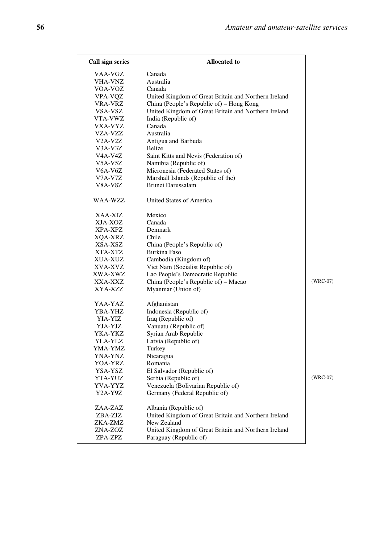| Call sign series | <b>Allocated to</b>                                  |            |
|------------------|------------------------------------------------------|------------|
| VAA-VGZ          | Canada                                               |            |
| <b>VHA-VNZ</b>   | Australia                                            |            |
| VOA-VOZ          | Canada                                               |            |
| VPA-VQZ          | United Kingdom of Great Britain and Northern Ireland |            |
| <b>VRA-VRZ</b>   | China (People's Republic of) - Hong Kong             |            |
| VSA-VSZ          | United Kingdom of Great Britain and Northern Ireland |            |
| VTA-VWZ          | India (Republic of)                                  |            |
| VXA-VYZ          | Canada                                               |            |
| VZA-VZZ          | Australia                                            |            |
| $V2A-V2Z$        | Antigua and Barbuda                                  |            |
| V3A-V3Z          | <b>Belize</b>                                        |            |
| V4A-V4Z          | Saint Kitts and Nevis (Federation of)                |            |
| V5A-V5Z          | Namibia (Republic of)                                |            |
| V6A-V6Z          | Micronesia (Federated States of)                     |            |
| V7A-V7Z          | Marshall Islands (Republic of the)                   |            |
| V8A-V8Z          | Brunei Darussalam                                    |            |
| WAA-WZZ          | United States of America                             |            |
| XAA-XIZ          | Mexico                                               |            |
| XJA-XOZ          | Canada                                               |            |
| XPA-XPZ          | Denmark                                              |            |
| XQA-XRZ          | Chile                                                |            |
| XSA-XSZ          | China (People's Republic of)                         |            |
| XTA-XTZ          | Burkina Faso                                         |            |
| XUA-XUZ          | Cambodia (Kingdom of)                                |            |
| XVA-XVZ          | Viet Nam (Socialist Republic of)                     |            |
| XWA-XWZ          | Lao People's Democratic Republic                     |            |
| XXA-XXZ          | China (People's Republic of) - Macao                 | $(WRC-07)$ |
| XYA-XZZ          | Myanmar (Union of)                                   |            |
| YAA-YAZ          | Afghanistan                                          |            |
| YBA-YHZ          | Indonesia (Republic of)                              |            |
| YIA-YIZ          | Iraq (Republic of)                                   |            |
| YJA-YJZ          | Vanuatu (Republic of)                                |            |
| YKA-YKZ          | Syrian Arab Republic                                 |            |
| YLA-YLZ          | Latvia (Republic of)                                 |            |
| YMA-YMZ          | Turkey                                               |            |
| YNA-YNZ          | Nicaragua                                            |            |
| YOA-YRZ          | Romania                                              |            |
| YSA-YSZ          | El Salvador (Republic of)                            |            |
| YTA-YUZ          | Serbia (Republic of)                                 | $(WRC-07)$ |
| YVA-YYZ          | Venezuela (Bolivarian Republic of)                   |            |
| Y2A-Y9Z          | Germany (Federal Republic of)                        |            |
| ZAA-ZAZ          | Albania (Republic of)                                |            |
| ZBA-ZJZ          | United Kingdom of Great Britain and Northern Ireland |            |
| ZKA-ZMZ          | New Zealand                                          |            |
| ZNA-ZOZ          | United Kingdom of Great Britain and Northern Ireland |            |
| ZPA-ZPZ          | Paraguay (Republic of)                               |            |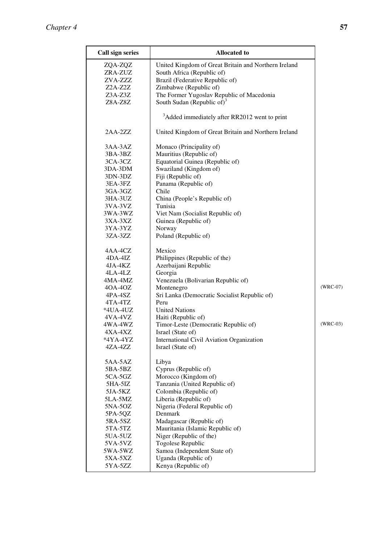| Call sign series | <b>Allocated to</b>                                       |            |
|------------------|-----------------------------------------------------------|------------|
| ZQA-ZQZ          | United Kingdom of Great Britain and Northern Ireland      |            |
| ZRA-ZUZ          | South Africa (Republic of)                                |            |
| ZVA-ZZZ          | Brazil (Federative Republic of)                           |            |
| Z2A-Z2Z          | Zimbabwe (Republic of)                                    |            |
| Z3A-Z3Z          | The Former Yugoslav Republic of Macedonia                 |            |
| Z8A-Z8Z          | South Sudan (Republic of) $3$                             |            |
|                  | <sup>3</sup> Added immediately after RR2012 went to print |            |
| $2AA-2ZZ$        | United Kingdom of Great Britain and Northern Ireland      |            |
| 3AA-3AZ          | Monaco (Principality of)                                  |            |
| $3BA-3BZ$        | Mauritius (Republic of)                                   |            |
| 3CA-3CZ          | Equatorial Guinea (Republic of)                           |            |
| 3DA-3DM          | Swaziland (Kingdom of)                                    |            |
| 3DN-3DZ          | Fiji (Republic of)                                        |            |
| 3EA-3FZ          | Panama (Republic of)                                      |            |
| 3GA-3GZ          | Chile                                                     |            |
| 3HA-3UZ          | China (People's Republic of)                              |            |
| 3VA-3VZ          | Tunisia                                                   |            |
| 3WA-3WZ          | Viet Nam (Socialist Republic of)                          |            |
| $3XA-3XZ$        | Guinea (Republic of)                                      |            |
| 3YA-3YZ          | Norway                                                    |            |
| 3ZA-3ZZ          | Poland (Republic of)                                      |            |
| 4AA-4CZ          | Mexico                                                    |            |
| 4DA-4IZ          | Philippines (Republic of the)                             |            |
| 4JA-4KZ          | Azerbaijani Republic                                      |            |
| 4LA-4LZ          | Georgia                                                   |            |
| 4MA-4MZ          | Venezuela (Bolivarian Republic of)                        |            |
| 40A-40Z          | Montenegro                                                | $(WRC-07)$ |
| 4PA-4SZ          | Sri Lanka (Democratic Socialist Republic of)              |            |
| 4TA-4TZ          | Peru                                                      |            |
| *4UA-4UZ         | <b>United Nations</b>                                     |            |
| 4VA-4VZ          | Haiti (Republic of)                                       |            |
| 4WA-4WZ          | Timor-Leste (Democratic Republic of)                      | $(WRC-03)$ |
| $4XA-4XZ$        | Israel (State of)                                         |            |
| *4YA-4YZ         | <b>International Civil Aviation Organization</b>          |            |
| 4ZA-4ZZ          | Israel (State of)                                         |            |
| 5AA-5AZ          | Libya                                                     |            |
| 5BA-5BZ          | Cyprus (Republic of)                                      |            |
| 5CA-5GZ          | Morocco (Kingdom of)                                      |            |
| 5HA-5IZ          | Tanzania (United Republic of)                             |            |
| 5JA-5KZ          | Colombia (Republic of)                                    |            |
| $5LA-5MZ$        | Liberia (Republic of)                                     |            |
| 5NA-5OZ          | Nigeria (Federal Republic of)                             |            |
| 5PA-5QZ          | Denmark                                                   |            |
| 5RA-5SZ          | Madagascar (Republic of)                                  |            |
| 5TA-5TZ          | Mauritania (Islamic Republic of)                          |            |
| 5UA-5UZ          | Niger (Republic of the)                                   |            |
| 5VA-5VZ          | Togolese Republic                                         |            |
| 5WA-5WZ          | Samoa (Independent State of)                              |            |
| 5XA-5XZ          | Uganda (Republic of)                                      |            |
| 5YA-5ZZ          | Kenya (Republic of)                                       |            |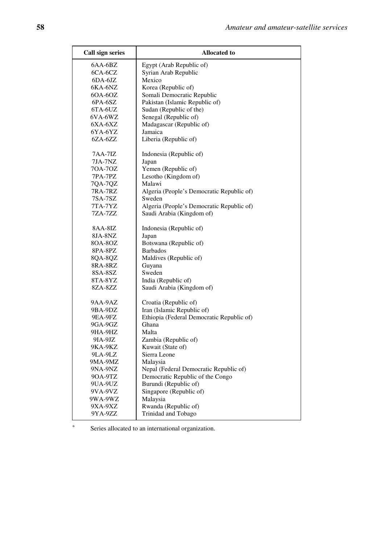| Call sign series | <b>Allocated to</b>                       |
|------------------|-------------------------------------------|
| 6AA-6BZ          | Egypt (Arab Republic of)                  |
| 6CA-6CZ          | Syrian Arab Republic                      |
| $6DA-6JZ$        | Mexico                                    |
| 6KA-6NZ          | Korea (Republic of)                       |
| 60A-60Z          | Somali Democratic Republic                |
| 6PA-6SZ          | Pakistan (Islamic Republic of)            |
| 6TA-6UZ          | Sudan (Republic of the)                   |
| 6VA-6WZ          | Senegal (Republic of)                     |
| $6XA-6XZ$        | Madagascar (Republic of)                  |
| $6YA-6YZ$        | Jamaica                                   |
| $6ZA-6ZZ$        | Liberia (Republic of)                     |
| 7AA-7IZ          | Indonesia (Republic of)                   |
| 7JA-7NZ          | Japan                                     |
| 70A-70Z          | Yemen (Republic of)                       |
| <b>7PA-7PZ</b>   | Lesotho (Kingdom of)                      |
| 7QA-7QZ          | Malawi                                    |
| 7RA-7RZ          | Algeria (People's Democratic Republic of) |
| 7SA-7SZ          | Sweden                                    |
| 7TA-7YZ          | Algeria (People's Democratic Republic of) |
| 7ZA-7ZZ          | Saudi Arabia (Kingdom of)                 |
| 8AA-8IZ          | Indonesia (Republic of)                   |
| 8JA-8NZ          | Japan                                     |
| 80A-80Z          | Botswana (Republic of)                    |
| 8PA-8PZ          | <b>Barbados</b>                           |
| 8QA-8QZ          | Maldives (Republic of)                    |
| 8RA-8RZ          | Guyana                                    |
| 8SA-8SZ          | Sweden                                    |
| 8TA-8YZ          | India (Republic of)                       |
| 8ZA-8ZZ          | Saudi Arabia (Kingdom of)                 |
| 9AA-9AZ          | Croatia (Republic of)                     |
| 9BA-9DZ          | Iran (Islamic Republic of)                |
| 9EA-9FZ          | Ethiopia (Federal Democratic Republic of) |
| 9GA-9GZ          | Ghana                                     |
| 9HA-9HZ          | Malta                                     |
| 9IA-9JZ          | Zambia (Republic of)                      |
| 9KA-9KZ          | Kuwait (State of)                         |
| 9LA-9LZ          | Sierra Leone                              |
| 9MA-9MZ          | Malaysia                                  |
| 9NA-9NZ          | Nepal (Federal Democratic Republic of)    |
| 9OA-9TZ          | Democratic Republic of the Congo          |
| 9UA-9UZ          | Burundi (Republic of)                     |
| 9VA-9VZ          | Singapore (Republic of)                   |
| 9WA-9WZ          | Malaysia                                  |
| 9XA-9XZ          | Rwanda (Republic of)                      |
| 9YA-9ZZ          | Trinidad and Tobago                       |

\* Series allocated to an international organization.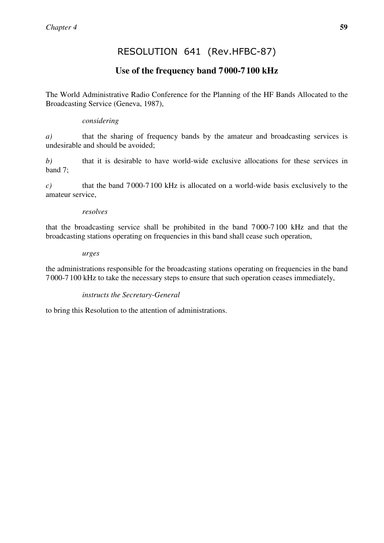# RESOLUTION 641 (Rev.HFBC-87)

## **Use of the frequency band 7000-7100 kHz**

The World Administrative Radio Conference for the Planning of the HF Bands Allocated to the Broadcasting Service (Geneva, 1987),

### *considering*

*a)* that the sharing of frequency bands by the amateur and broadcasting services is undesirable and should be avoided;

*b*) that it is desirable to have world-wide exclusive allocations for these services in band 7;

*c)* that the band 7 000-7 100 kHz is allocated on a world-wide basis exclusively to the amateur service,

### *resolves*

that the broadcasting service shall be prohibited in the band 7 000-7 100 kHz and that the broadcasting stations operating on frequencies in this band shall cease such operation,

### *urges*

the administrations responsible for the broadcasting stations operating on frequencies in the band 7 000-7 100 kHz to take the necessary steps to ensure that such operation ceases immediately,

## *instructs the Secretary-General*

to bring this Resolution to the attention of administrations.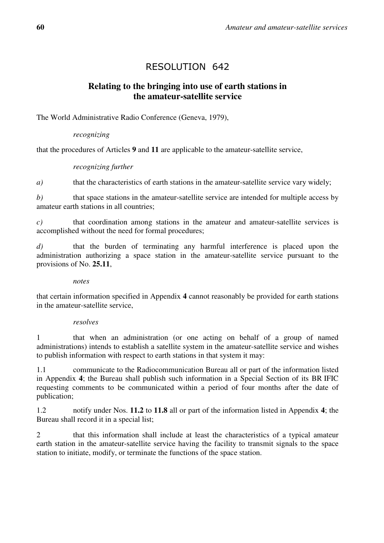# RESOLUTION 642

# **Relating to the bringing into use of earth stations in the amateur-satellite service**

The World Administrative Radio Conference (Geneva, 1979),

*recognizing* 

that the procedures of Articles **9** and **11** are applicable to the amateur-satellite service,

*recognizing further* 

*a*) that the characteristics of earth stations in the amateur-satellite service vary widely;

*b*) that space stations in the amateur-satellite service are intended for multiple access by amateur earth stations in all countries;

*c)* that coordination among stations in the amateur and amateur-satellite services is accomplished without the need for formal procedures;

*d)* that the burden of terminating any harmful interference is placed upon the administration authorizing a space station in the amateur-satellite service pursuant to the provisions of No. **25.11**,

*notes* 

that certain information specified in Appendix **4** cannot reasonably be provided for earth stations in the amateur-satellite service,

## *resolves*

1 that when an administration (or one acting on behalf of a group of named administrations) intends to establish a satellite system in the amateur-satellite service and wishes to publish information with respect to earth stations in that system it may:

1.1 communicate to the Radiocommunication Bureau all or part of the information listed in Appendix **4**; the Bureau shall publish such information in a Special Section of its BR IFIC requesting comments to be communicated within a period of four months after the date of publication;

1.2 notify under Nos. **11.2** to **11.8** all or part of the information listed in Appendix **4**; the Bureau shall record it in a special list;

2 that this information shall include at least the characteristics of a typical amateur earth station in the amateur-satellite service having the facility to transmit signals to the space station to initiate, modify, or terminate the functions of the space station.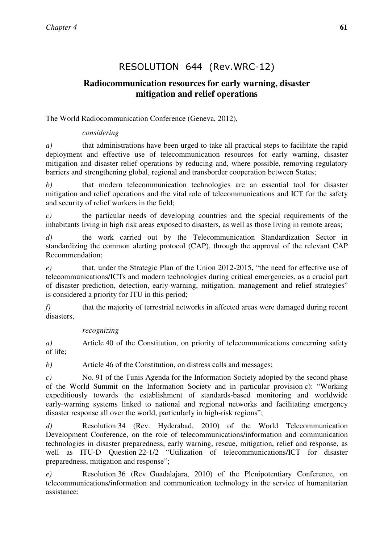# RESOLUTION 644 (Rev.WRC-12)

# **Radiocommunication resources for early warning, disaster mitigation and relief operations**

The World Radiocommunication Conference (Geneva, 2012),

## *considering*

*a)* that administrations have been urged to take all practical steps to facilitate the rapid deployment and effective use of telecommunication resources for early warning, disaster mitigation and disaster relief operations by reducing and, where possible, removing regulatory barriers and strengthening global, regional and transborder cooperation between States;

*b)* that modern telecommunication technologies are an essential tool for disaster mitigation and relief operations and the vital role of telecommunications and ICT for the safety and security of relief workers in the field;

*c)* the particular needs of developing countries and the special requirements of the inhabitants living in high risk areas exposed to disasters, as well as those living in remote areas;

*d)* the work carried out by the Telecommunication Standardization Sector in standardizing the common alerting protocol (CAP), through the approval of the relevant CAP Recommendation;

*e)* that, under the Strategic Plan of the Union 2012-2015, "the need for effective use of telecommunications/ICTs and modern technologies during critical emergencies, as a crucial part of disaster prediction, detection, early-warning, mitigation, management and relief strategies" is considered a priority for ITU in this period;

*f*) that the majority of terrestrial networks in affected areas were damaged during recent disasters,

## *recognizing*

*a)* Article 40 of the Constitution, on priority of telecommunications concerning safety of life;

*b)* Article 46 of the Constitution, on distress calls and messages;

*c)* No. 91 of the Tunis Agenda for the Information Society adopted by the second phase of the World Summit on the Information Society and in particular provision c): "Working expeditiously towards the establishment of standards-based monitoring and worldwide early-warning systems linked to national and regional networks and facilitating emergency disaster response all over the world, particularly in high-risk regions";

*d)* Resolution 34 (Rev. Hyderabad, 2010) of the World Telecommunication Development Conference, on the role of telecommunications/information and communication technologies in disaster preparedness, early warning, rescue, mitigation, relief and response, as well as ITU-D Question 22-1/2 "Utilization of telecommunications/ICT for disaster preparedness, mitigation and response";

*e)* Resolution 36 (Rev. Guadalajara, 2010) of the Plenipotentiary Conference, on telecommunications/information and communication technology in the service of humanitarian assistance;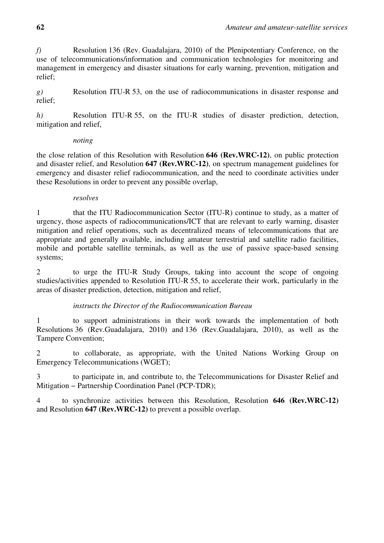*f)* Resolution 136 (Rev. Guadalajara, 2010) of the Plenipotentiary Conference, on the use of telecommunications/information and communication technologies for monitoring and management in emergency and disaster situations for early warning, prevention, mitigation and relief;

*g)* Resolution ITU-R 53, on the use of radiocommunications in disaster response and relief;

*h*) Resolution ITU-R 55, on the ITU-R studies of disaster prediction, detection, mitigation and relief,

### *noting*

the close relation of this Resolution with Resolution **646 (Rev.WRC-12)**, on public protection and disaster relief, and Resolution **647 (Rev.WRC-12)**, on spectrum management guidelines for emergency and disaster relief radiocommunication, and the need to coordinate activities under these Resolutions in order to prevent any possible overlap,

### *resolves*

1 that the ITU Radiocommunication Sector (ITU-R) continue to study, as a matter of urgency, those aspects of radiocommunications/ICT that are relevant to early warning, disaster mitigation and relief operations, such as decentralized means of telecommunications that are appropriate and generally available, including amateur terrestrial and satellite radio facilities, mobile and portable satellite terminals, as well as the use of passive space-based sensing systems;

2 to urge the ITU-R Study Groups, taking into account the scope of ongoing studies/activities appended to Resolution ITU-R 55, to accelerate their work, particularly in the areas of disaster prediction, detection, mitigation and relief,

## *instructs the Director of the Radiocommunication Bureau*

1 to support administrations in their work towards the implementation of both Resolutions 36 (Rev.Guadalajara, 2010) and 136 (Rev.Guadalajara, 2010), as well as the Tampere Convention;

2 to collaborate, as appropriate, with the United Nations Working Group on Emergency Telecommunications (WGET);

3 to participate in, and contribute to, the Telecommunications for Disaster Relief and Mitigation − Partnership Coordination Panel (PCP-TDR);

4 to synchronize activities between this Resolution, Resolution **646 (Rev.WRC-12)** and Resolution **647 (Rev.WRC-12)** to prevent a possible overlap.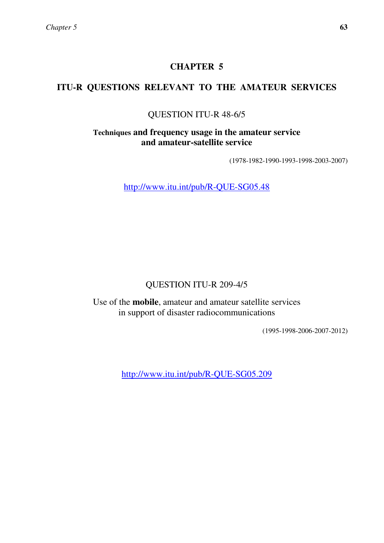# **CHAPTER 5**

# **ITU-R QUESTIONS RELEVANT TO THE AMATEUR SERVICES**

# QUESTION ITU-R 48-6/5

# **Techniques and frequency usage in the amateur service and amateur-satellite service**

(1978-1982-1990-1993-1998-2003-2007)

http://www.itu.int/pub/R-QUE-SG05.48

# QUESTION ITU-R 209-4/5

Use of the **mobile**, amateur and amateur satellite services in support of disaster radiocommunications

(1995-1998-2006-2007-2012)

http://www.itu.int/pub/R-QUE-SG05.209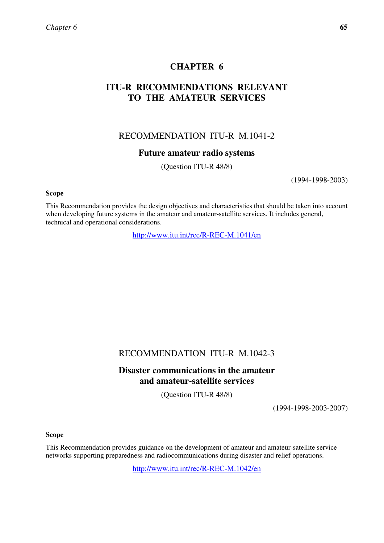# **CHAPTER 6**

## **ITU-R RECOMMENDATIONS RELEVANT TO THE AMATEUR SERVICES**

### RECOMMENDATION ITU-R M.1041-2

### **Future amateur radio systems**

(Question ITU-R 48/8)

(1994-1998-2003)

#### **Scope**

This Recommendation provides the design objectives and characteristics that should be taken into account when developing future systems in the amateur and amateur-satellite services. It includes general, technical and operational considerations.

http://www.itu.int/rec/R-REC-M.1041/en

### RECOMMENDATION ITU-R M.1042-3

## **Disaster communications in the amateur and amateur-satellite services**

(Question ITU-R 48/8)

(1994-1998-2003-2007)

**Scope** 

This Recommendation provides guidance on the development of amateur and amateur-satellite service networks supporting preparedness and radiocommunications during disaster and relief operations.

http://www.itu.int/rec/R-REC-M.1042/en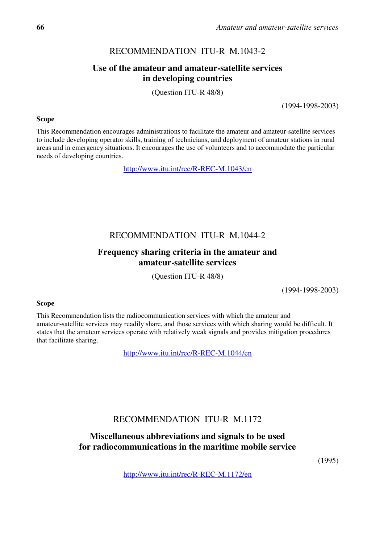# RECOMMENDATION ITU-R M.1043-2

### **Use of the amateur and amateur-satellite services in developing countries**

(Question ITU-R 48/8)

(1994-1998-2003)

#### **Scope**

This Recommendation encourages administrations to facilitate the amateur and amateur-satellite services to include developing operator skills, training of technicians, and deployment of amateur stations in rural areas and in emergency situations. It encourages the use of volunteers and to accommodate the particular needs of developing countries.

http://www.itu.int/rec/R-REC-M.1043/en

## RECOMMENDATION ITU-R M.1044-2

### **Frequency sharing criteria in the amateur and amateur-satellite services**

(Question ITU-R 48/8)

(1994-1998-2003)

#### **Scope**

This Recommendation lists the radiocommunication services with which the amateur and amateur-satellite services may readily share, and those services with which sharing would be difficult. It states that the amateur services operate with relatively weak signals and provides mitigation procedures that facilitate sharing.

http://www.itu.int/rec/R-REC-M.1044/en

## RECOMMENDATION ITU-R M.1172

**Miscellaneous abbreviations and signals to be used for radiocommunications in the maritime mobile service** 

(1995)

http://www.itu.int/rec/R-REC-M.1172/en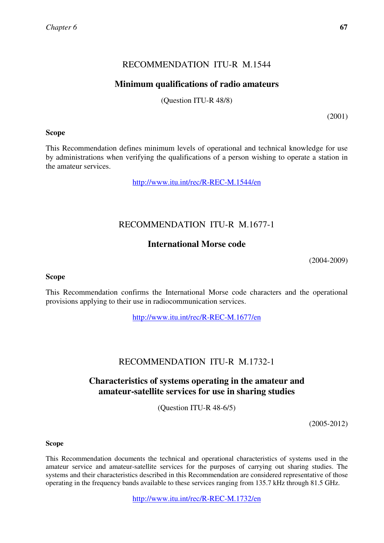## RECOMMENDATION ITU-R M.1544

### **Minimum qualifications of radio amateurs**

(Question ITU-R 48/8)

(2001)

#### **Scope**

This Recommendation defines minimum levels of operational and technical knowledge for use by administrations when verifying the qualifications of a person wishing to operate a station in the amateur services.

http://www.itu.int/rec/R-REC-M.1544/en

## RECOMMENDATION ITU-R M.1677-1

### **International Morse code**

(2004-2009)

#### **Scope**

This Recommendation confirms the International Morse code characters and the operational provisions applying to their use in radiocommunication services.

http://www.itu.int/rec/R-REC-M.1677/en

### RECOMMENDATION ITU-R M.1732-1

## **Characteristics of systems operating in the amateur and amateur-satellite services for use in sharing studies**

(Question ITU-R 48-6/5)

(2005-2012)

#### **Scope**

This Recommendation documents the technical and operational characteristics of systems used in the amateur service and amateur-satellite services for the purposes of carrying out sharing studies. The systems and their characteristics described in this Recommendation are considered representative of those operating in the frequency bands available to these services ranging from 135.7 kHz through 81.5 GHz.

http://www.itu.int/rec/R-REC-M.1732/en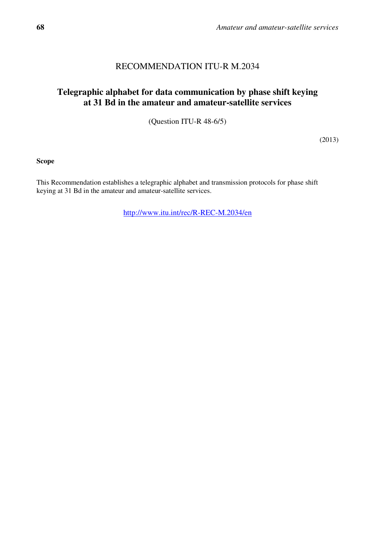## RECOMMENDATION ITU-R M.2034

## **Telegraphic alphabet for data communication by phase shift keying at 31 Bd in the amateur and amateur-satellite services**

(Question ITU-R 48-6/5)

(2013)

**Scope** 

This Recommendation establishes a telegraphic alphabet and transmission protocols for phase shift keying at 31 Bd in the amateur and amateur-satellite services.

http://www.itu.int/rec/R-REC-M.2034/en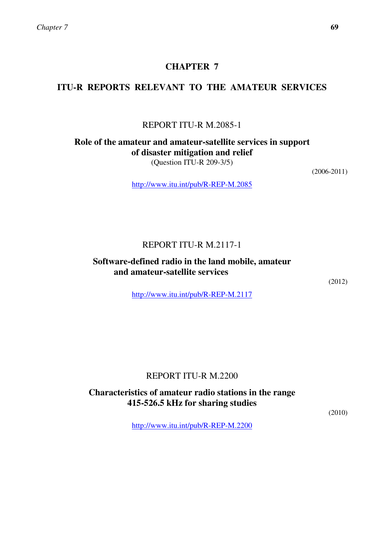# **CHAPTER 7**

# **ITU-R REPORTS RELEVANT TO THE AMATEUR SERVICES**

REPORT ITU-R M.2085-1

**Role of the amateur and amateur-satellite services in support of disaster mitigation and relief** 

(Question ITU-R 209-3/5)

(2006-2011)

http://www.itu.int/pub/R-REP-M.2085

## REPORT ITU-R M.2117-1

## **Software-defined radio in the land mobile, amateur and amateur-satellite services**

(2012)

http://www.itu.int/pub/R-REP-M.2117

## REPORT ITU-R M.2200

**Characteristics of amateur radio stations in the range 415-526.5 kHz for sharing studies** 

(2010)

http://www.itu.int/pub/R-REP-M.2200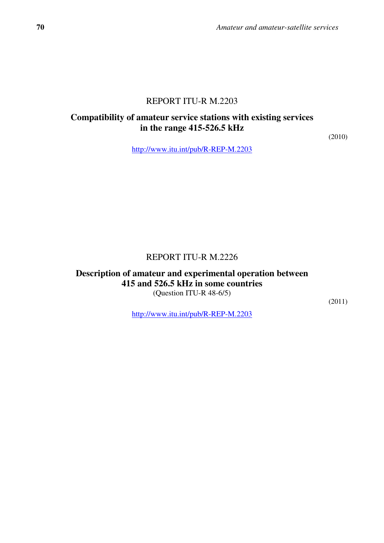### REPORT ITU-R M.2203

## **Compatibility of amateur service stations with existing services in the range 415-526.5 kHz**

(2010)

http://www.itu.int/pub/R-REP-M.2203

### REPORT ITU-R M.2226

**Description of amateur and experimental operation between 415 and 526.5 kHz in some countries**  (Question ITU-R 48-6/5)

(2011)

http://www.itu.int/pub/R-REP-M.2203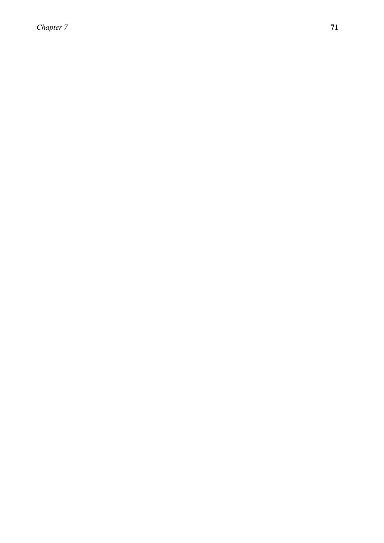*Chapter 7* **71**